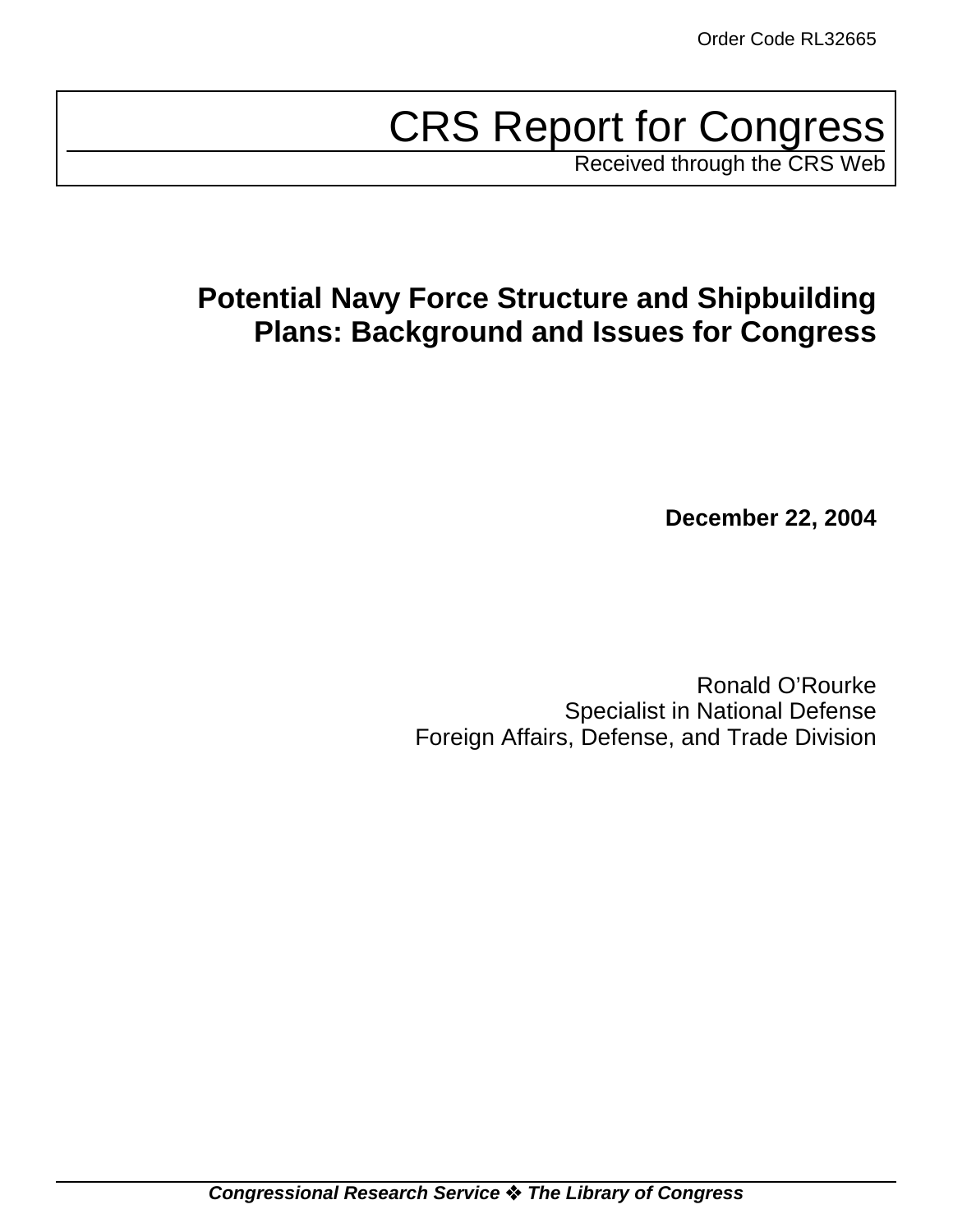# CRS Report for Congress

Received through the CRS Web

## **Potential Navy Force Structure and Shipbuilding Plans: Background and Issues for Congress**

**December 22, 2004**

Ronald O'Rourke Specialist in National Defense Foreign Affairs, Defense, and Trade Division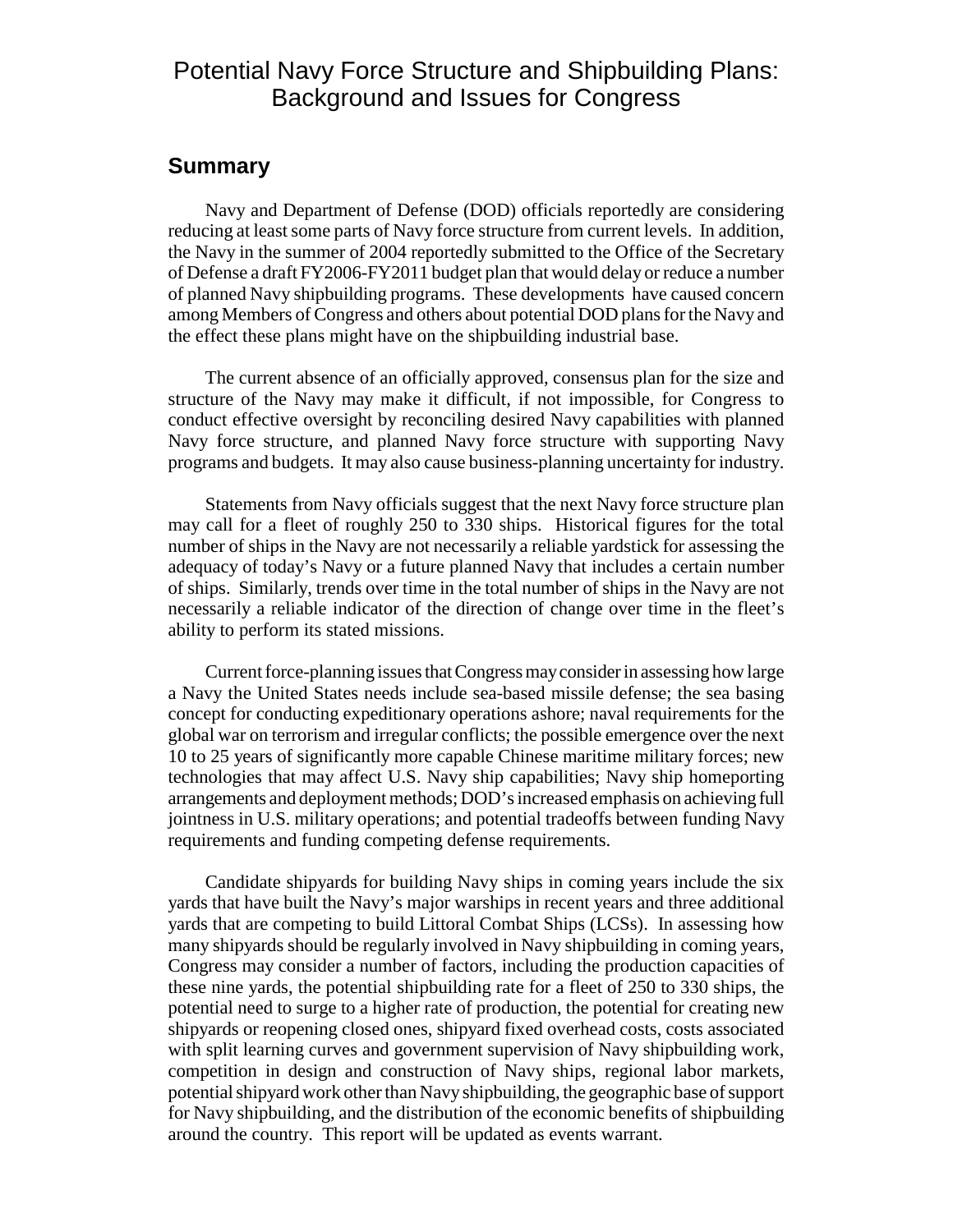## Potential Navy Force Structure and Shipbuilding Plans: Background and Issues for Congress

## **Summary**

Navy and Department of Defense (DOD) officials reportedly are considering reducing at least some parts of Navy force structure from current levels. In addition, the Navy in the summer of 2004 reportedly submitted to the Office of the Secretary of Defense a draft FY2006-FY2011 budget plan that would delay or reduce a number of planned Navy shipbuilding programs. These developments have caused concern among Members of Congress and others about potential DOD plans for the Navy and the effect these plans might have on the shipbuilding industrial base.

The current absence of an officially approved, consensus plan for the size and structure of the Navy may make it difficult, if not impossible, for Congress to conduct effective oversight by reconciling desired Navy capabilities with planned Navy force structure, and planned Navy force structure with supporting Navy programs and budgets. It may also cause business-planning uncertainty for industry.

Statements from Navy officials suggest that the next Navy force structure plan may call for a fleet of roughly 250 to 330 ships. Historical figures for the total number of ships in the Navy are not necessarily a reliable yardstick for assessing the adequacy of today's Navy or a future planned Navy that includes a certain number of ships. Similarly, trends over time in the total number of ships in the Navy are not necessarily a reliable indicator of the direction of change over time in the fleet's ability to perform its stated missions.

Current force-planning issues that Congress may consider in assessing how large a Navy the United States needs include sea-based missile defense; the sea basing concept for conducting expeditionary operations ashore; naval requirements for the global war on terrorism and irregular conflicts; the possible emergence over the next 10 to 25 years of significantly more capable Chinese maritime military forces; new technologies that may affect U.S. Navy ship capabilities; Navy ship homeporting arrangements and deployment methods; DOD's increased emphasis on achieving full jointness in U.S. military operations; and potential tradeoffs between funding Navy requirements and funding competing defense requirements.

Candidate shipyards for building Navy ships in coming years include the six yards that have built the Navy's major warships in recent years and three additional yards that are competing to build Littoral Combat Ships (LCSs). In assessing how many shipyards should be regularly involved in Navy shipbuilding in coming years, Congress may consider a number of factors, including the production capacities of these nine yards, the potential shipbuilding rate for a fleet of 250 to 330 ships, the potential need to surge to a higher rate of production, the potential for creating new shipyards or reopening closed ones, shipyard fixed overhead costs, costs associated with split learning curves and government supervision of Navy shipbuilding work, competition in design and construction of Navy ships, regional labor markets, potential shipyard work other than Navy shipbuilding, the geographic base of support for Navy shipbuilding, and the distribution of the economic benefits of shipbuilding around the country. This report will be updated as events warrant.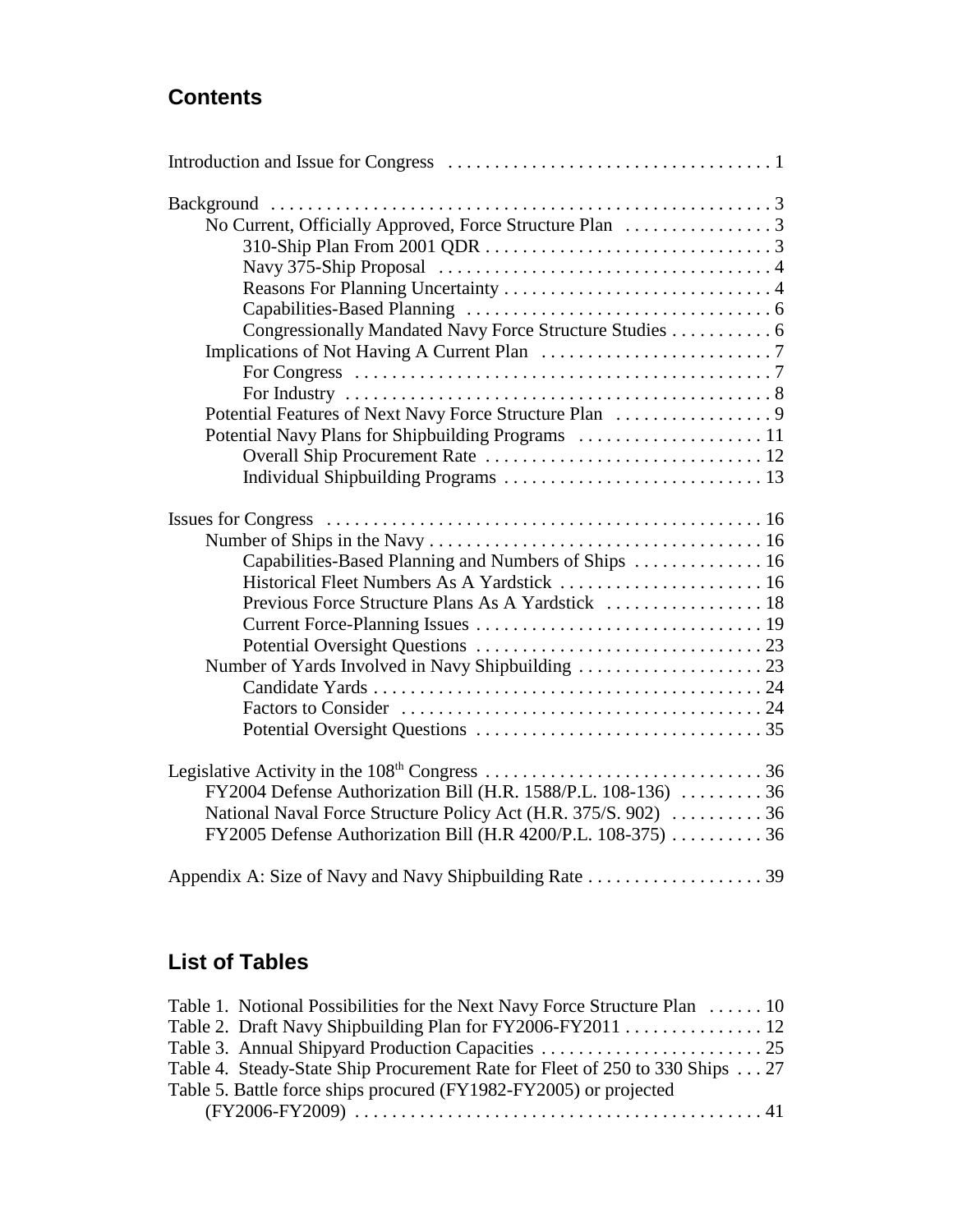## **Contents**

| Congressionally Mandated Navy Force Structure Studies 6         |  |
|-----------------------------------------------------------------|--|
|                                                                 |  |
|                                                                 |  |
|                                                                 |  |
|                                                                 |  |
|                                                                 |  |
|                                                                 |  |
|                                                                 |  |
|                                                                 |  |
|                                                                 |  |
| Capabilities-Based Planning and Numbers of Ships  16            |  |
|                                                                 |  |
|                                                                 |  |
|                                                                 |  |
|                                                                 |  |
|                                                                 |  |
|                                                                 |  |
|                                                                 |  |
|                                                                 |  |
|                                                                 |  |
| FY2004 Defense Authorization Bill (H.R. 1588/P.L. 108-136)  36  |  |
| National Naval Force Structure Policy Act (H.R. 375/S. 902)  36 |  |
| FY2005 Defense Authorization Bill (H.R 4200/P.L. 108-375)  36   |  |
|                                                                 |  |

## **List of Tables**

| Table 1. Notional Possibilities for the Next Navy Force Structure Plan  10   |
|------------------------------------------------------------------------------|
| Table 2. Draft Navy Shipbuilding Plan for FY2006-FY2011 12                   |
|                                                                              |
| Table 4. Steady-State Ship Procurement Rate for Fleet of 250 to 330 Ships 27 |
| Table 5. Battle force ships procured (FY1982-FY2005) or projected            |
|                                                                              |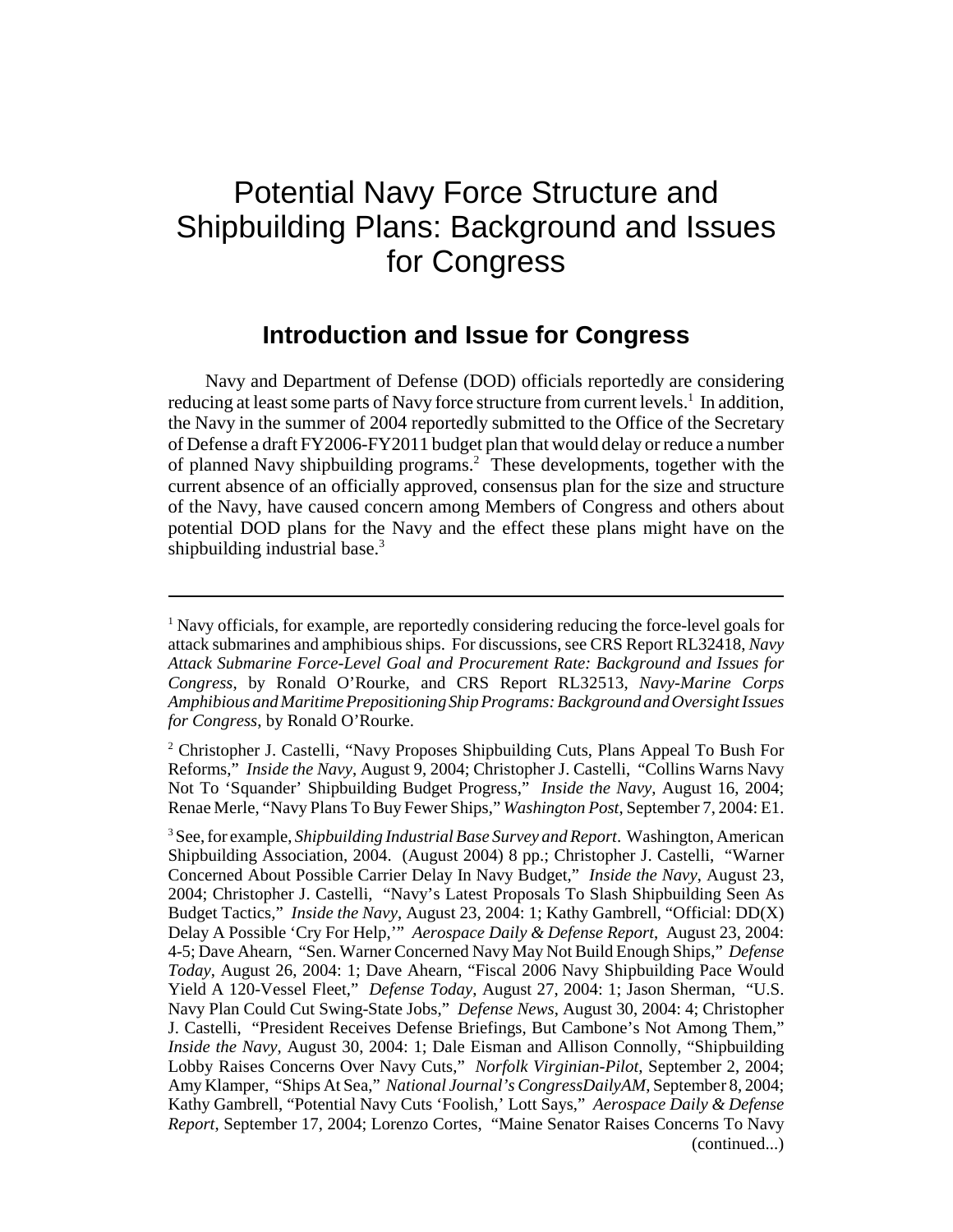## Potential Navy Force Structure and Shipbuilding Plans: Background and Issues for Congress

## **Introduction and Issue for Congress**

Navy and Department of Defense (DOD) officials reportedly are considering reducing at least some parts of Navy force structure from current levels.<sup>1</sup> In addition, the Navy in the summer of 2004 reportedly submitted to the Office of the Secretary of Defense a draft FY2006-FY2011 budget plan that would delay or reduce a number of planned Navy shipbuilding programs.<sup>2</sup> These developments, together with the current absence of an officially approved, consensus plan for the size and structure of the Navy, have caused concern among Members of Congress and others about potential DOD plans for the Navy and the effect these plans might have on the shipbuilding industrial base.<sup>3</sup>

<sup>&</sup>lt;sup>1</sup> Navy officials, for example, are reportedly considering reducing the force-level goals for attack submarines and amphibious ships. For discussions, see CRS Report RL32418, *Navy Attack Submarine Force-Level Goal and Procurement Rate: Background and Issues for Congress*, by Ronald O'Rourke, and CRS Report RL32513, *Navy-Marine Corps Amphibious and Maritime Prepositioning Ship Programs: Background and Oversight Issues for Congress*, by Ronald O'Rourke.

<sup>&</sup>lt;sup>2</sup> Christopher J. Castelli, "Navy Proposes Shipbuilding Cuts, Plans Appeal To Bush For Reforms," *Inside the Navy*, August 9, 2004; Christopher J. Castelli, "Collins Warns Navy Not To 'Squander' Shipbuilding Budget Progress," *Inside the Navy*, August 16, 2004; Renae Merle, "Navy Plans To Buy Fewer Ships," *Washington Post*, September 7, 2004: E1.

<sup>3</sup> See, for example, *Shipbuilding Industrial Base Survey and Report*. Washington, American Shipbuilding Association, 2004. (August 2004) 8 pp.; Christopher J. Castelli, "Warner Concerned About Possible Carrier Delay In Navy Budget," *Inside the Navy*, August 23, 2004; Christopher J. Castelli, "Navy's Latest Proposals To Slash Shipbuilding Seen As Budget Tactics," *Inside the Navy*, August 23, 2004: 1; Kathy Gambrell, "Official: DD(X) Delay A Possible 'Cry For Help,'" *Aerospace Daily & Defense Report*, August 23, 2004: 4-5; Dave Ahearn, "Sen. Warner Concerned Navy May Not Build Enough Ships," *Defense Today*, August 26, 2004: 1; Dave Ahearn, "Fiscal 2006 Navy Shipbuilding Pace Would Yield A 120-Vessel Fleet," *Defense Today*, August 27, 2004: 1; Jason Sherman, "U.S. Navy Plan Could Cut Swing-State Jobs," *Defense News*, August 30, 2004: 4; Christopher J. Castelli, "President Receives Defense Briefings, But Cambone's Not Among Them," *Inside the Navy*, August 30, 2004: 1; Dale Eisman and Allison Connolly, "Shipbuilding Lobby Raises Concerns Over Navy Cuts," *Norfolk Virginian-Pilot*, September 2, 2004; Amy Klamper, "Ships At Sea," *National Journal's CongressDailyAM*, September 8, 2004; Kathy Gambrell, "Potential Navy Cuts 'Foolish,' Lott Says," *Aerospace Daily & Defense Report*, September 17, 2004; Lorenzo Cortes, "Maine Senator Raises Concerns To Navy (continued...)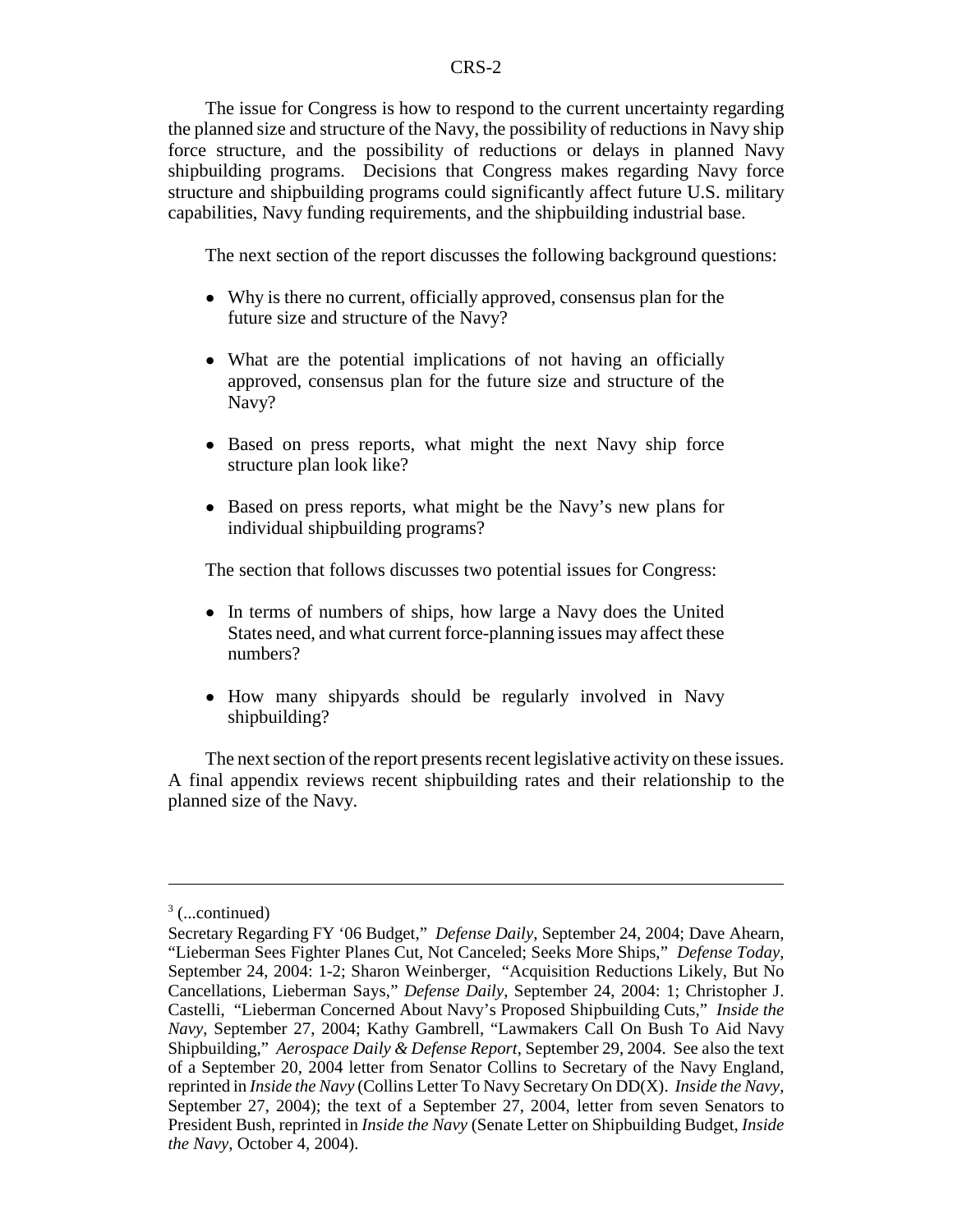The issue for Congress is how to respond to the current uncertainty regarding the planned size and structure of the Navy, the possibility of reductions in Navy ship force structure, and the possibility of reductions or delays in planned Navy shipbuilding programs. Decisions that Congress makes regarding Navy force structure and shipbuilding programs could significantly affect future U.S. military capabilities, Navy funding requirements, and the shipbuilding industrial base.

The next section of the report discusses the following background questions:

- Why is there no current, officially approved, consensus plan for the future size and structure of the Navy?
- What are the potential implications of not having an officially approved, consensus plan for the future size and structure of the Navy?
- Based on press reports, what might the next Navy ship force structure plan look like?
- Based on press reports, what might be the Navy's new plans for individual shipbuilding programs?

The section that follows discusses two potential issues for Congress:

- In terms of numbers of ships, how large a Navy does the United States need, and what current force-planning issues may affect these numbers?
- ! How many shipyards should be regularly involved in Navy shipbuilding?

The next section of the report presents recent legislative activity on these issues. A final appendix reviews recent shipbuilding rates and their relationship to the planned size of the Navy.

 $3$  (...continued)

Secretary Regarding FY '06 Budget," *Defense Daily*, September 24, 2004; Dave Ahearn, "Lieberman Sees Fighter Planes Cut, Not Canceled; Seeks More Ships," *Defense Today*, September 24, 2004: 1-2; Sharon Weinberger, "Acquisition Reductions Likely, But No Cancellations, Lieberman Says," *Defense Daily*, September 24, 2004: 1; Christopher J. Castelli, "Lieberman Concerned About Navy's Proposed Shipbuilding Cuts," *Inside the Navy*, September 27, 2004; Kathy Gambrell, "Lawmakers Call On Bush To Aid Navy Shipbuilding," *Aerospace Daily & Defense Report*, September 29, 2004. See also the text of a September 20, 2004 letter from Senator Collins to Secretary of the Navy England, reprinted in *Inside the Navy* (Collins Letter To Navy Secretary On DD(X). *Inside the Navy*, September 27, 2004); the text of a September 27, 2004, letter from seven Senators to President Bush, reprinted in *Inside the Navy* (Senate Letter on Shipbuilding Budget, *Inside the Navy*, October 4, 2004).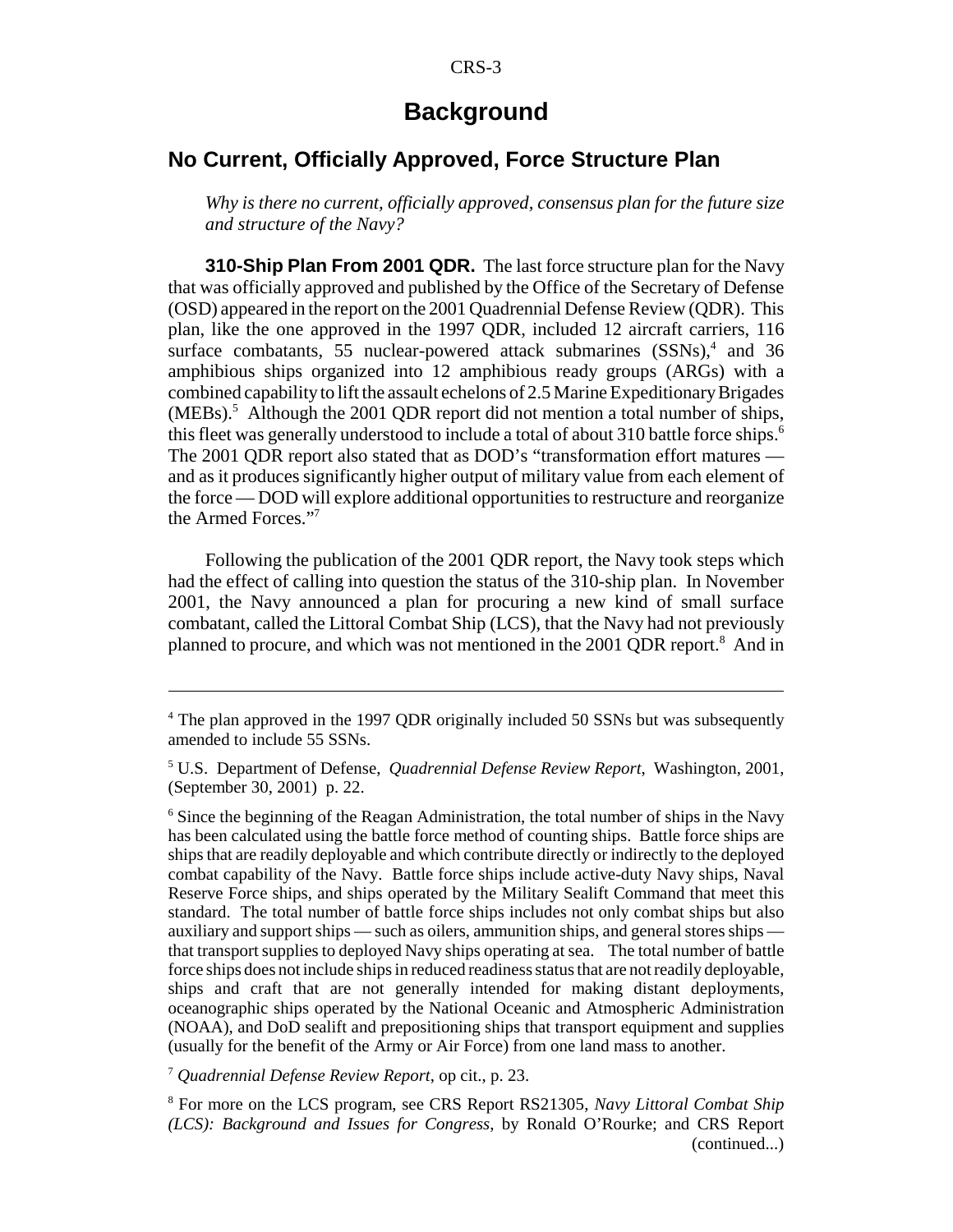## **Background**

## **No Current, Officially Approved, Force Structure Plan**

*Why is there no current, officially approved, consensus plan for the future size and structure of the Navy?*

**310-Ship Plan From 2001 QDR.** The last force structure plan for the Navy that was officially approved and published by the Office of the Secretary of Defense (OSD) appeared in the report on the 2001 Quadrennial Defense Review (QDR). This plan, like the one approved in the 1997 QDR, included 12 aircraft carriers, 116 surface combatants, 55 nuclear-powered attack submarines (SSNs),<sup>4</sup> and 36 amphibious ships organized into 12 amphibious ready groups (ARGs) with a combined capability to lift the assault echelons of 2.5 Marine Expeditionary Brigades  $(MEBs)$ .<sup>5</sup> Although the 2001 QDR report did not mention a total number of ships, this fleet was generally understood to include a total of about 310 battle force ships.<sup>6</sup> The 2001 QDR report also stated that as DOD's "transformation effort matures and as it produces significantly higher output of military value from each element of the force — DOD will explore additional opportunities to restructure and reorganize the Armed Forces."7

Following the publication of the 2001 QDR report, the Navy took steps which had the effect of calling into question the status of the 310-ship plan. In November 2001, the Navy announced a plan for procuring a new kind of small surface combatant, called the Littoral Combat Ship (LCS), that the Navy had not previously planned to procure, and which was not mentioned in the 2001 QDR report.<sup>8</sup> And in

<sup>7</sup> *Quadrennial Defense Review Report*, op cit., p. 23.

<sup>&</sup>lt;sup>4</sup> The plan approved in the 1997 QDR originally included 50 SSNs but was subsequently amended to include 55 SSNs.

<sup>5</sup> U.S. Department of Defense, *Quadrennial Defense Review Report*, Washington, 2001, (September 30, 2001) p. 22.

<sup>&</sup>lt;sup>6</sup> Since the beginning of the Reagan Administration, the total number of ships in the Navy has been calculated using the battle force method of counting ships. Battle force ships are ships that are readily deployable and which contribute directly or indirectly to the deployed combat capability of the Navy. Battle force ships include active-duty Navy ships, Naval Reserve Force ships, and ships operated by the Military Sealift Command that meet this standard. The total number of battle force ships includes not only combat ships but also auxiliary and support ships — such as oilers, ammunition ships, and general stores ships that transport supplies to deployed Navy ships operating at sea. The total number of battle force ships does not include ships in reduced readiness status that are not readily deployable, ships and craft that are not generally intended for making distant deployments, oceanographic ships operated by the National Oceanic and Atmospheric Administration (NOAA), and DoD sealift and prepositioning ships that transport equipment and supplies (usually for the benefit of the Army or Air Force) from one land mass to another.

<sup>8</sup> For more on the LCS program, see CRS Report RS21305, *Navy Littoral Combat Ship (LCS): Background and Issues for Congress*, by Ronald O'Rourke; and CRS Report (continued...)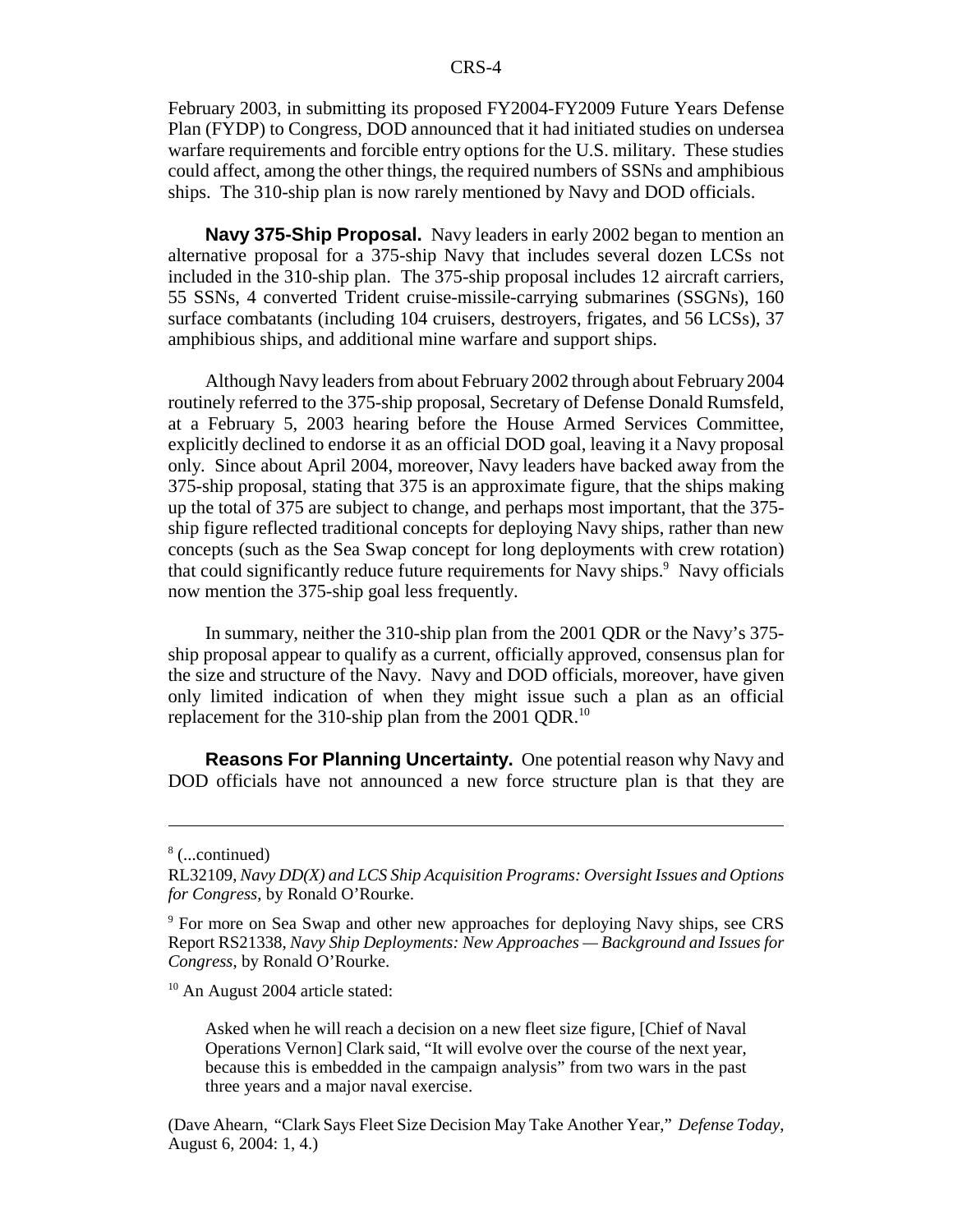February 2003, in submitting its proposed FY2004-FY2009 Future Years Defense Plan (FYDP) to Congress, DOD announced that it had initiated studies on undersea warfare requirements and forcible entry options for the U.S. military. These studies could affect, among the other things, the required numbers of SSNs and amphibious ships. The 310-ship plan is now rarely mentioned by Navy and DOD officials.

**Navy 375-Ship Proposal.** Navy leaders in early 2002 began to mention an alternative proposal for a 375-ship Navy that includes several dozen LCSs not included in the 310-ship plan. The 375-ship proposal includes 12 aircraft carriers, 55 SSNs, 4 converted Trident cruise-missile-carrying submarines (SSGNs), 160 surface combatants (including 104 cruisers, destroyers, frigates, and 56 LCSs), 37 amphibious ships, and additional mine warfare and support ships.

Although Navy leaders from about February 2002 through about February 2004 routinely referred to the 375-ship proposal, Secretary of Defense Donald Rumsfeld, at a February 5, 2003 hearing before the House Armed Services Committee, explicitly declined to endorse it as an official DOD goal, leaving it a Navy proposal only. Since about April 2004, moreover, Navy leaders have backed away from the 375-ship proposal, stating that 375 is an approximate figure, that the ships making up the total of 375 are subject to change, and perhaps most important, that the 375 ship figure reflected traditional concepts for deploying Navy ships, rather than new concepts (such as the Sea Swap concept for long deployments with crew rotation) that could significantly reduce future requirements for Navy ships.<sup>9</sup> Navy officials now mention the 375-ship goal less frequently.

In summary, neither the 310-ship plan from the 2001 QDR or the Navy's 375 ship proposal appear to qualify as a current, officially approved, consensus plan for the size and structure of the Navy. Navy and DOD officials, moreover, have given only limited indication of when they might issue such a plan as an official replacement for the 310-ship plan from the 2001 QDR.10

**Reasons For Planning Uncertainty.** One potential reason why Navy and DOD officials have not announced a new force structure plan is that they are

<sup>10</sup> An August 2004 article stated:

Asked when he will reach a decision on a new fleet size figure, [Chief of Naval Operations Vernon] Clark said, "It will evolve over the course of the next year, because this is embedded in the campaign analysis" from two wars in the past three years and a major naval exercise.

(Dave Ahearn, "Clark Says Fleet Size Decision May Take Another Year," *Defense Today*, August 6, 2004: 1, 4.)

<sup>8</sup> (...continued)

RL32109, *Navy DD(X) and LCS Ship Acquisition Programs: Oversight Issues and Options for Congress*, by Ronald O'Rourke.

<sup>&</sup>lt;sup>9</sup> For more on Sea Swap and other new approaches for deploying Navy ships, see CRS Report RS21338, *Navy Ship Deployments: New Approaches — Background and Issues for Congress*, by Ronald O'Rourke.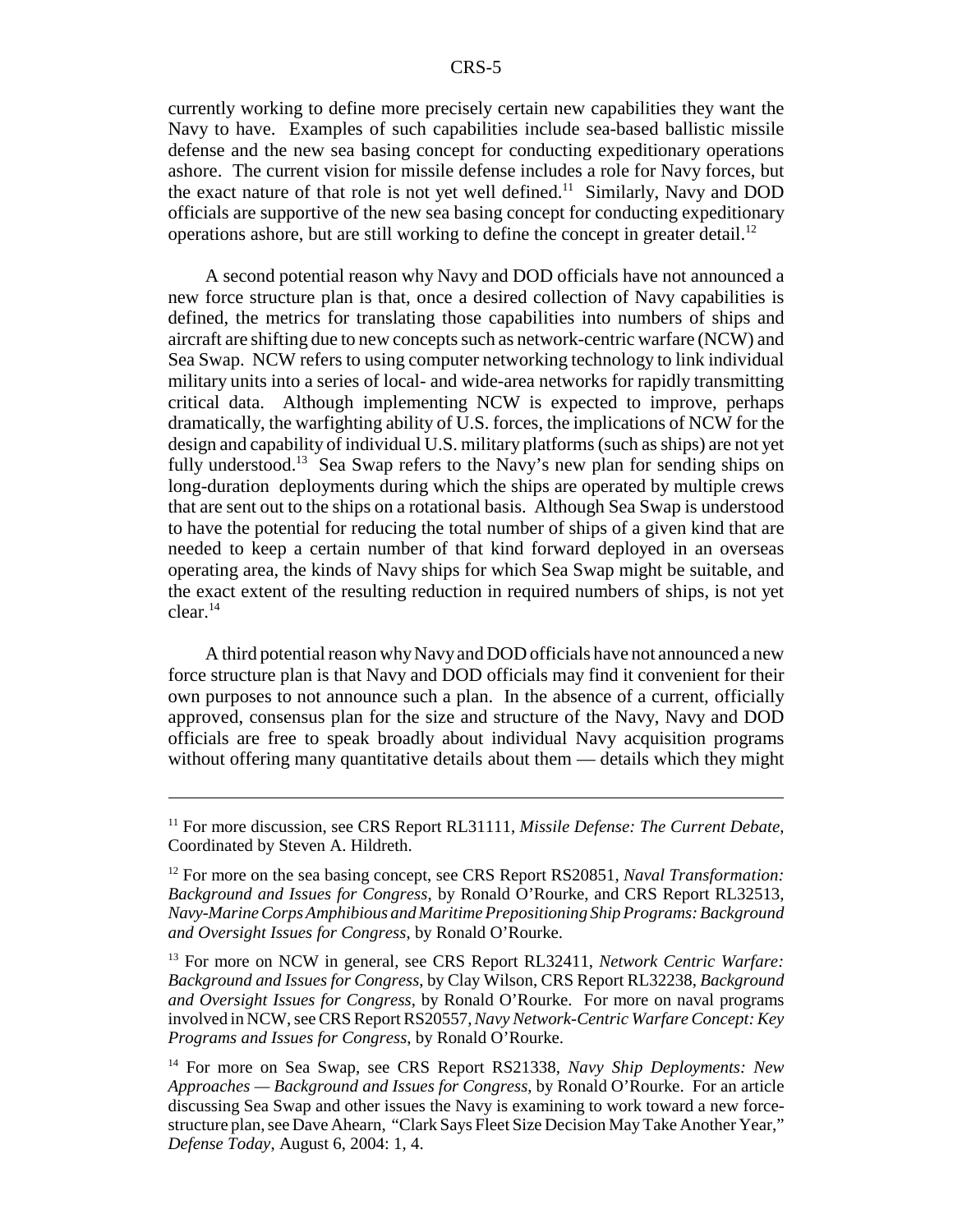currently working to define more precisely certain new capabilities they want the Navy to have. Examples of such capabilities include sea-based ballistic missile defense and the new sea basing concept for conducting expeditionary operations ashore. The current vision for missile defense includes a role for Navy forces, but the exact nature of that role is not yet well defined.<sup>11</sup> Similarly, Navy and DOD officials are supportive of the new sea basing concept for conducting expeditionary operations ashore, but are still working to define the concept in greater detail.<sup>12</sup>

A second potential reason why Navy and DOD officials have not announced a new force structure plan is that, once a desired collection of Navy capabilities is defined, the metrics for translating those capabilities into numbers of ships and aircraft are shifting due to new concepts such as network-centric warfare (NCW) and Sea Swap. NCW refers to using computer networking technology to link individual military units into a series of local- and wide-area networks for rapidly transmitting critical data. Although implementing NCW is expected to improve, perhaps dramatically, the warfighting ability of U.S. forces, the implications of NCW for the design and capability of individual U.S. military platforms (such as ships) are not yet fully understood.<sup>13</sup> Sea Swap refers to the Navy's new plan for sending ships on long-duration deployments during which the ships are operated by multiple crews that are sent out to the ships on a rotational basis. Although Sea Swap is understood to have the potential for reducing the total number of ships of a given kind that are needed to keep a certain number of that kind forward deployed in an overseas operating area, the kinds of Navy ships for which Sea Swap might be suitable, and the exact extent of the resulting reduction in required numbers of ships, is not yet  $clear.<sup>14</sup>$ 

A third potential reason why Navy and DOD officials have not announced a new force structure plan is that Navy and DOD officials may find it convenient for their own purposes to not announce such a plan. In the absence of a current, officially approved, consensus plan for the size and structure of the Navy, Navy and DOD officials are free to speak broadly about individual Navy acquisition programs without offering many quantitative details about them — details which they might

<sup>&</sup>lt;sup>11</sup> For more discussion, see CRS Report RL31111, *Missile Defense: The Current Debate*, Coordinated by Steven A. Hildreth.

<sup>&</sup>lt;sup>12</sup> For more on the sea basing concept, see CRS Report RS20851, *Naval Transformation: Background and Issues for Congress*, by Ronald O'Rourke, and CRS Report RL32513, *Navy-Marine Corps Amphibious and Maritime Prepositioning Ship Programs: Background and Oversight Issues for Congress*, by Ronald O'Rourke.

<sup>13</sup> For more on NCW in general, see CRS Report RL32411, *Network Centric Warfare: Background and Issues for Congress*, by Clay Wilson, CRS Report RL32238, *Background and Oversight Issues for Congress*, by Ronald O'Rourke. For more on naval programs involved in NCW, see CRS Report RS20557, *Navy Network-Centric Warfare Concept: Key Programs and Issues for Congress*, by Ronald O'Rourke.

<sup>14</sup> For more on Sea Swap, see CRS Report RS21338, *Navy Ship Deployments: New Approaches — Background and Issues for Congress*, by Ronald O'Rourke. For an article discussing Sea Swap and other issues the Navy is examining to work toward a new forcestructure plan, see Dave Ahearn, "Clark Says Fleet Size Decision May Take Another Year," *Defense Today*, August 6, 2004: 1, 4.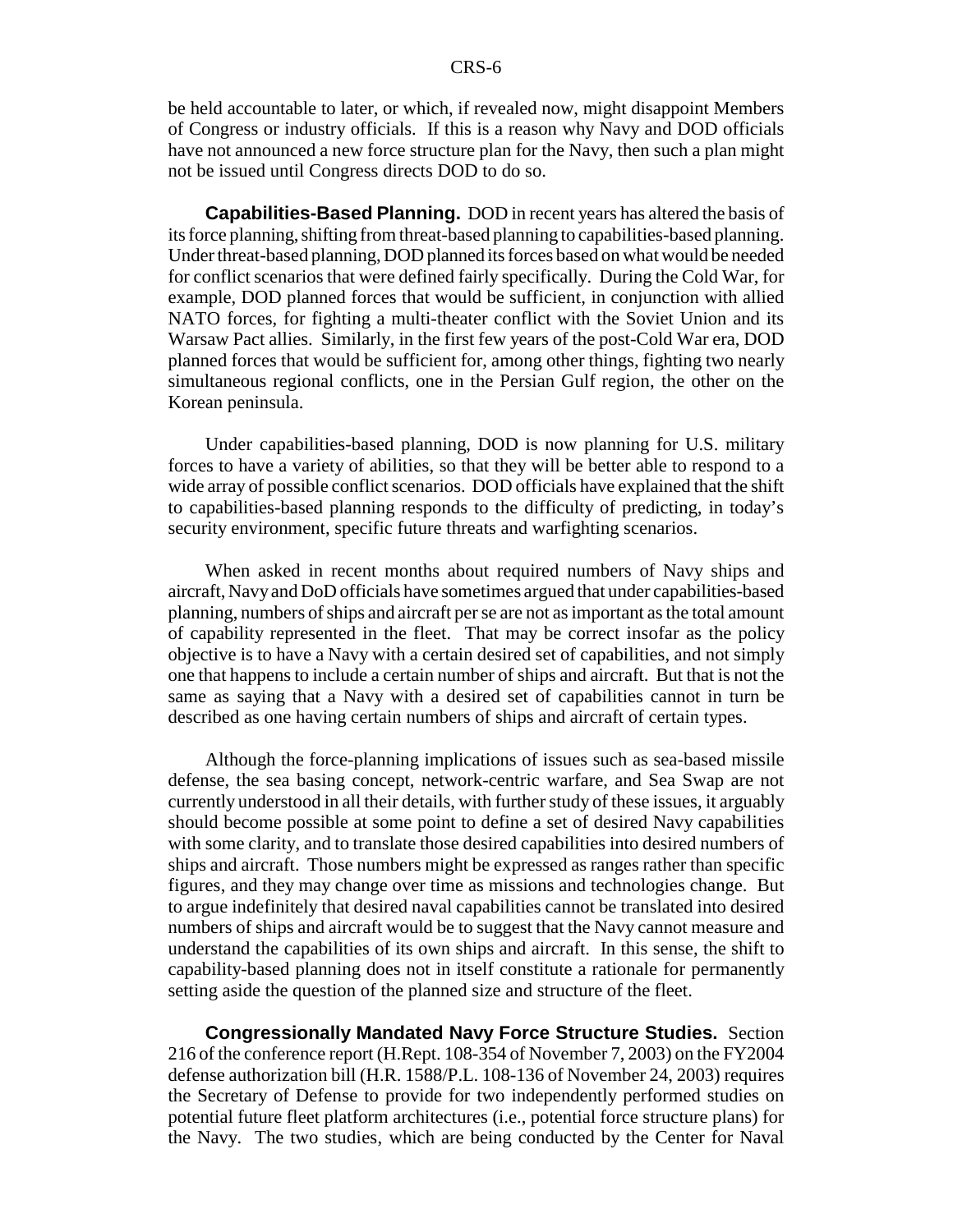be held accountable to later, or which, if revealed now, might disappoint Members of Congress or industry officials. If this is a reason why Navy and DOD officials have not announced a new force structure plan for the Navy, then such a plan might not be issued until Congress directs DOD to do so.

**Capabilities-Based Planning.** DOD in recent years has altered the basis of its force planning, shifting from threat-based planning to capabilities-based planning. Under threat-based planning, DOD planned its forces based on what would be needed for conflict scenarios that were defined fairly specifically. During the Cold War, for example, DOD planned forces that would be sufficient, in conjunction with allied NATO forces, for fighting a multi-theater conflict with the Soviet Union and its Warsaw Pact allies. Similarly, in the first few years of the post-Cold War era, DOD planned forces that would be sufficient for, among other things, fighting two nearly simultaneous regional conflicts, one in the Persian Gulf region, the other on the Korean peninsula.

Under capabilities-based planning, DOD is now planning for U.S. military forces to have a variety of abilities, so that they will be better able to respond to a wide array of possible conflict scenarios. DOD officials have explained that the shift to capabilities-based planning responds to the difficulty of predicting, in today's security environment, specific future threats and warfighting scenarios.

When asked in recent months about required numbers of Navy ships and aircraft, Navy and DoD officials have sometimes argued that under capabilities-based planning, numbers of ships and aircraft per se are not as important as the total amount of capability represented in the fleet. That may be correct insofar as the policy objective is to have a Navy with a certain desired set of capabilities, and not simply one that happens to include a certain number of ships and aircraft. But that is not the same as saying that a Navy with a desired set of capabilities cannot in turn be described as one having certain numbers of ships and aircraft of certain types.

Although the force-planning implications of issues such as sea-based missile defense, the sea basing concept, network-centric warfare, and Sea Swap are not currently understood in all their details, with further study of these issues, it arguably should become possible at some point to define a set of desired Navy capabilities with some clarity, and to translate those desired capabilities into desired numbers of ships and aircraft. Those numbers might be expressed as ranges rather than specific figures, and they may change over time as missions and technologies change. But to argue indefinitely that desired naval capabilities cannot be translated into desired numbers of ships and aircraft would be to suggest that the Navy cannot measure and understand the capabilities of its own ships and aircraft. In this sense, the shift to capability-based planning does not in itself constitute a rationale for permanently setting aside the question of the planned size and structure of the fleet.

**Congressionally Mandated Navy Force Structure Studies.** Section 216 of the conference report (H.Rept. 108-354 of November 7, 2003) on the FY2004 defense authorization bill (H.R. 1588/P.L. 108-136 of November 24, 2003) requires the Secretary of Defense to provide for two independently performed studies on potential future fleet platform architectures (i.e., potential force structure plans) for the Navy. The two studies, which are being conducted by the Center for Naval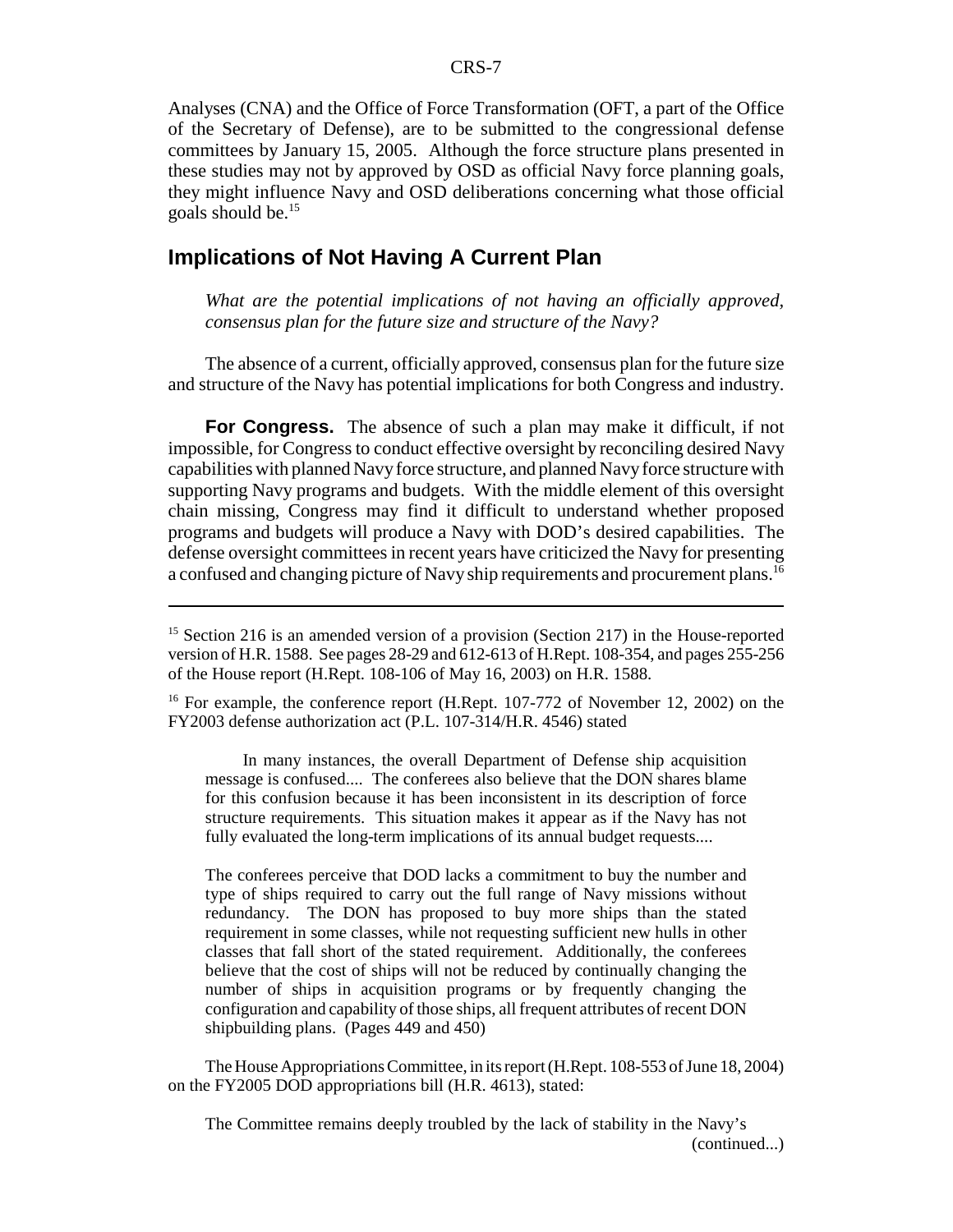Analyses (CNA) and the Office of Force Transformation (OFT, a part of the Office of the Secretary of Defense), are to be submitted to the congressional defense committees by January 15, 2005. Although the force structure plans presented in these studies may not by approved by OSD as official Navy force planning goals, they might influence Navy and OSD deliberations concerning what those official goals should be.15

## **Implications of Not Having A Current Plan**

*What are the potential implications of not having an officially approved, consensus plan for the future size and structure of the Navy?*

The absence of a current, officially approved, consensus plan for the future size and structure of the Navy has potential implications for both Congress and industry.

**For Congress.** The absence of such a plan may make it difficult, if not impossible, for Congress to conduct effective oversight by reconciling desired Navy capabilities with planned Navy force structure, and planned Navy force structure with supporting Navy programs and budgets. With the middle element of this oversight chain missing, Congress may find it difficult to understand whether proposed programs and budgets will produce a Navy with DOD's desired capabilities. The defense oversight committees in recent years have criticized the Navy for presenting a confused and changing picture of Navy ship requirements and procurement plans.<sup>16</sup>

<sup>16</sup> For example, the conference report (H.Rept. 107-772 of November 12, 2002) on the FY2003 defense authorization act (P.L. 107-314/H.R. 4546) stated

In many instances, the overall Department of Defense ship acquisition message is confused.... The conferees also believe that the DON shares blame for this confusion because it has been inconsistent in its description of force structure requirements. This situation makes it appear as if the Navy has not fully evaluated the long-term implications of its annual budget requests....

The conferees perceive that DOD lacks a commitment to buy the number and type of ships required to carry out the full range of Navy missions without redundancy. The DON has proposed to buy more ships than the stated requirement in some classes, while not requesting sufficient new hulls in other classes that fall short of the stated requirement. Additionally, the conferees believe that the cost of ships will not be reduced by continually changing the number of ships in acquisition programs or by frequently changing the configuration and capability of those ships, all frequent attributes of recent DON shipbuilding plans. (Pages 449 and 450)

The House Appropriations Committee, in its report (H.Rept. 108-553 of June 18, 2004) on the FY2005 DOD appropriations bill (H.R. 4613), stated:

The Committee remains deeply troubled by the lack of stability in the Navy's (continued...)

<sup>&</sup>lt;sup>15</sup> Section 216 is an amended version of a provision (Section 217) in the House-reported version of H.R. 1588. See pages 28-29 and 612-613 of H.Rept. 108-354, and pages 255-256 of the House report (H.Rept. 108-106 of May 16, 2003) on H.R. 1588.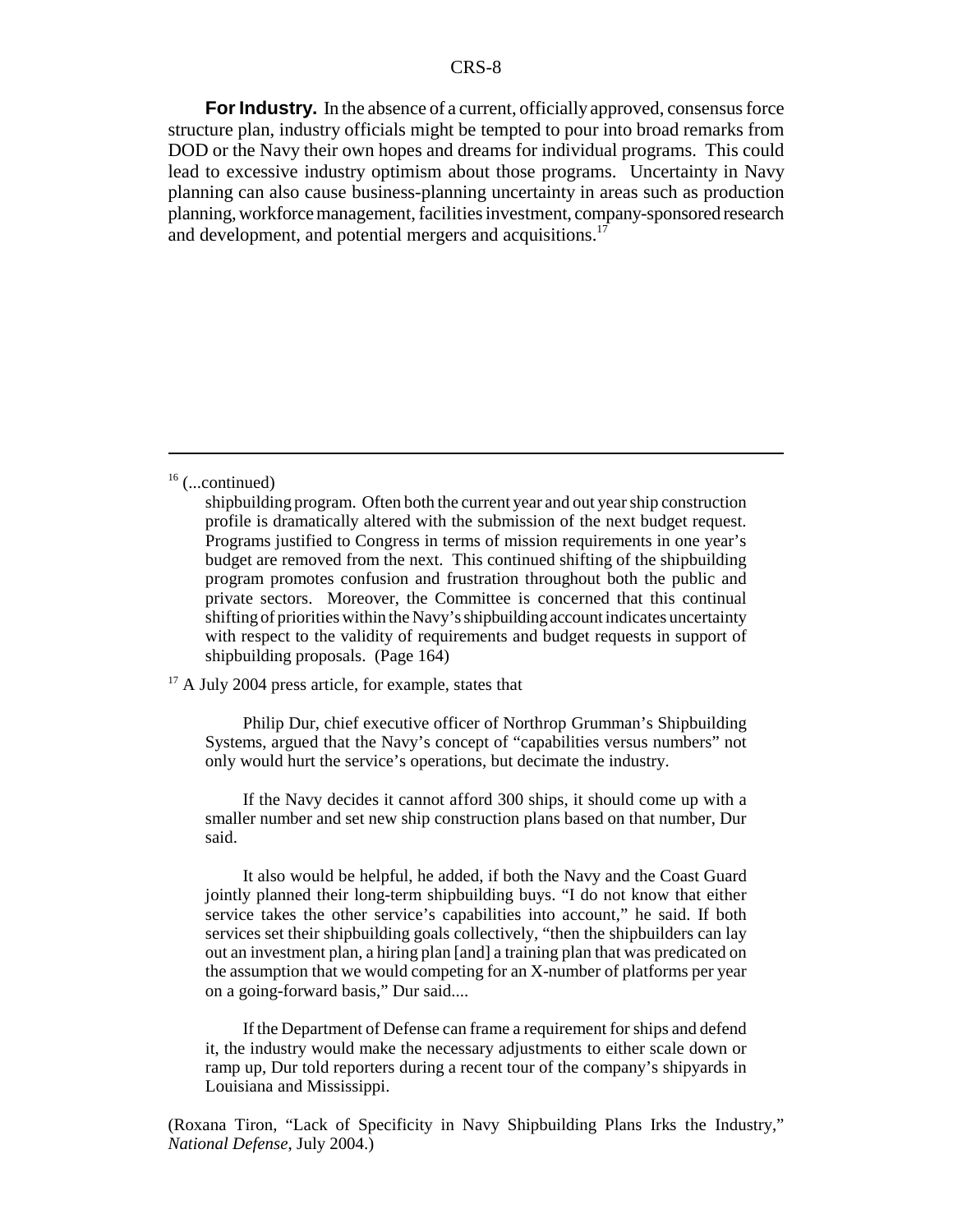**For Industry.** In the absence of a current, officially approved, consensus force structure plan, industry officials might be tempted to pour into broad remarks from DOD or the Navy their own hopes and dreams for individual programs. This could lead to excessive industry optimism about those programs. Uncertainty in Navy planning can also cause business-planning uncertainty in areas such as production planning, workforce management, facilities investment, company-sponsored research and development, and potential mergers and acquisitions.<sup>17</sup>

 $16$  (...continued)

<sup>17</sup> A July 2004 press article, for example, states that

Philip Dur, chief executive officer of Northrop Grumman's Shipbuilding Systems, argued that the Navy's concept of "capabilities versus numbers" not only would hurt the service's operations, but decimate the industry.

If the Navy decides it cannot afford 300 ships, it should come up with a smaller number and set new ship construction plans based on that number, Dur said.

It also would be helpful, he added, if both the Navy and the Coast Guard jointly planned their long-term shipbuilding buys. "I do not know that either service takes the other service's capabilities into account," he said. If both services set their shipbuilding goals collectively, "then the shipbuilders can lay out an investment plan, a hiring plan [and] a training plan that was predicated on the assumption that we would competing for an X-number of platforms per year on a going-forward basis," Dur said....

If the Department of Defense can frame a requirement for ships and defend it, the industry would make the necessary adjustments to either scale down or ramp up, Dur told reporters during a recent tour of the company's shipyards in Louisiana and Mississippi.

(Roxana Tiron, "Lack of Specificity in Navy Shipbuilding Plans Irks the Industry," *National Defense*, July 2004.)

shipbuilding program. Often both the current year and out year ship construction profile is dramatically altered with the submission of the next budget request. Programs justified to Congress in terms of mission requirements in one year's budget are removed from the next. This continued shifting of the shipbuilding program promotes confusion and frustration throughout both the public and private sectors. Moreover, the Committee is concerned that this continual shifting of priorities within the Navy's shipbuilding account indicates uncertainty with respect to the validity of requirements and budget requests in support of shipbuilding proposals. (Page 164)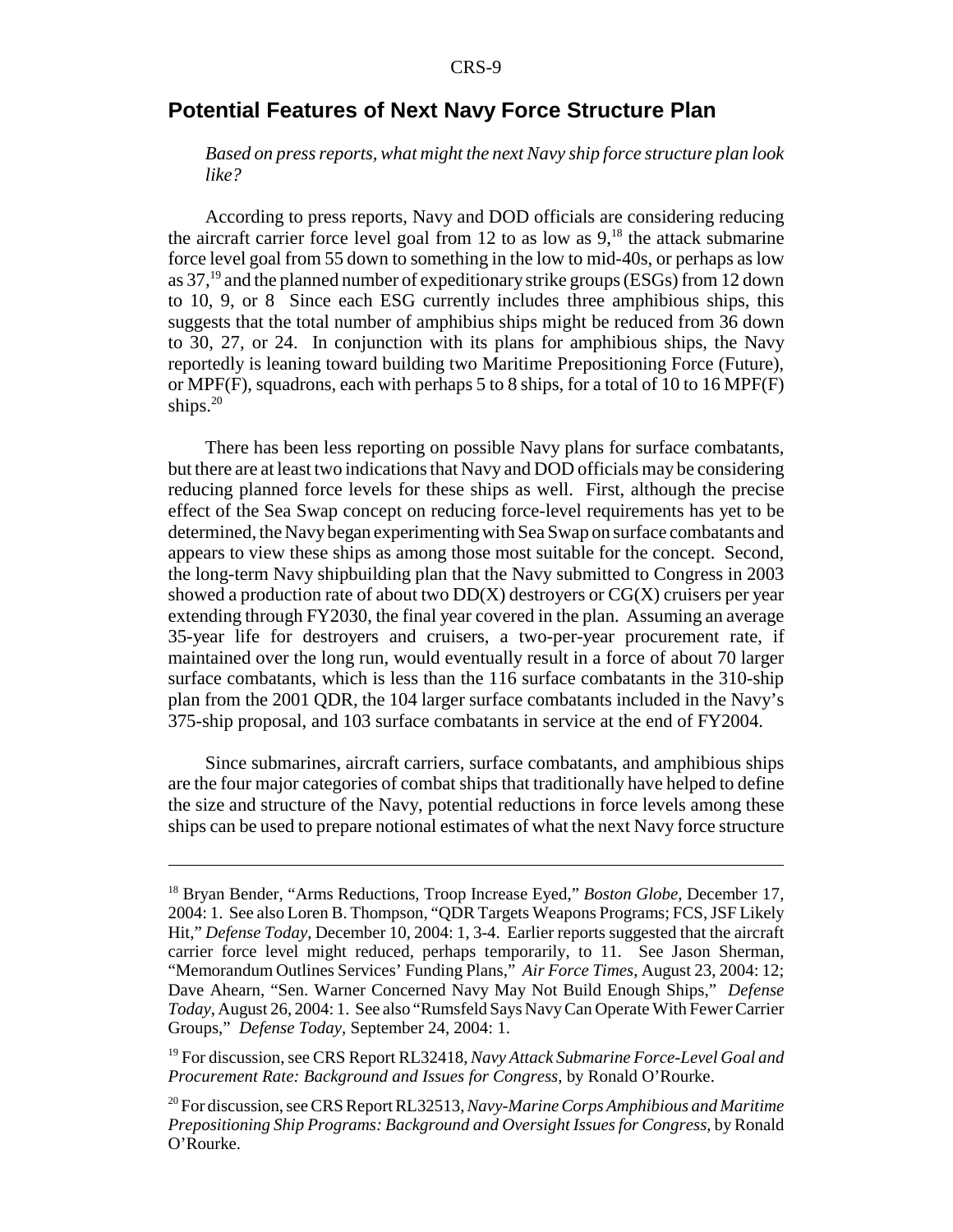## **Potential Features of Next Navy Force Structure Plan**

*Based on press reports, what might the next Navy ship force structure plan look like?*

According to press reports, Navy and DOD officials are considering reducing the aircraft carrier force level goal from 12 to as low as  $9<sup>18</sup>$ , the attack submarine force level goal from 55 down to something in the low to mid-40s, or perhaps as low as 37,19 and the planned number of expeditionary strike groups (ESGs) from 12 down to 10, 9, or 8 Since each ESG currently includes three amphibious ships, this suggests that the total number of amphibius ships might be reduced from 36 down to 30, 27, or 24. In conjunction with its plans for amphibious ships, the Navy reportedly is leaning toward building two Maritime Prepositioning Force (Future), or MPF(F), squadrons, each with perhaps 5 to 8 ships, for a total of 10 to 16 MPF(F) ships. $20$ 

There has been less reporting on possible Navy plans for surface combatants, but there are at least two indications that Navy and DOD officials may be considering reducing planned force levels for these ships as well. First, although the precise effect of the Sea Swap concept on reducing force-level requirements has yet to be determined, the Navy began experimenting with Sea Swap on surface combatants and appears to view these ships as among those most suitable for the concept. Second, the long-term Navy shipbuilding plan that the Navy submitted to Congress in 2003 showed a production rate of about two  $DD(X)$  destroyers or  $CG(X)$  cruisers per year extending through FY2030, the final year covered in the plan. Assuming an average 35-year life for destroyers and cruisers, a two-per-year procurement rate, if maintained over the long run, would eventually result in a force of about 70 larger surface combatants, which is less than the 116 surface combatants in the 310-ship plan from the 2001 QDR, the 104 larger surface combatants included in the Navy's 375-ship proposal, and 103 surface combatants in service at the end of FY2004.

Since submarines, aircraft carriers, surface combatants, and amphibious ships are the four major categories of combat ships that traditionally have helped to define the size and structure of the Navy, potential reductions in force levels among these ships can be used to prepare notional estimates of what the next Navy force structure

19 For discussion, see CRS Report RL32418, *Navy Attack Submarine Force-Level Goal and Procurement Rate: Background and Issues for Congress*, by Ronald O'Rourke.

<sup>18</sup> Bryan Bender, "Arms Reductions, Troop Increase Eyed," *Boston Globe*, December 17, 2004: 1. See also Loren B. Thompson, "QDR Targets Weapons Programs; FCS, JSF Likely Hit," *Defense Today*, December 10, 2004: 1, 3-4. Earlier reports suggested that the aircraft carrier force level might reduced, perhaps temporarily, to 11. See Jason Sherman, "Memorandum Outlines Services' Funding Plans," *Air Force Times*, August 23, 2004: 12; Dave Ahearn, "Sen. Warner Concerned Navy May Not Build Enough Ships," *Defense Today*, August 26, 2004: 1. See also "Rumsfeld Says Navy Can Operate With Fewer Carrier Groups," *Defense Today*, September 24, 2004: 1.

<sup>20</sup> For discussion, see CRS Report RL32513, *Navy-Marine Corps Amphibious and Maritime Prepositioning Ship Programs: Background and Oversight Issues for Congress*, by Ronald O'Rourke.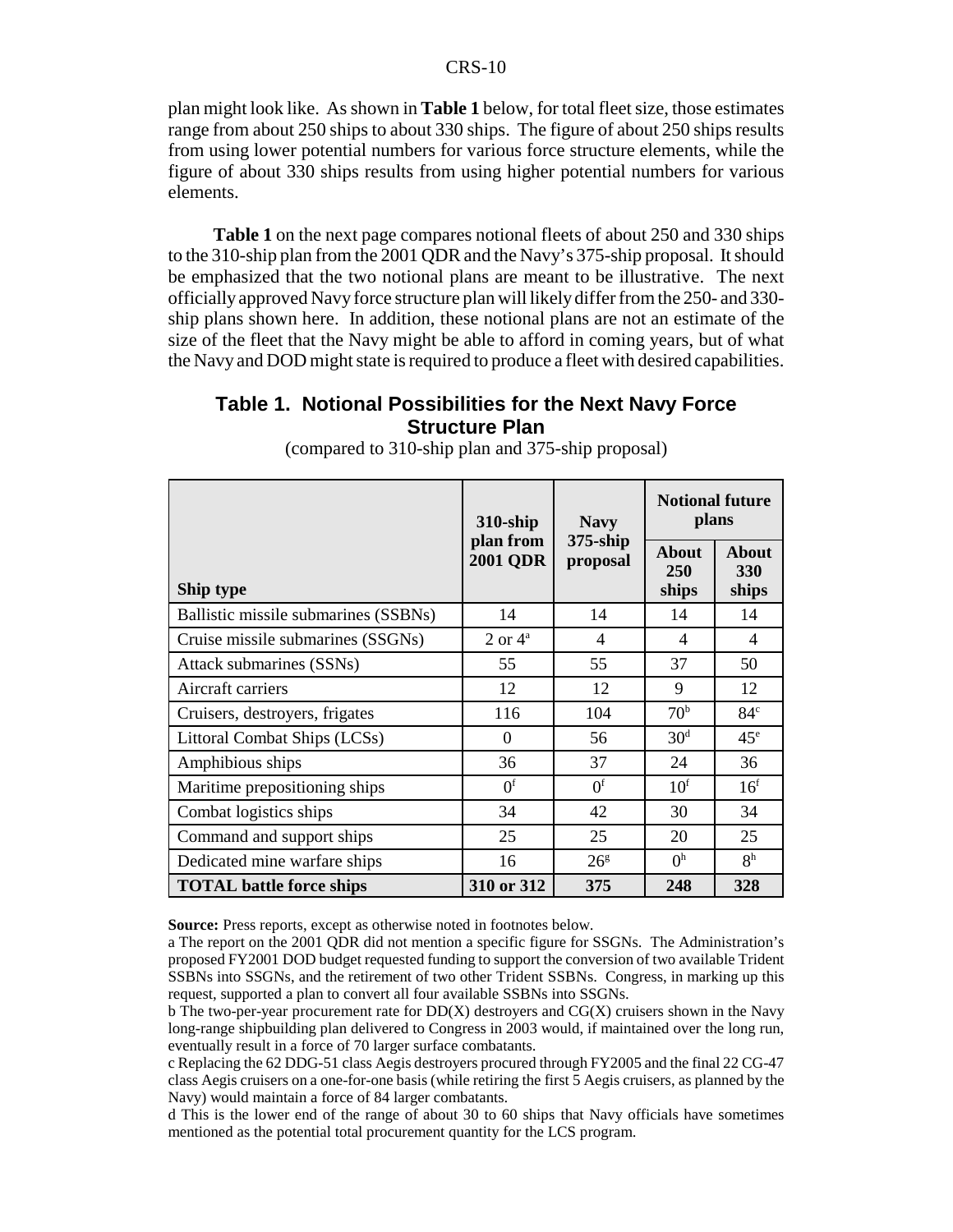plan might look like. As shown in **Table 1** below, for total fleet size, those estimates range from about 250 ships to about 330 ships. The figure of about 250 ships results from using lower potential numbers for various force structure elements, while the figure of about 330 ships results from using higher potential numbers for various elements.

 **Table 1** on the next page compares notional fleets of about 250 and 330 ships to the 310-ship plan from the 2001 QDR and the Navy's 375-ship proposal. It should be emphasized that the two notional plans are meant to be illustrative. The next officially approved Navy force structure plan will likely differ from the 250- and 330 ship plans shown here. In addition, these notional plans are not an estimate of the size of the fleet that the Navy might be able to afford in coming years, but of what the Navy and DOD might state is required to produce a fleet with desired capabilities.

## **Table 1. Notional Possibilities for the Next Navy Force Structure Plan**

|                                      | $310$ -ship                  | <b>Navy</b>             | <b>Notional future</b><br>plans     |                                     |  |
|--------------------------------------|------------------------------|-------------------------|-------------------------------------|-------------------------------------|--|
| Ship type                            | plan from<br><b>2001 QDR</b> | $375$ -ship<br>proposal | <b>About</b><br><b>250</b><br>ships | <b>About</b><br><b>330</b><br>ships |  |
| Ballistic missile submarines (SSBNs) | 14                           | 14                      | 14                                  | 14                                  |  |
| Cruise missile submarines (SSGNs)    | $2 \text{ or } 4^{\text{a}}$ | 4                       | $\overline{4}$                      | $\overline{4}$                      |  |
| Attack submarines (SSNs)             | 55                           | 55                      | 37                                  | 50                                  |  |
| Aircraft carriers                    | 12                           | 12                      | 9                                   | 12                                  |  |
| Cruisers, destroyers, frigates       | 116                          | 104                     | 70 <sup>b</sup>                     | 84 <sup>c</sup>                     |  |
| Littoral Combat Ships (LCSs)         | $\Omega$                     | 56                      | 30 <sup>d</sup>                     | $45^{\circ}$                        |  |
| Amphibious ships                     | 36                           | 37                      | 24                                  | 36                                  |  |
| Maritime prepositioning ships        | 0 <sup>f</sup>               | 0 <sup>f</sup>          | 10 <sup>f</sup>                     | 16 <sup>f</sup>                     |  |
| Combat logistics ships               | 34                           | 42                      | 30                                  | 34                                  |  |
| Command and support ships            | 25                           | 25                      | 20                                  | 25                                  |  |
| Dedicated mine warfare ships         | 16                           | 26 <sup>g</sup>         | 0 <sup>h</sup>                      | 8 <sup>h</sup>                      |  |
| <b>TOTAL</b> battle force ships      | 310 or 312                   | 375                     | 248                                 | 328                                 |  |

(compared to 310-ship plan and 375-ship proposal)

**Source:** Press reports, except as otherwise noted in footnotes below.

d This is the lower end of the range of about 30 to 60 ships that Navy officials have sometimes mentioned as the potential total procurement quantity for the LCS program.

a The report on the 2001 QDR did not mention a specific figure for SSGNs. The Administration's proposed FY2001 DOD budget requested funding to support the conversion of two available Trident SSBNs into SSGNs, and the retirement of two other Trident SSBNs. Congress, in marking up this request, supported a plan to convert all four available SSBNs into SSGNs.

b The two-per-year procurement rate for DD(X) destroyers and CG(X) cruisers shown in the Navy long-range shipbuilding plan delivered to Congress in 2003 would, if maintained over the long run, eventually result in a force of 70 larger surface combatants.

c Replacing the 62 DDG-51 class Aegis destroyers procured through FY2005 and the final 22 CG-47 class Aegis cruisers on a one-for-one basis (while retiring the first 5 Aegis cruisers, as planned by the Navy) would maintain a force of 84 larger combatants.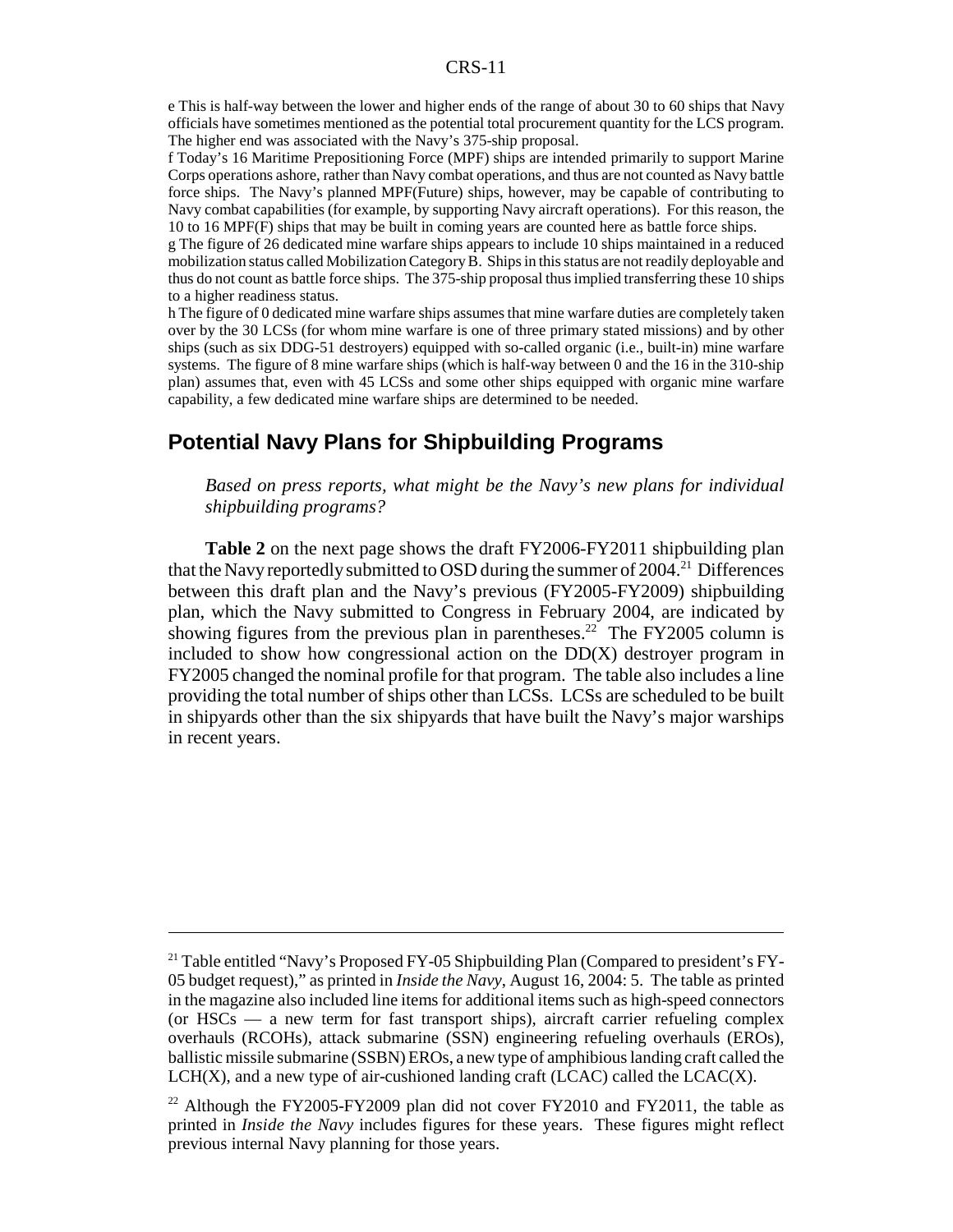e This is half-way between the lower and higher ends of the range of about 30 to 60 ships that Navy officials have sometimes mentioned as the potential total procurement quantity for the LCS program. The higher end was associated with the Navy's 375-ship proposal.

f Today's 16 Maritime Prepositioning Force (MPF) ships are intended primarily to support Marine Corps operations ashore, rather than Navy combat operations, and thus are not counted as Navy battle force ships. The Navy's planned MPF(Future) ships, however, may be capable of contributing to Navy combat capabilities (for example, by supporting Navy aircraft operations). For this reason, the 10 to 16 MPF(F) ships that may be built in coming years are counted here as battle force ships.

g The figure of 26 dedicated mine warfare ships appears to include 10 ships maintained in a reduced mobilization status called Mobilization Category B. Ships in this status are not readily deployable and thus do not count as battle force ships. The 375-ship proposal thus implied transferring these 10 ships to a higher readiness status.

h The figure of 0 dedicated mine warfare ships assumes that mine warfare duties are completely taken over by the 30 LCSs (for whom mine warfare is one of three primary stated missions) and by other ships (such as six DDG-51 destroyers) equipped with so-called organic (i.e., built-in) mine warfare systems. The figure of 8 mine warfare ships (which is half-way between 0 and the 16 in the 310-ship plan) assumes that, even with 45 LCSs and some other ships equipped with organic mine warfare capability, a few dedicated mine warfare ships are determined to be needed.

## **Potential Navy Plans for Shipbuilding Programs**

*Based on press reports, what might be the Navy's new plans for individual shipbuilding programs?*

**Table 2** on the next page shows the draft FY2006-FY2011 shipbuilding plan that the Navy reportedly submitted to OSD during the summer of  $2004$ <sup>21</sup> Differences between this draft plan and the Navy's previous (FY2005-FY2009) shipbuilding plan, which the Navy submitted to Congress in February 2004, are indicated by showing figures from the previous plan in parentheses.<sup>22</sup> The FY2005 column is included to show how congressional action on the  $DD(X)$  destroyer program in FY2005 changed the nominal profile for that program. The table also includes a line providing the total number of ships other than LCSs. LCSs are scheduled to be built in shipyards other than the six shipyards that have built the Navy's major warships in recent years.

<sup>&</sup>lt;sup>21</sup> Table entitled "Navy's Proposed FY-05 Shipbuilding Plan (Compared to president's FY-05 budget request)," as printed in *Inside the Navy*, August 16, 2004: 5. The table as printed in the magazine also included line items for additional items such as high-speed connectors (or HSCs — a new term for fast transport ships), aircraft carrier refueling complex overhauls (RCOHs), attack submarine (SSN) engineering refueling overhauls (EROs), ballistic missile submarine (SSBN) EROs, a new type of amphibious landing craft called the LCH(X), and a new type of air-cushioned landing craft (LCAC) called the LCAC(X).

<sup>&</sup>lt;sup>22</sup> Although the FY2005-FY2009 plan did not cover FY2010 and FY2011, the table as printed in *Inside the Navy* includes figures for these years. These figures might reflect previous internal Navy planning for those years.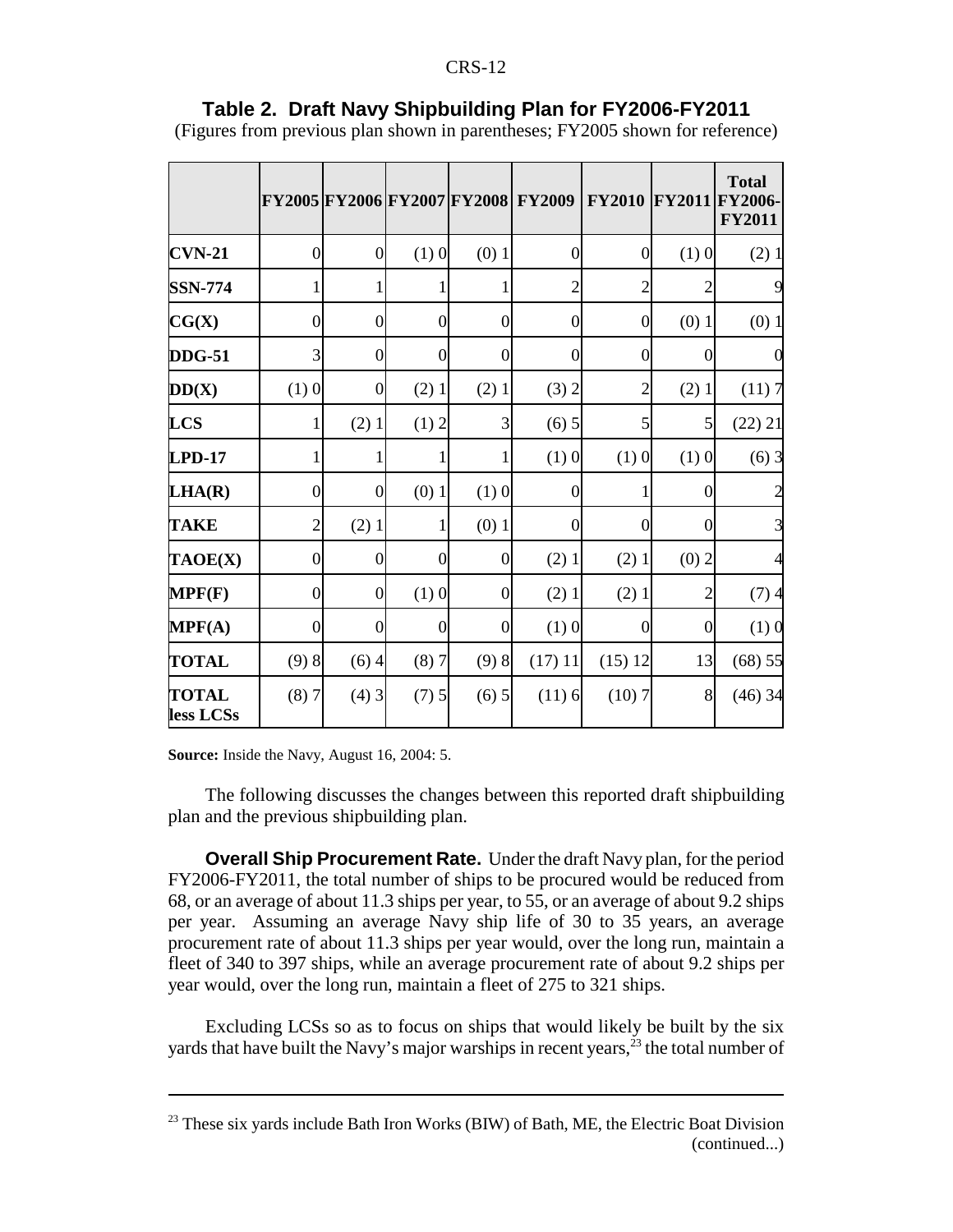|                           |                    |                  |                    |                  | FY2005 FY2006 FY2007 FY2008 FY2009 | <b>FY2010 FY2011</b> |                  | <b>Total</b><br><b>FY2006-</b><br><b>FY2011</b> |
|---------------------------|--------------------|------------------|--------------------|------------------|------------------------------------|----------------------|------------------|-------------------------------------------------|
| $CVM-21$                  | $\overline{0}$     | $\overline{0}$   | $(1)$ 0            | $(0)$ 1          | $\boldsymbol{0}$                   | $\overline{0}$       | $(1)$ 0          | (2)1                                            |
| <b>SSN-774</b>            | 1                  |                  |                    |                  | $\overline{c}$                     | $\overline{2}$       | $\overline{c}$   |                                                 |
| CG(X)                     | $\boldsymbol{0}$   | $\boldsymbol{0}$ | $\boldsymbol{0}$   | $\boldsymbol{0}$ | $\boldsymbol{0}$                   | $\boldsymbol{0}$     | $(0)$ 1          | $(0)$ 1                                         |
| <b>DDG-51</b>             | 3                  | $\overline{0}$   | $\overline{0}$     | $\boldsymbol{0}$ | $\mathbf{0}$                       | $\mathbf{0}$         | $\boldsymbol{0}$ |                                                 |
| DD(X)                     | $(1)$ <sup>0</sup> | $\Omega$         | $(2)$ 1            | $(2)$ 1          | (3) 2                              | $\overline{2}$       | $(2)$ 1          | (11)7                                           |
| <b>LCS</b>                | 1                  | $(2)$ 1          | (1) 2              | 3                | (6) 5                              | 5                    | 5                | (22) 21                                         |
| $LPD-17$                  | 1                  |                  |                    |                  | $(1)$ 0                            | $(1)$ 0              | $(1)$ 0          | (6)3                                            |
| LHA(R)                    | $\boldsymbol{0}$   | $\boldsymbol{0}$ | $(0)$ 1            | $(1)$ 0          | $\boldsymbol{0}$                   | 1                    | $\boldsymbol{0}$ |                                                 |
| <b>TAKE</b>               | $\overline{2}$     | $(2)$ 1          | 1                  | $(0)$ 1          | $\mathbf{0}$                       | $\mathbf{0}$         | $\overline{0}$   |                                                 |
| TAOE(X)                   | $\overline{0}$     | $\Omega$         | $\mathbf{0}$       | $\theta$         | (2)1                               | $(2)$ 1              | $(0)$ 2          |                                                 |
| MPF(F)                    | $\mathbf{0}$       | $\mathbf{0}$     | $(1)$ <sup>0</sup> | $\overline{0}$   | (2)1                               | $(2)$ 1              | 2                | (7)4                                            |
| MPF(A)                    | $\boldsymbol{0}$   | $\Omega$         | $\overline{0}$     | $\theta$         | $(1)$ 0                            | $\boldsymbol{0}$     | $\theta$         | (1)0                                            |
| <b>TOTAL</b>              | (9)8               | (6)4             | (8)7               | (9)8             | (17) 11                            | (15) 12              | 13               | (68) 55                                         |
| <b>TOTAL</b><br>less LCSs | (8)7               | $(4)$ 3          | (7) 5              | (6) 5            | (11)6                              | (10)7                | 8                | $(46)$ 34                                       |

## **Table 2. Draft Navy Shipbuilding Plan for FY2006-FY2011**

(Figures from previous plan shown in parentheses; FY2005 shown for reference)

**Source:** Inside the Navy, August 16, 2004: 5.

The following discusses the changes between this reported draft shipbuilding plan and the previous shipbuilding plan.

**Overall Ship Procurement Rate.** Under the draft Navy plan, for the period FY2006-FY2011, the total number of ships to be procured would be reduced from 68, or an average of about 11.3 ships per year, to 55, or an average of about 9.2 ships per year. Assuming an average Navy ship life of 30 to 35 years, an average procurement rate of about 11.3 ships per year would, over the long run, maintain a fleet of 340 to 397 ships, while an average procurement rate of about 9.2 ships per year would, over the long run, maintain a fleet of 275 to 321 ships.

Excluding LCSs so as to focus on ships that would likely be built by the six yards that have built the Navy's major warships in recent years,  $2^3$  the total number of

 $23$  These six yards include Bath Iron Works (BIW) of Bath, ME, the Electric Boat Division (continued...)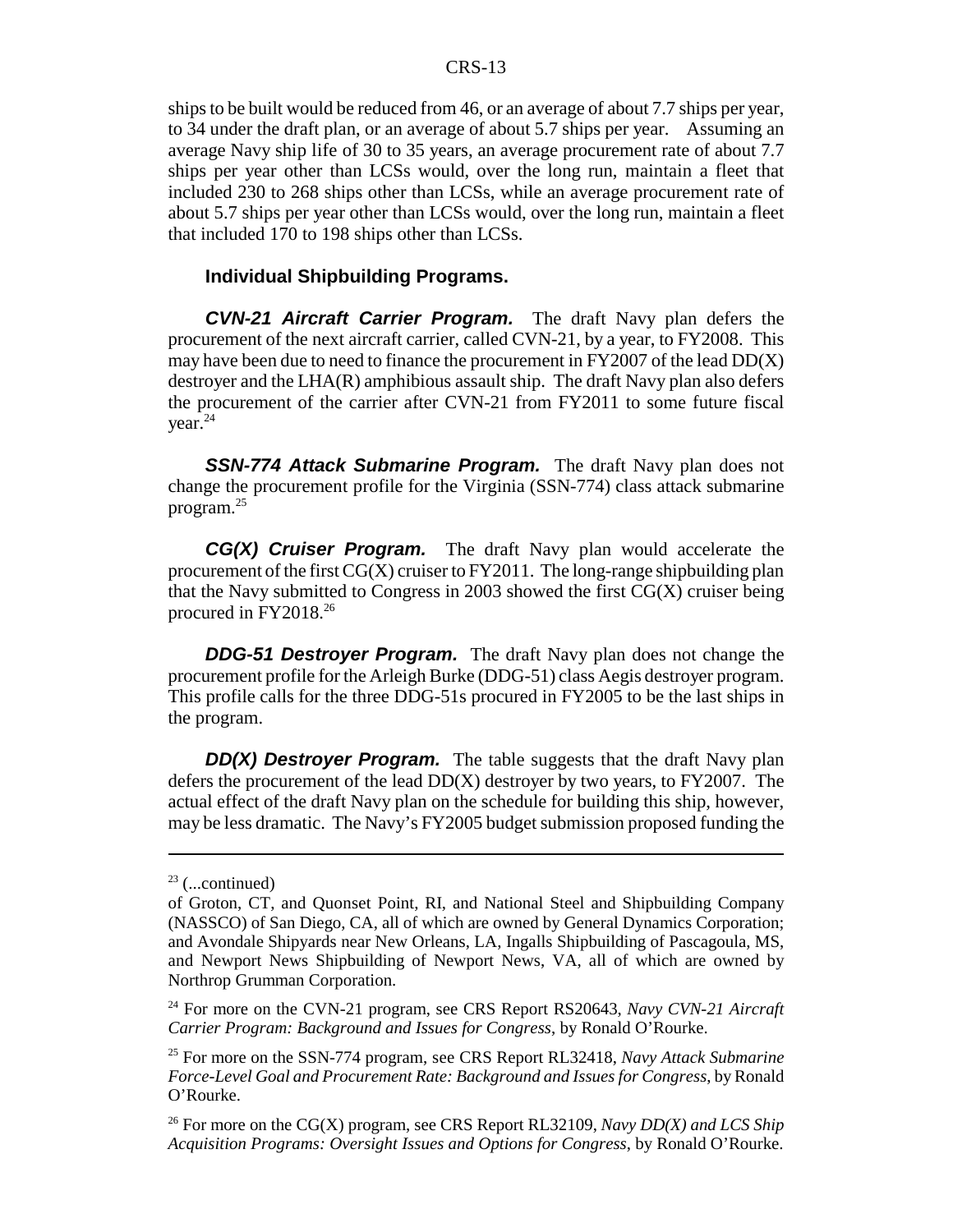ships to be built would be reduced from 46, or an average of about 7.7 ships per year, to 34 under the draft plan, or an average of about 5.7 ships per year. Assuming an average Navy ship life of 30 to 35 years, an average procurement rate of about 7.7 ships per year other than LCSs would, over the long run, maintain a fleet that included 230 to 268 ships other than LCSs, while an average procurement rate of about 5.7 ships per year other than LCSs would, over the long run, maintain a fleet that included 170 to 198 ships other than LCSs.

### **Individual Shipbuilding Programs.**

*CVN-21 Aircraft Carrier Program.* The draft Navy plan defers the procurement of the next aircraft carrier, called CVN-21, by a year, to FY2008. This may have been due to need to finance the procurement in FY2007 of the lead DD(X) destroyer and the LHA(R) amphibious assault ship. The draft Navy plan also defers the procurement of the carrier after CVN-21 from FY2011 to some future fiscal vear. $^{24}$ 

*SSN-774 Attack Submarine Program.* The draft Navy plan does not change the procurement profile for the Virginia (SSN-774) class attack submarine program.25

*CG(X) Cruiser Program.* The draft Navy plan would accelerate the procurement of the first  $CG(X)$  cruiser to  $FY2011$ . The long-range shipbuilding plan that the Navy submitted to Congress in 2003 showed the first  $CG(X)$  cruiser being procured in FY2018.26

*DDG-51 Destroyer Program.* The draft Navy plan does not change the procurement profile for the Arleigh Burke (DDG-51) class Aegis destroyer program. This profile calls for the three DDG-51s procured in FY2005 to be the last ships in the program.

*DD(X) Destroyer Program.* The table suggests that the draft Navy plan defers the procurement of the lead  $DD(X)$  destroyer by two years, to  $FY2007$ . The actual effect of the draft Navy plan on the schedule for building this ship, however, may be less dramatic. The Navy's FY2005 budget submission proposed funding the

 $23$  (...continued)

of Groton, CT, and Quonset Point, RI, and National Steel and Shipbuilding Company (NASSCO) of San Diego, CA, all of which are owned by General Dynamics Corporation; and Avondale Shipyards near New Orleans, LA, Ingalls Shipbuilding of Pascagoula, MS, and Newport News Shipbuilding of Newport News, VA, all of which are owned by Northrop Grumman Corporation.

<sup>24</sup> For more on the CVN-21 program, see CRS Report RS20643, *Navy CVN-21 Aircraft Carrier Program: Background and Issues for Congress*, by Ronald O'Rourke.

<sup>25</sup> For more on the SSN-774 program, see CRS Report RL32418, *Navy Attack Submarine Force-Level Goal and Procurement Rate: Background and Issues for Congress*, by Ronald O'Rourke.

<sup>26</sup> For more on the CG(X) program, see CRS Report RL32109, *Navy DD(X) and LCS Ship Acquisition Programs: Oversight Issues and Options for Congress*, by Ronald O'Rourke.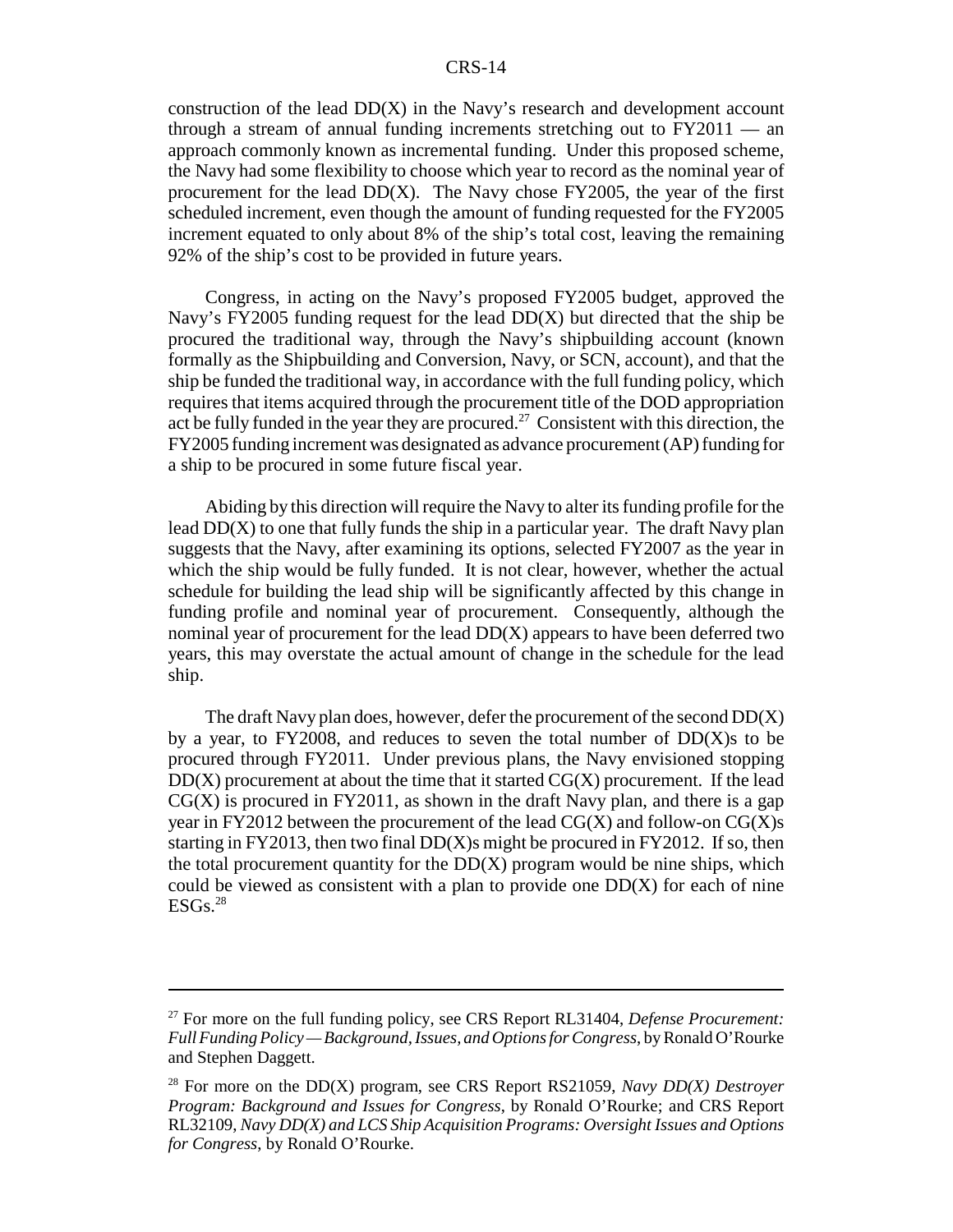construction of the lead DD(X) in the Navy's research and development account through a stream of annual funding increments stretching out to FY2011 — an approach commonly known as incremental funding. Under this proposed scheme, the Navy had some flexibility to choose which year to record as the nominal year of procurement for the lead  $DD(X)$ . The Navy chose FY2005, the year of the first scheduled increment, even though the amount of funding requested for the FY2005 increment equated to only about 8% of the ship's total cost, leaving the remaining 92% of the ship's cost to be provided in future years.

Congress, in acting on the Navy's proposed FY2005 budget, approved the Navy's FY2005 funding request for the lead  $DD(X)$  but directed that the ship be procured the traditional way, through the Navy's shipbuilding account (known formally as the Shipbuilding and Conversion, Navy, or SCN, account), and that the ship be funded the traditional way, in accordance with the full funding policy, which requires that items acquired through the procurement title of the DOD appropriation act be fully funded in the year they are procured.<sup>27</sup> Consistent with this direction, the FY2005 funding increment was designated as advance procurement (AP) funding for a ship to be procured in some future fiscal year.

Abiding by this direction will require the Navy to alter its funding profile for the lead  $DD(X)$  to one that fully funds the ship in a particular year. The draft Navy plan suggests that the Navy, after examining its options, selected FY2007 as the year in which the ship would be fully funded. It is not clear, however, whether the actual schedule for building the lead ship will be significantly affected by this change in funding profile and nominal year of procurement. Consequently, although the nominal year of procurement for the lead DD(X) appears to have been deferred two years, this may overstate the actual amount of change in the schedule for the lead ship.

The draft Navy plan does, however, defer the procurement of the second DD(X) by a year, to  $FY2008$ , and reduces to seven the total number of  $DD(X)$ s to be procured through FY2011. Under previous plans, the Navy envisioned stopping  $DD(X)$  procurement at about the time that it started  $CG(X)$  procurement. If the lead  $CG(X)$  is procured in FY2011, as shown in the draft Navy plan, and there is a gap year in FY2012 between the procurement of the lead  $CG(X)$  and follow-on  $CG(X)$ s starting in FY2013, then two final  $DD(X)$ s might be procured in FY2012. If so, then the total procurement quantity for the  $DD(X)$  program would be nine ships, which could be viewed as consistent with a plan to provide one  $DD(X)$  for each of nine  $ESGs.<sup>28</sup>$ 

<sup>27</sup> For more on the full funding policy, see CRS Report RL31404, *Defense Procurement: Full Funding Policy — Background, Issues, and Options for Congress*, by Ronald O'Rourke and Stephen Daggett.

<sup>28</sup> For more on the DD(X) program, see CRS Report RS21059, *Navy DD(X) Destroyer Program: Background and Issues for Congress*, by Ronald O'Rourke; and CRS Report RL32109, *Navy DD(X) and LCS Ship Acquisition Programs: Oversight Issues and Options for Congress*, by Ronald O'Rourke.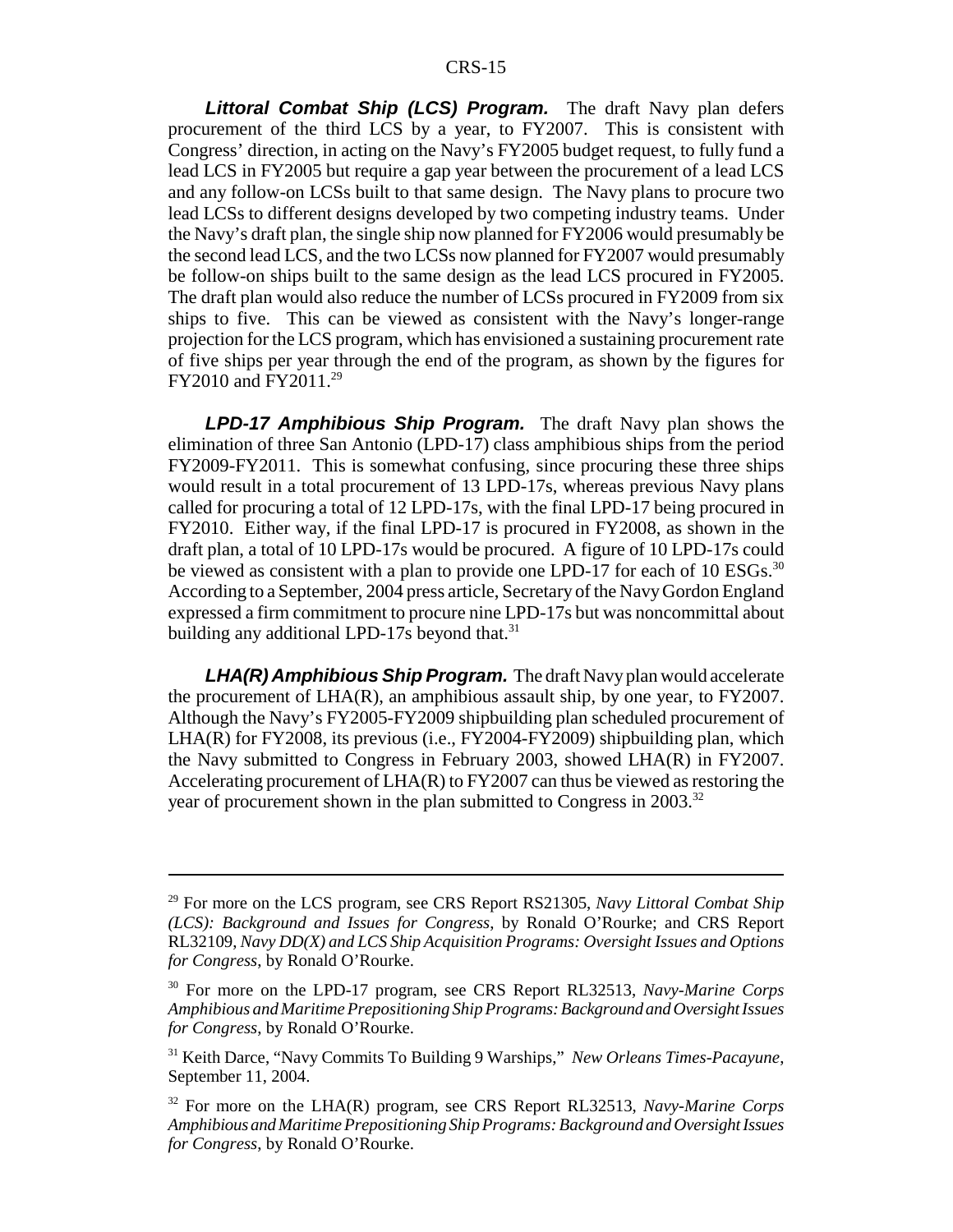*Littoral Combat Ship (LCS) Program.* The draft Navy plan defers procurement of the third LCS by a year, to FY2007. This is consistent with Congress' direction, in acting on the Navy's FY2005 budget request, to fully fund a lead LCS in FY2005 but require a gap year between the procurement of a lead LCS and any follow-on LCSs built to that same design. The Navy plans to procure two lead LCSs to different designs developed by two competing industry teams. Under the Navy's draft plan, the single ship now planned for FY2006 would presumably be the second lead LCS, and the two LCSs now planned for FY2007 would presumably be follow-on ships built to the same design as the lead LCS procured in FY2005. The draft plan would also reduce the number of LCSs procured in FY2009 from six ships to five. This can be viewed as consistent with the Navy's longer-range projection for the LCS program, which has envisioned a sustaining procurement rate of five ships per year through the end of the program, as shown by the figures for FY2010 and FY2011.29

*LPD-17 Amphibious Ship Program.* The draft Navy plan shows the elimination of three San Antonio (LPD-17) class amphibious ships from the period FY2009-FY2011. This is somewhat confusing, since procuring these three ships would result in a total procurement of 13 LPD-17s, whereas previous Navy plans called for procuring a total of 12 LPD-17s, with the final LPD-17 being procured in FY2010. Either way, if the final LPD-17 is procured in FY2008, as shown in the draft plan, a total of 10 LPD-17s would be procured. A figure of 10 LPD-17s could be viewed as consistent with a plan to provide one LPD-17 for each of 10  $ESGs$ .<sup>30</sup> According to a September, 2004 press article, Secretary of the Navy Gordon England expressed a firm commitment to procure nine LPD-17s but was noncommittal about building any additional LPD-17s beyond that. $31$ 

*LHA(R) Amphibious Ship Program.* The draft Navy plan would accelerate the procurement of  $LHA(R)$ , an amphibious assault ship, by one year, to  $FY2007$ . Although the Navy's FY2005-FY2009 shipbuilding plan scheduled procurement of LHA(R) for FY2008, its previous (i.e., FY2004-FY2009) shipbuilding plan, which the Navy submitted to Congress in February 2003, showed LHA(R) in FY2007. Accelerating procurement of LHA(R) to FY2007 can thus be viewed as restoring the year of procurement shown in the plan submitted to Congress in 2003.<sup>32</sup>

<sup>29</sup> For more on the LCS program, see CRS Report RS21305, *Navy Littoral Combat Ship (LCS): Background and Issues for Congress*, by Ronald O'Rourke; and CRS Report RL32109, *Navy DD(X) and LCS Ship Acquisition Programs: Oversight Issues and Options for Congress*, by Ronald O'Rourke.

<sup>30</sup> For more on the LPD-17 program, see CRS Report RL32513, *Navy-Marine Corps Amphibious and Maritime Prepositioning Ship Programs: Background and Oversight Issues for Congress*, by Ronald O'Rourke.

<sup>31</sup> Keith Darce, "Navy Commits To Building 9 Warships," *New Orleans Times-Pacayune*, September 11, 2004.

<sup>32</sup> For more on the LHA(R) program, see CRS Report RL32513, *Navy-Marine Corps Amphibious and Maritime Prepositioning Ship Programs: Background and Oversight Issues for Congress*, by Ronald O'Rourke.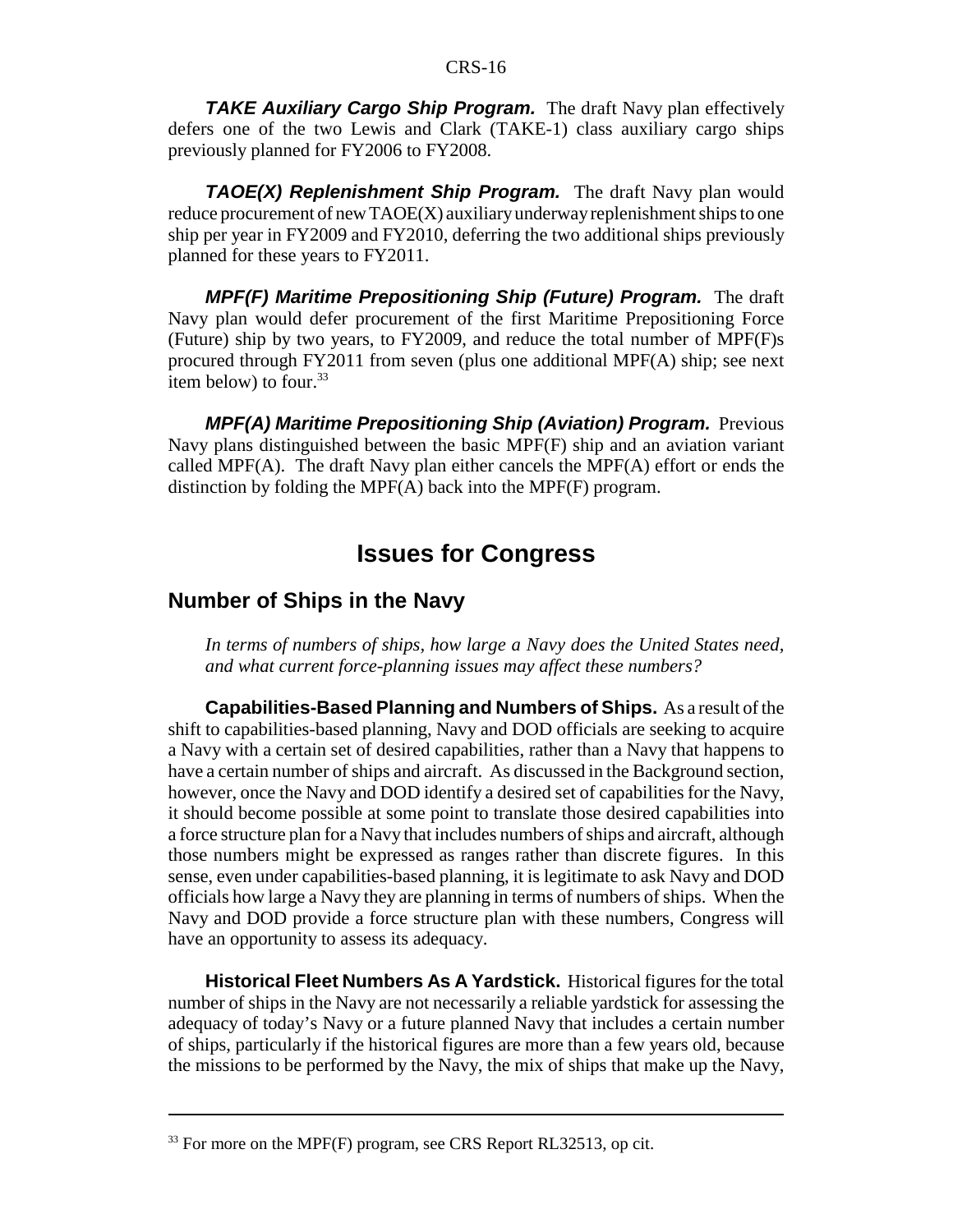*TAKE Auxiliary Cargo Ship Program.* The draft Navy plan effectively defers one of the two Lewis and Clark (TAKE-1) class auxiliary cargo ships previously planned for FY2006 to FY2008.

*TAOE(X) Replenishment Ship Program.* The draft Navy plan would reduce procurement of new TAOE(X) auxiliary underway replenishment ships to one ship per year in FY2009 and FY2010, deferring the two additional ships previously planned for these years to FY2011.

*MPF(F) Maritime Prepositioning Ship (Future) Program.* The draft Navy plan would defer procurement of the first Maritime Prepositioning Force (Future) ship by two years, to FY2009, and reduce the total number of MPF(F)s procured through FY2011 from seven (plus one additional MPF(A) ship; see next item below) to four. $33$ 

*MPF(A) Maritime Prepositioning Ship (Aviation) Program.* Previous Navy plans distinguished between the basic MPF(F) ship and an aviation variant called MPF(A). The draft Navy plan either cancels the MPF(A) effort or ends the distinction by folding the MPF(A) back into the MPF(F) program.

## **Issues for Congress**

## **Number of Ships in the Navy**

*In terms of numbers of ships, how large a Navy does the United States need, and what current force-planning issues may affect these numbers?*

**Capabilities-Based Planning and Numbers of Ships.** As a result of the shift to capabilities-based planning, Navy and DOD officials are seeking to acquire a Navy with a certain set of desired capabilities, rather than a Navy that happens to have a certain number of ships and aircraft. As discussed in the Background section, however, once the Navy and DOD identify a desired set of capabilities for the Navy, it should become possible at some point to translate those desired capabilities into a force structure plan for a Navy that includes numbers of ships and aircraft, although those numbers might be expressed as ranges rather than discrete figures. In this sense, even under capabilities-based planning, it is legitimate to ask Navy and DOD officials how large a Navy they are planning in terms of numbers of ships. When the Navy and DOD provide a force structure plan with these numbers, Congress will have an opportunity to assess its adequacy.

**Historical Fleet Numbers As A Yardstick.** Historical figures for the total number of ships in the Navy are not necessarily a reliable yardstick for assessing the adequacy of today's Navy or a future planned Navy that includes a certain number of ships, particularly if the historical figures are more than a few years old, because the missions to be performed by the Navy, the mix of ships that make up the Navy,

 $33$  For more on the MPF(F) program, see CRS Report RL32513, op cit.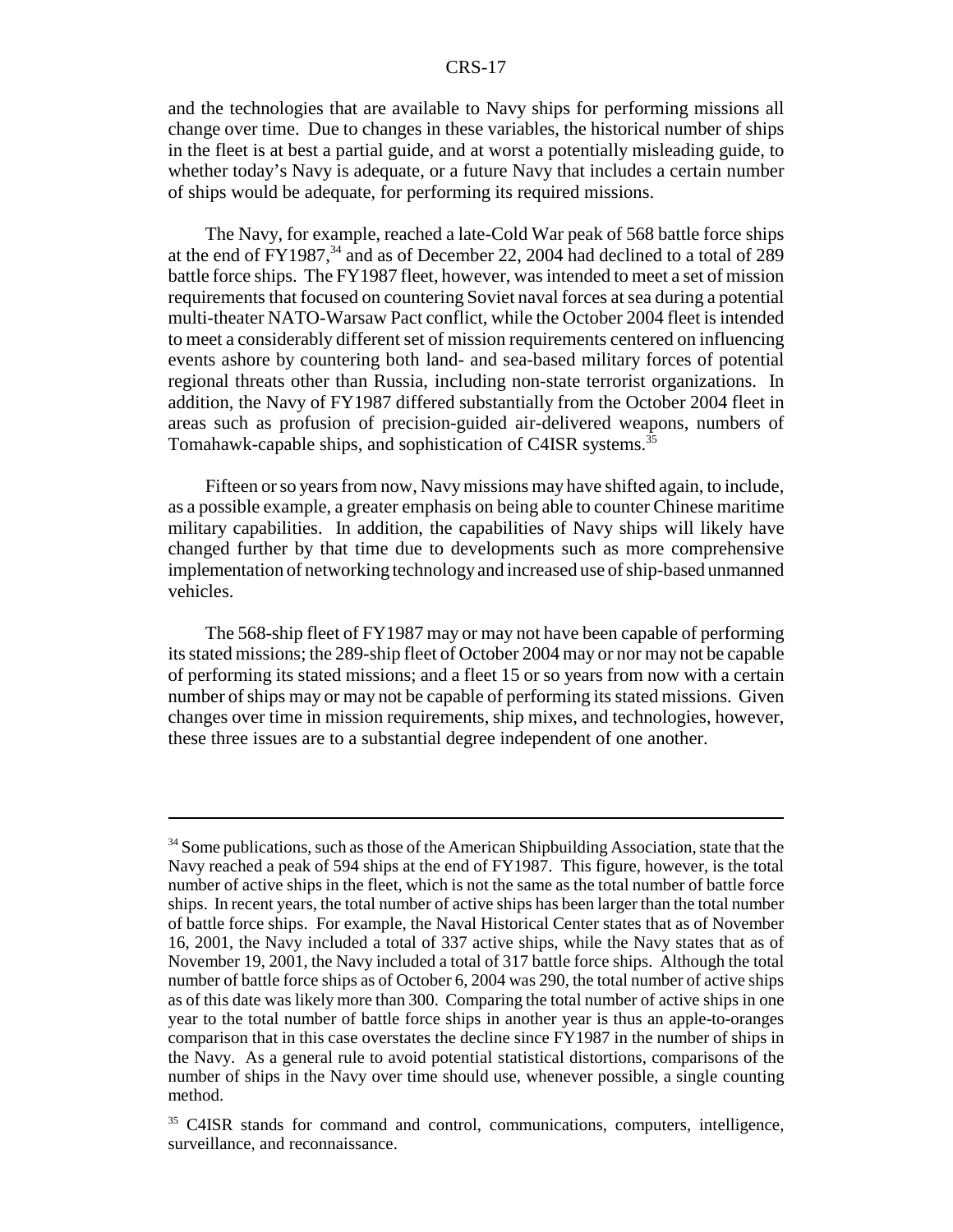and the technologies that are available to Navy ships for performing missions all change over time. Due to changes in these variables, the historical number of ships in the fleet is at best a partial guide, and at worst a potentially misleading guide, to whether today's Navy is adequate, or a future Navy that includes a certain number of ships would be adequate, for performing its required missions.

The Navy, for example, reached a late-Cold War peak of 568 battle force ships at the end of FY1987, $34$  and as of December 22, 2004 had declined to a total of 289 battle force ships. The FY1987 fleet, however, was intended to meet a set of mission requirements that focused on countering Soviet naval forces at sea during a potential multi-theater NATO-Warsaw Pact conflict, while the October 2004 fleet is intended to meet a considerably different set of mission requirements centered on influencing events ashore by countering both land- and sea-based military forces of potential regional threats other than Russia, including non-state terrorist organizations. In addition, the Navy of FY1987 differed substantially from the October 2004 fleet in areas such as profusion of precision-guided air-delivered weapons, numbers of Tomahawk-capable ships, and sophistication of C4ISR systems.<sup>35</sup>

Fifteen or so years from now, Navy missions may have shifted again, to include, as a possible example, a greater emphasis on being able to counter Chinese maritime military capabilities. In addition, the capabilities of Navy ships will likely have changed further by that time due to developments such as more comprehensive implementation of networking technology and increased use of ship-based unmanned vehicles.

The 568-ship fleet of FY1987 may or may not have been capable of performing its stated missions; the 289-ship fleet of October 2004 may or nor may not be capable of performing its stated missions; and a fleet 15 or so years from now with a certain number of ships may or may not be capable of performing its stated missions. Given changes over time in mission requirements, ship mixes, and technologies, however, these three issues are to a substantial degree independent of one another.

<sup>&</sup>lt;sup>34</sup> Some publications, such as those of the American Shipbuilding Association, state that the Navy reached a peak of 594 ships at the end of FY1987. This figure, however, is the total number of active ships in the fleet, which is not the same as the total number of battle force ships. In recent years, the total number of active ships has been larger than the total number of battle force ships. For example, the Naval Historical Center states that as of November 16, 2001, the Navy included a total of 337 active ships, while the Navy states that as of November 19, 2001, the Navy included a total of 317 battle force ships. Although the total number of battle force ships as of October 6, 2004 was 290, the total number of active ships as of this date was likely more than 300. Comparing the total number of active ships in one year to the total number of battle force ships in another year is thus an apple-to-oranges comparison that in this case overstates the decline since FY1987 in the number of ships in the Navy. As a general rule to avoid potential statistical distortions, comparisons of the number of ships in the Navy over time should use, whenever possible, a single counting method.

<sup>&</sup>lt;sup>35</sup> C4ISR stands for command and control, communications, computers, intelligence, surveillance, and reconnaissance.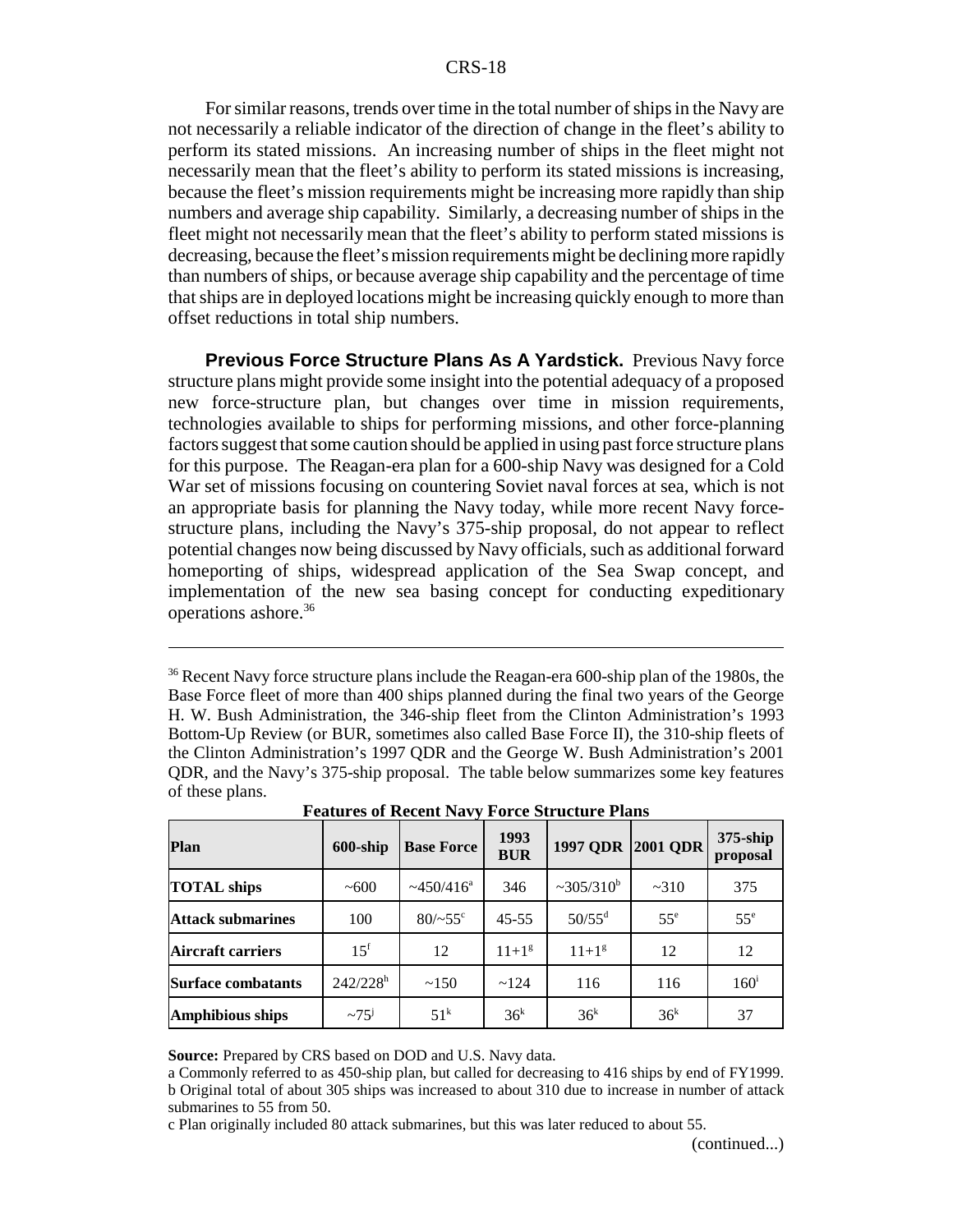For similar reasons, trends over time in the total number of ships in the Navy are not necessarily a reliable indicator of the direction of change in the fleet's ability to perform its stated missions. An increasing number of ships in the fleet might not necessarily mean that the fleet's ability to perform its stated missions is increasing, because the fleet's mission requirements might be increasing more rapidly than ship numbers and average ship capability. Similarly, a decreasing number of ships in the fleet might not necessarily mean that the fleet's ability to perform stated missions is decreasing, because the fleet's mission requirements might be declining more rapidly than numbers of ships, or because average ship capability and the percentage of time that ships are in deployed locations might be increasing quickly enough to more than offset reductions in total ship numbers.

**Previous Force Structure Plans As A Yardstick.** Previous Navy force structure plans might provide some insight into the potential adequacy of a proposed new force-structure plan, but changes over time in mission requirements, technologies available to ships for performing missions, and other force-planning factors suggest that some caution should be applied in using past force structure plans for this purpose. The Reagan-era plan for a 600-ship Navy was designed for a Cold War set of missions focusing on countering Soviet naval forces at sea, which is not an appropriate basis for planning the Navy today, while more recent Navy forcestructure plans, including the Navy's 375-ship proposal, do not appear to reflect potential changes now being discussed by Navy officials, such as additional forward homeporting of ships, widespread application of the Sea Swap concept, and implementation of the new sea basing concept for conducting expeditionary operations ashore.36

<sup>36</sup> Recent Navy force structure plans include the Reagan-era 600-ship plan of the 1980s, the Base Force fleet of more than 400 ships planned during the final two years of the George H. W. Bush Administration, the 346-ship fleet from the Clinton Administration's 1993 Bottom-Up Review (or BUR, sometimes also called Base Force II), the 310-ship fleets of the Clinton Administration's 1997 QDR and the George W. Bush Administration's 2001 QDR, and the Navy's 375-ship proposal. The table below summarizes some key features of these plans.

| Plan                      | $600$ -ship            | <b>Base Force</b>           | 1993<br><b>BUR</b> | <b>1997 QDR</b> | <b>2001 QDR</b> | $375$ -ship<br>proposal |
|---------------------------|------------------------|-----------------------------|--------------------|-----------------|-----------------|-------------------------|
| <b>TOTAL</b> ships        | ~100                   | $\sim$ 450/416 <sup>a</sup> | 346                | $~205/310^b$    | ~2310           | 375                     |
| <b>Attack submarines</b>  | 100                    | $80/-55^{\circ}$            | $45 - 55$          | $50/55^d$       | 55 <sup>e</sup> | 55 <sup>e</sup>         |
| Aircraft carriers         | $15^{\rm f}$           | 12                          | $11+1^{g}$         | $11+1^{g}$      | 12              | 12                      |
| <b>Surface combatants</b> | $242/228$ <sup>h</sup> | ~150                        | ~124               | 116             | 116             | 160 <sup>i</sup>        |
| <b>Amphibious ships</b>   | $\sim 75^{\mathrm{j}}$ | $51^k$                      | 36 <sup>k</sup>    | 36 <sup>k</sup> | 36 <sup>k</sup> | 37                      |

**Features of Recent Navy Force Structure Plans**

**Source:** Prepared by CRS based on DOD and U.S. Navy data.

a Commonly referred to as 450-ship plan, but called for decreasing to 416 ships by end of FY1999. b Original total of about 305 ships was increased to about 310 due to increase in number of attack submarines to 55 from 50.

c Plan originally included 80 attack submarines, but this was later reduced to about 55.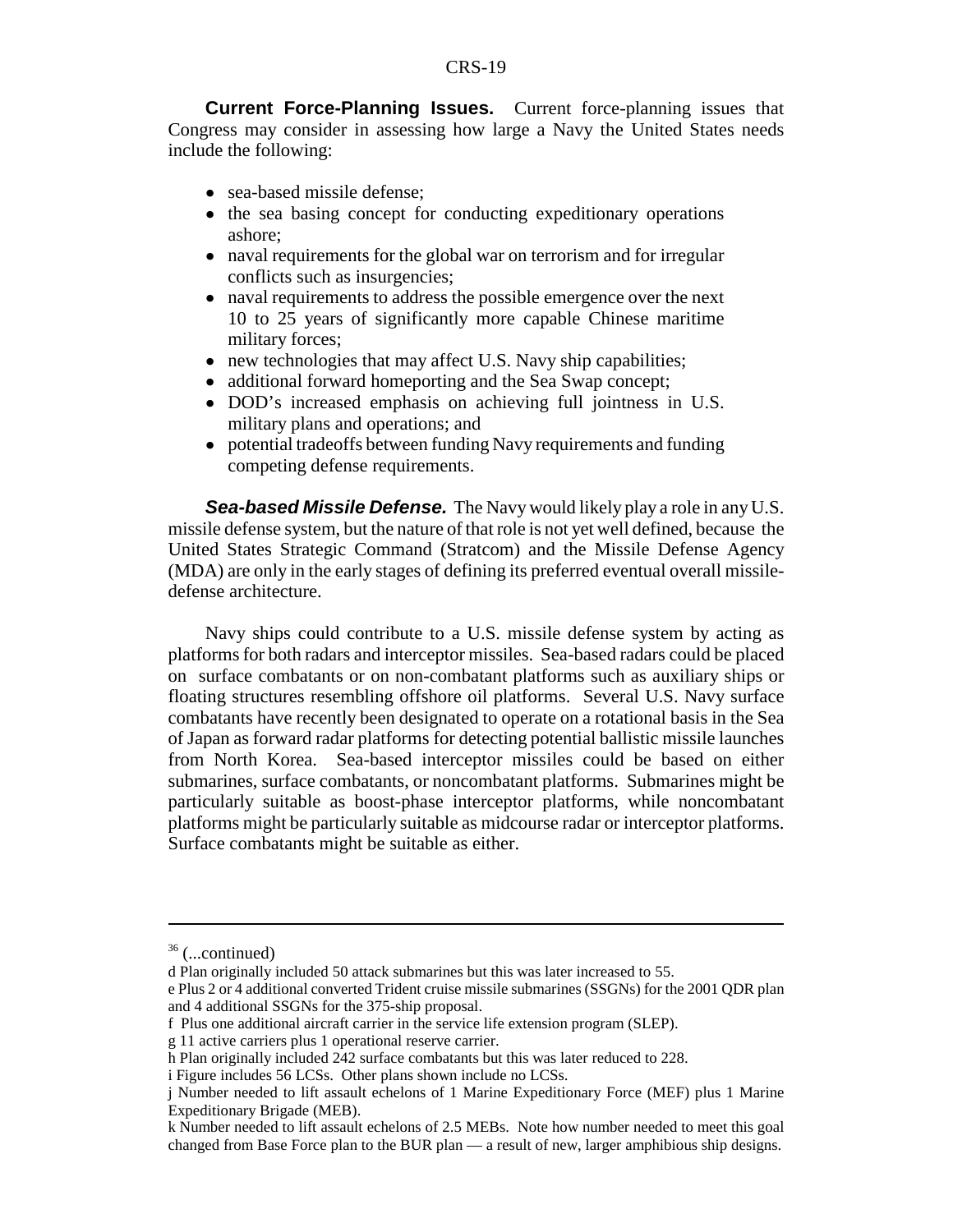**Current Force-Planning Issues.** Current force-planning issues that Congress may consider in assessing how large a Navy the United States needs include the following:

- sea-based missile defense:
- the sea basing concept for conducting expeditionary operations ashore;
- naval requirements for the global war on terrorism and for irregular conflicts such as insurgencies;
- ! naval requirements to address the possible emergence over the next 10 to 25 years of significantly more capable Chinese maritime military forces;
- new technologies that may affect U.S. Navy ship capabilities;
- additional forward homeporting and the Sea Swap concept;
- ! DOD's increased emphasis on achieving full jointness in U.S. military plans and operations; and
- potential tradeoffs between funding Navy requirements and funding competing defense requirements.

*Sea-based Missile Defense.* The Navy would likely play a role in any U.S. missile defense system, but the nature of that role is not yet well defined, because the United States Strategic Command (Stratcom) and the Missile Defense Agency (MDA) are only in the early stages of defining its preferred eventual overall missiledefense architecture.

Navy ships could contribute to a U.S. missile defense system by acting as platforms for both radars and interceptor missiles. Sea-based radars could be placed on surface combatants or on non-combatant platforms such as auxiliary ships or floating structures resembling offshore oil platforms. Several U.S. Navy surface combatants have recently been designated to operate on a rotational basis in the Sea of Japan as forward radar platforms for detecting potential ballistic missile launches from North Korea. Sea-based interceptor missiles could be based on either submarines, surface combatants, or noncombatant platforms. Submarines might be particularly suitable as boost-phase interceptor platforms, while noncombatant platforms might be particularly suitable as midcourse radar or interceptor platforms. Surface combatants might be suitable as either.

 $36$  (...continued)

d Plan originally included 50 attack submarines but this was later increased to 55.

e Plus 2 or 4 additional converted Trident cruise missile submarines (SSGNs) for the 2001 QDR plan and 4 additional SSGNs for the 375-ship proposal.

f Plus one additional aircraft carrier in the service life extension program (SLEP).

g 11 active carriers plus 1 operational reserve carrier.

h Plan originally included 242 surface combatants but this was later reduced to 228.

i Figure includes 56 LCSs. Other plans shown include no LCSs.

j Number needed to lift assault echelons of 1 Marine Expeditionary Force (MEF) plus 1 Marine Expeditionary Brigade (MEB).

k Number needed to lift assault echelons of 2.5 MEBs. Note how number needed to meet this goal changed from Base Force plan to the BUR plan — a result of new, larger amphibious ship designs.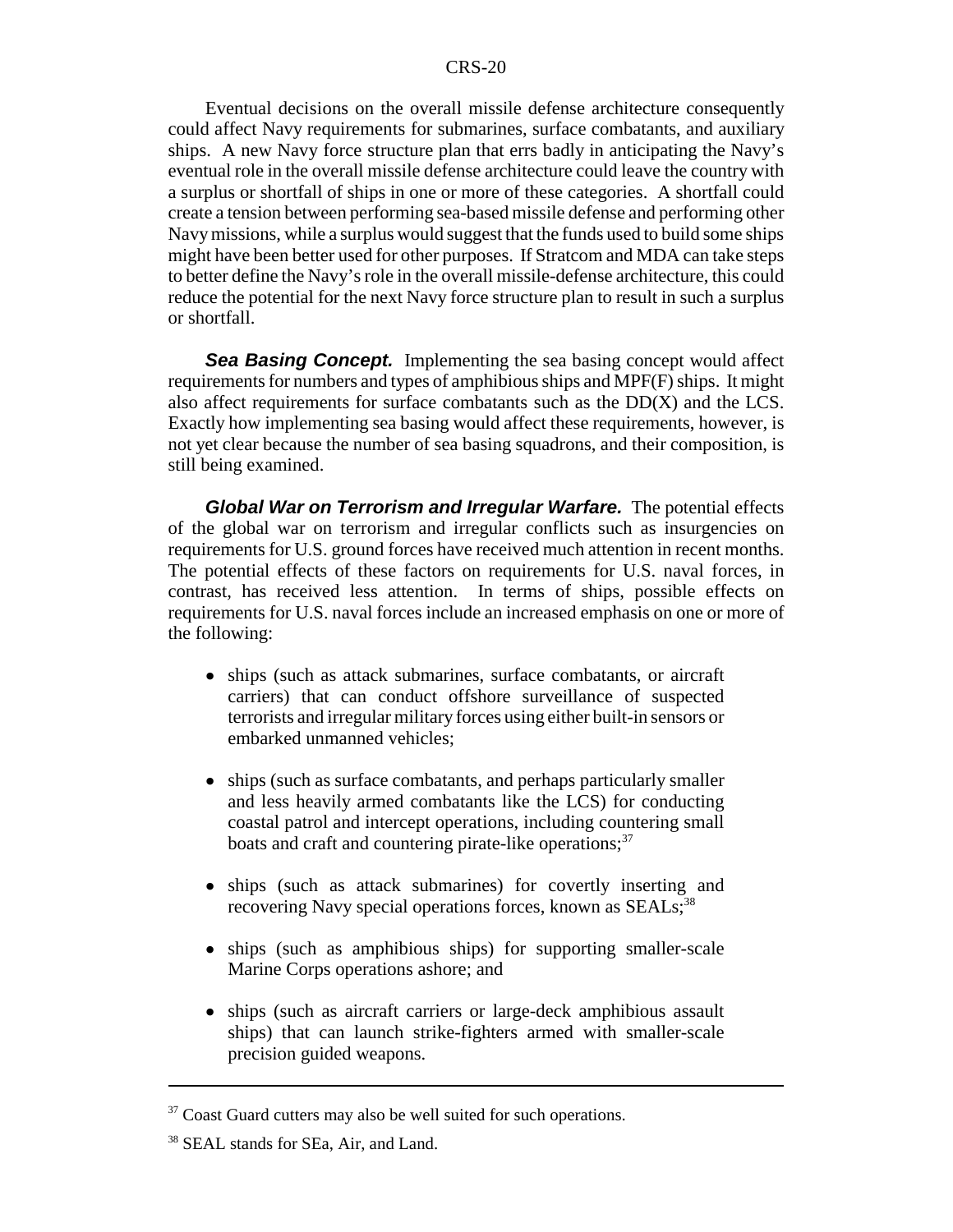Eventual decisions on the overall missile defense architecture consequently could affect Navy requirements for submarines, surface combatants, and auxiliary ships. A new Navy force structure plan that errs badly in anticipating the Navy's eventual role in the overall missile defense architecture could leave the country with a surplus or shortfall of ships in one or more of these categories. A shortfall could create a tension between performing sea-based missile defense and performing other Navy missions, while a surplus would suggest that the funds used to build some ships might have been better used for other purposes. If Stratcom and MDA can take steps to better define the Navy's role in the overall missile-defense architecture, this could reduce the potential for the next Navy force structure plan to result in such a surplus or shortfall.

**Sea Basing Concept.** Implementing the sea basing concept would affect requirements for numbers and types of amphibious ships and MPF(F) ships. It might also affect requirements for surface combatants such as the DD(X) and the LCS. Exactly how implementing sea basing would affect these requirements, however, is not yet clear because the number of sea basing squadrons, and their composition, is still being examined.

*Global War on Terrorism and Irregular Warfare.* The potential effects of the global war on terrorism and irregular conflicts such as insurgencies on requirements for U.S. ground forces have received much attention in recent months. The potential effects of these factors on requirements for U.S. naval forces, in contrast, has received less attention. In terms of ships, possible effects on requirements for U.S. naval forces include an increased emphasis on one or more of the following:

- ships (such as attack submarines, surface combatants, or aircraft carriers) that can conduct offshore surveillance of suspected terrorists and irregular military forces using either built-in sensors or embarked unmanned vehicles;
- ships (such as surface combatants, and perhaps particularly smaller and less heavily armed combatants like the LCS) for conducting coastal patrol and intercept operations, including countering small boats and craft and countering pirate-like operations;<sup>37</sup>
- ships (such as attack submarines) for covertly inserting and recovering Navy special operations forces, known as SEALs;<sup>38</sup>
- ships (such as amphibious ships) for supporting smaller-scale Marine Corps operations ashore; and
- ships (such as aircraft carriers or large-deck amphibious assault ships) that can launch strike-fighters armed with smaller-scale precision guided weapons.

 $37$  Coast Guard cutters may also be well suited for such operations.

<sup>&</sup>lt;sup>38</sup> SEAL stands for SEa, Air, and Land.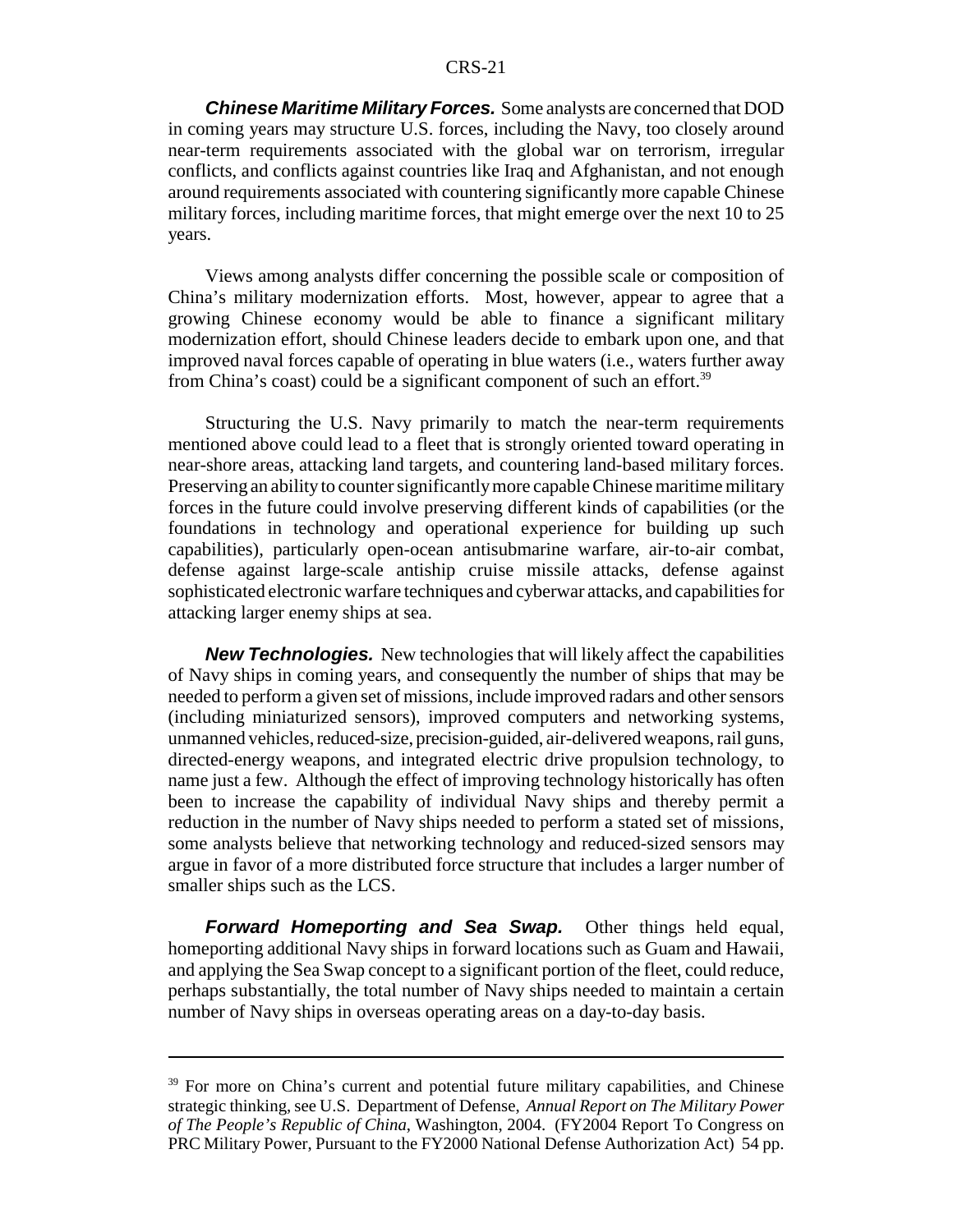*Chinese Maritime Military Forces.* Some analysts are concerned that DOD in coming years may structure U.S. forces, including the Navy, too closely around near-term requirements associated with the global war on terrorism, irregular conflicts, and conflicts against countries like Iraq and Afghanistan, and not enough around requirements associated with countering significantly more capable Chinese military forces, including maritime forces, that might emerge over the next 10 to 25 years.

Views among analysts differ concerning the possible scale or composition of China's military modernization efforts. Most, however, appear to agree that a growing Chinese economy would be able to finance a significant military modernization effort, should Chinese leaders decide to embark upon one, and that improved naval forces capable of operating in blue waters (i.e., waters further away from China's coast) could be a significant component of such an effort.<sup>39</sup>

Structuring the U.S. Navy primarily to match the near-term requirements mentioned above could lead to a fleet that is strongly oriented toward operating in near-shore areas, attacking land targets, and countering land-based military forces. Preserving an ability to counter significantly more capable Chinese maritime military forces in the future could involve preserving different kinds of capabilities (or the foundations in technology and operational experience for building up such capabilities), particularly open-ocean antisubmarine warfare, air-to-air combat, defense against large-scale antiship cruise missile attacks, defense against sophisticated electronic warfare techniques and cyberwar attacks, and capabilities for attacking larger enemy ships at sea.

*New Technologies.* New technologies that will likely affect the capabilities of Navy ships in coming years, and consequently the number of ships that may be needed to perform a given set of missions, include improved radars and other sensors (including miniaturized sensors), improved computers and networking systems, unmanned vehicles, reduced-size, precision-guided, air-delivered weapons, rail guns, directed-energy weapons, and integrated electric drive propulsion technology, to name just a few. Although the effect of improving technology historically has often been to increase the capability of individual Navy ships and thereby permit a reduction in the number of Navy ships needed to perform a stated set of missions, some analysts believe that networking technology and reduced-sized sensors may argue in favor of a more distributed force structure that includes a larger number of smaller ships such as the LCS.

*Forward Homeporting and Sea Swap.* Other things held equal, homeporting additional Navy ships in forward locations such as Guam and Hawaii, and applying the Sea Swap concept to a significant portion of the fleet, could reduce, perhaps substantially, the total number of Navy ships needed to maintain a certain number of Navy ships in overseas operating areas on a day-to-day basis.

<sup>&</sup>lt;sup>39</sup> For more on China's current and potential future military capabilities, and Chinese strategic thinking, see U.S. Department of Defense, *Annual Report on The Military Power of The People's Republic of China*, Washington, 2004. (FY2004 Report To Congress on PRC Military Power, Pursuant to the FY2000 National Defense Authorization Act) 54 pp.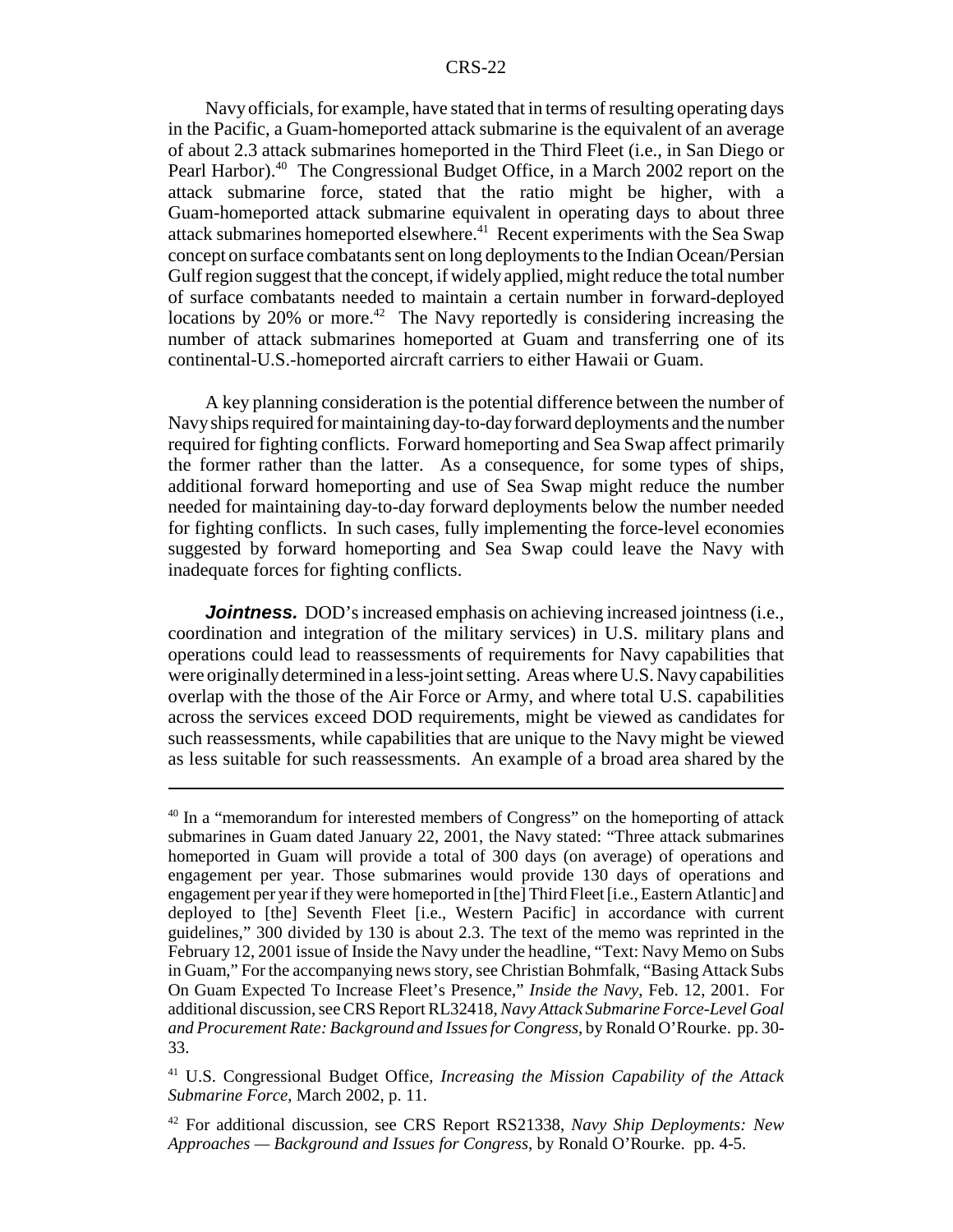Navy officials, for example, have stated that in terms of resulting operating days in the Pacific, a Guam-homeported attack submarine is the equivalent of an average of about 2.3 attack submarines homeported in the Third Fleet (i.e., in San Diego or Pearl Harbor).<sup>40</sup> The Congressional Budget Office, in a March 2002 report on the attack submarine force, stated that the ratio might be higher, with a Guam-homeported attack submarine equivalent in operating days to about three attack submarines homeported elsewhere.<sup>41</sup> Recent experiments with the Sea Swap concept on surface combatants sent on long deployments to the Indian Ocean/Persian Gulf region suggest that the concept, if widely applied, might reduce the total number of surface combatants needed to maintain a certain number in forward-deployed locations by 20% or more.<sup>42</sup> The Navy reportedly is considering increasing the number of attack submarines homeported at Guam and transferring one of its continental-U.S.-homeported aircraft carriers to either Hawaii or Guam.

A key planning consideration is the potential difference between the number of Navy ships required for maintaining day-to-day forward deployments and the number required for fighting conflicts. Forward homeporting and Sea Swap affect primarily the former rather than the latter. As a consequence, for some types of ships, additional forward homeporting and use of Sea Swap might reduce the number needed for maintaining day-to-day forward deployments below the number needed for fighting conflicts. In such cases, fully implementing the force-level economies suggested by forward homeporting and Sea Swap could leave the Navy with inadequate forces for fighting conflicts.

*Jointness.* DOD's increased emphasis on achieving increased jointness (i.e., coordination and integration of the military services) in U.S. military plans and operations could lead to reassessments of requirements for Navy capabilities that were originally determined in a less-joint setting. Areas where U.S. Navy capabilities overlap with the those of the Air Force or Army, and where total U.S. capabilities across the services exceed DOD requirements, might be viewed as candidates for such reassessments, while capabilities that are unique to the Navy might be viewed as less suitable for such reassessments. An example of a broad area shared by the

<sup>&</sup>lt;sup>40</sup> In a "memorandum for interested members of Congress" on the homeporting of attack submarines in Guam dated January 22, 2001, the Navy stated: "Three attack submarines homeported in Guam will provide a total of 300 days (on average) of operations and engagement per year. Those submarines would provide 130 days of operations and engagement per year if they were homeported in [the] Third Fleet [i.e., Eastern Atlantic] and deployed to [the] Seventh Fleet [i.e., Western Pacific] in accordance with current guidelines," 300 divided by 130 is about 2.3. The text of the memo was reprinted in the February 12, 2001 issue of Inside the Navy under the headline, "Text: Navy Memo on Subs in Guam," For the accompanying news story, see Christian Bohmfalk, "Basing Attack Subs On Guam Expected To Increase Fleet's Presence," *Inside the Navy*, Feb. 12, 2001. For additional discussion, see CRS Report RL32418, *Navy Attack Submarine Force-Level Goal and Procurement Rate: Background and Issues for Congress*, by Ronald O'Rourke. pp. 30- 33.

<sup>41</sup> U.S. Congressional Budget Office, *Increasing the Mission Capability of the Attack Submarine Force*, March 2002, p. 11.

<sup>42</sup> For additional discussion, see CRS Report RS21338, *Navy Ship Deployments: New Approaches — Background and Issues for Congress*, by Ronald O'Rourke. pp. 4-5.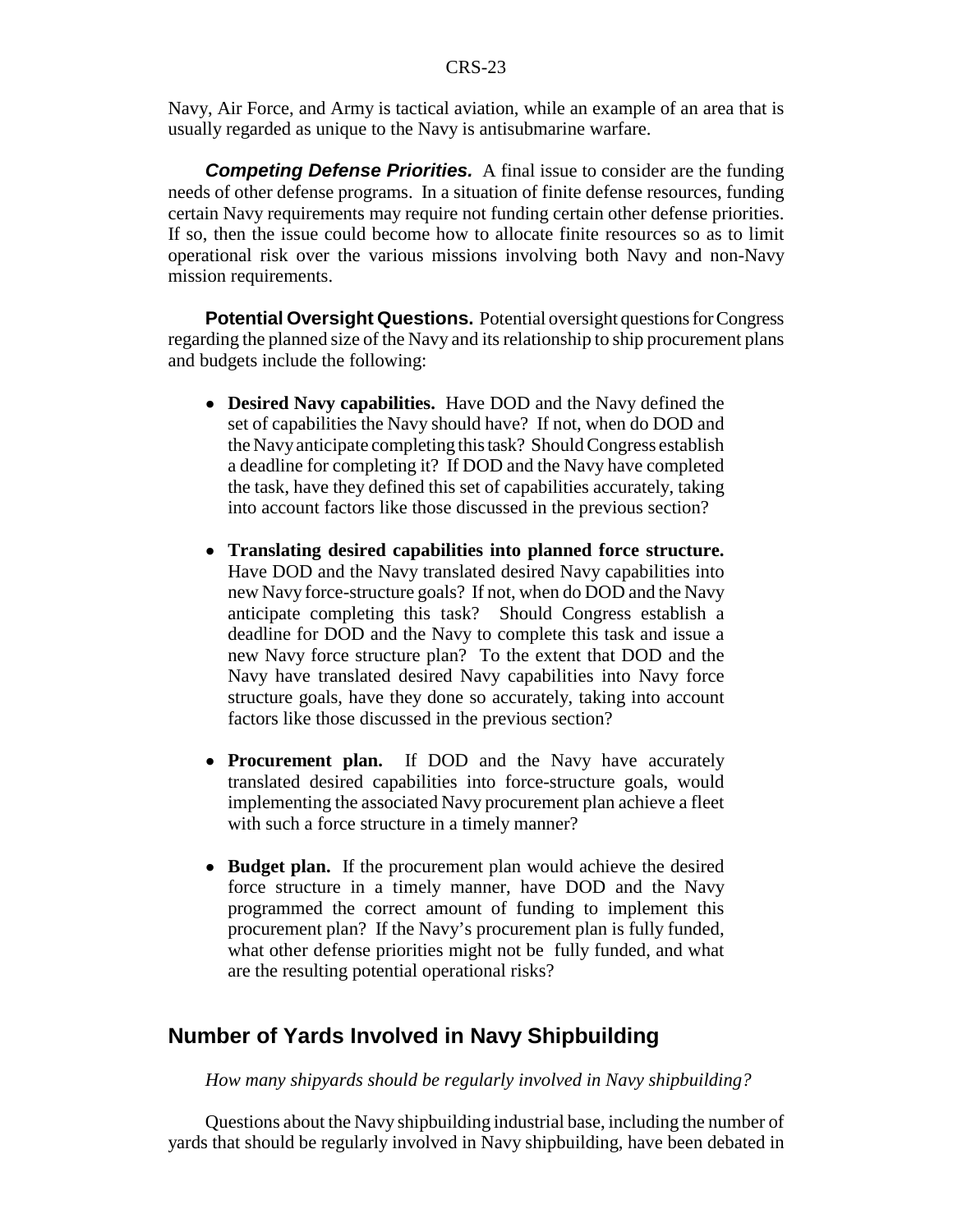Navy, Air Force, and Army is tactical aviation, while an example of an area that is usually regarded as unique to the Navy is antisubmarine warfare.

*Competing Defense Priorities.* A final issue to consider are the funding needs of other defense programs. In a situation of finite defense resources, funding certain Navy requirements may require not funding certain other defense priorities. If so, then the issue could become how to allocate finite resources so as to limit operational risk over the various missions involving both Navy and non-Navy mission requirements.

**Potential Oversight Questions.** Potential oversight questions for Congress regarding the planned size of the Navy and its relationship to ship procurement plans and budgets include the following:

- ! **Desired Navy capabilities.** Have DOD and the Navy defined the set of capabilities the Navy should have? If not, when do DOD and the Navy anticipate completing this task? Should Congress establish a deadline for completing it? If DOD and the Navy have completed the task, have they defined this set of capabilities accurately, taking into account factors like those discussed in the previous section?
- ! **Translating desired capabilities into planned force structure.** Have DOD and the Navy translated desired Navy capabilities into new Navy force-structure goals? If not, when do DOD and the Navy anticipate completing this task? Should Congress establish a deadline for DOD and the Navy to complete this task and issue a new Navy force structure plan? To the extent that DOD and the Navy have translated desired Navy capabilities into Navy force structure goals, have they done so accurately, taking into account factors like those discussed in the previous section?
- **Procurement plan.** If DOD and the Navy have accurately translated desired capabilities into force-structure goals, would implementing the associated Navy procurement plan achieve a fleet with such a force structure in a timely manner?
- **Budget plan.** If the procurement plan would achieve the desired force structure in a timely manner, have DOD and the Navy programmed the correct amount of funding to implement this procurement plan? If the Navy's procurement plan is fully funded, what other defense priorities might not be fully funded, and what are the resulting potential operational risks?

## **Number of Yards Involved in Navy Shipbuilding**

*How many shipyards should be regularly involved in Navy shipbuilding?*

Questions about the Navy shipbuilding industrial base, including the number of yards that should be regularly involved in Navy shipbuilding, have been debated in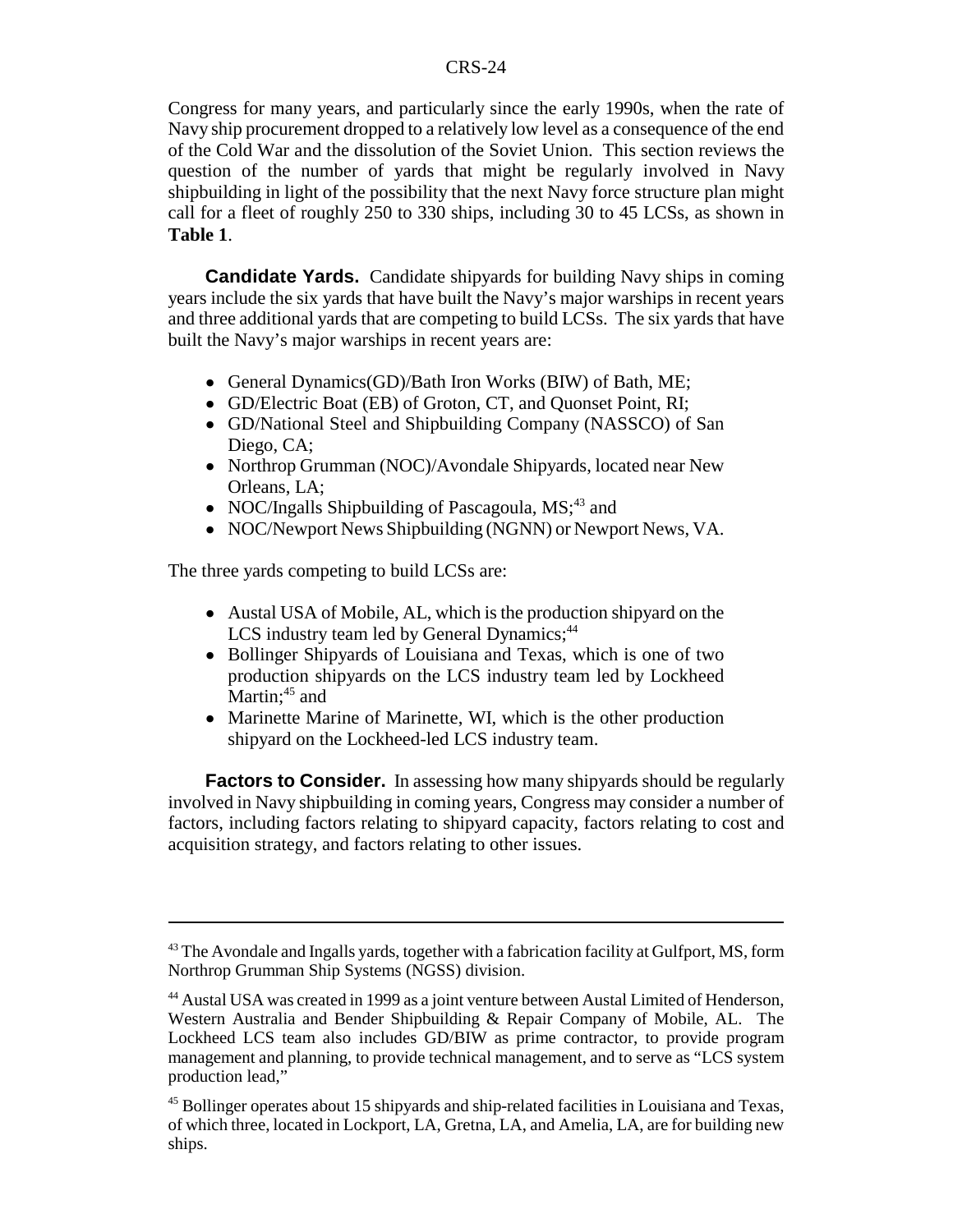Congress for many years, and particularly since the early 1990s, when the rate of Navy ship procurement dropped to a relatively low level as a consequence of the end of the Cold War and the dissolution of the Soviet Union. This section reviews the question of the number of yards that might be regularly involved in Navy shipbuilding in light of the possibility that the next Navy force structure plan might call for a fleet of roughly 250 to 330 ships, including 30 to 45 LCSs, as shown in **Table 1**.

**Candidate Yards.** Candidate shipyards for building Navy ships in coming years include the six yards that have built the Navy's major warships in recent years and three additional yards that are competing to build LCSs. The six yards that have built the Navy's major warships in recent years are:

- General Dynamics(GD)/Bath Iron Works (BIW) of Bath, ME;
- ! GD/Electric Boat (EB) of Groton, CT, and Quonset Point, RI;
- GD/National Steel and Shipbuilding Company (NASSCO) of San Diego, CA;
- Northrop Grumman (NOC)/Avondale Shipyards, located near New Orleans, LA;
- NOC/Ingalls Shipbuilding of Pascagoula,  $MS;^{43}$  and
- ! NOC/Newport News Shipbuilding (NGNN) or Newport News, VA.

The three yards competing to build LCSs are:

- Austal USA of Mobile, AL, which is the production shipyard on the LCS industry team led by General Dynamics;<sup>44</sup>
- Bollinger Shipyards of Louisiana and Texas, which is one of two production shipyards on the LCS industry team led by Lockheed Martin;<sup>45</sup> and
- ! Marinette Marine of Marinette, WI, which is the other production shipyard on the Lockheed-led LCS industry team.

**Factors to Consider.** In assessing how many shipyards should be regularly involved in Navy shipbuilding in coming years, Congress may consider a number of factors, including factors relating to shipyard capacity, factors relating to cost and acquisition strategy, and factors relating to other issues.

 $43$  The Avondale and Ingalls yards, together with a fabrication facility at Gulfport, MS, form Northrop Grumman Ship Systems (NGSS) division.

<sup>44</sup> Austal USA was created in 1999 as a joint venture between Austal Limited of Henderson, Western Australia and Bender Shipbuilding & Repair Company of Mobile, AL. The Lockheed LCS team also includes GD/BIW as prime contractor, to provide program management and planning, to provide technical management, and to serve as "LCS system production lead,"

<sup>45</sup> Bollinger operates about 15 shipyards and ship-related facilities in Louisiana and Texas, of which three, located in Lockport, LA, Gretna, LA, and Amelia, LA, are for building new ships.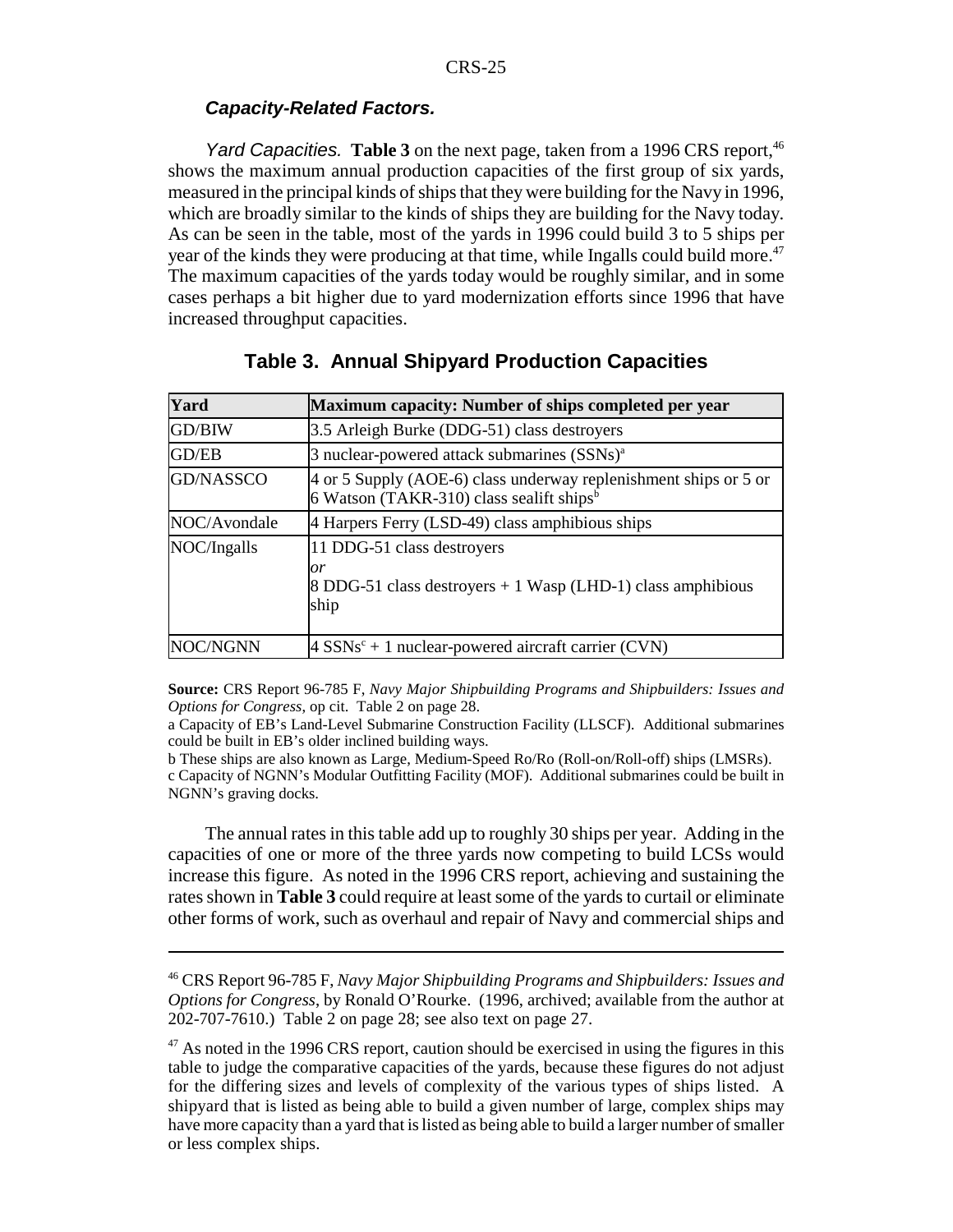### *Capacity-Related Factors.*

*Yard Capacities.* **Table 3** on the next page, taken from a 1996 CRS report,<sup>46</sup> shows the maximum annual production capacities of the first group of six yards, measured in the principal kinds of ships that they were building for the Navy in 1996, which are broadly similar to the kinds of ships they are building for the Navy today. As can be seen in the table, most of the yards in 1996 could build 3 to 5 ships per year of the kinds they were producing at that time, while Ingalls could build more.<sup>47</sup> The maximum capacities of the yards today would be roughly similar, and in some cases perhaps a bit higher due to yard modernization efforts since 1996 that have increased throughput capacities.

| Yard             | Maximum capacity: Number of ships completed per year                                                                       |
|------------------|----------------------------------------------------------------------------------------------------------------------------|
| GD/BIW           | 3.5 Arleigh Burke (DDG-51) class destroyers                                                                                |
| GD/EB            | 3 nuclear-powered attack submarines (SSNs) <sup>a</sup>                                                                    |
| <b>GD/NASSCO</b> | 4 or 5 Supply (AOE-6) class underway replenishment ships or 5 or<br>6 Watson (TAKR-310) class sealift ships $\overline{6}$ |
| NOC/Avondale     | 4 Harpers Ferry (LSD-49) class amphibious ships                                                                            |
| NOC/Ingalls      | 11 DDG-51 class destroyers<br>or<br>8 DDG-51 class destroyers $+1$ Wasp (LHD-1) class amphibious<br>ship                   |
| NOC/NGNN         | $4$ SSNs <sup>c</sup> + 1 nuclear-powered aircraft carrier (CVN)                                                           |

## **Table 3. Annual Shipyard Production Capacities**

**Source:** CRS Report 96-785 F, *Navy Major Shipbuilding Programs and Shipbuilders: Issues and Options for Congress*, op cit. Table 2 on page 28.

a Capacity of EB's Land-Level Submarine Construction Facility (LLSCF). Additional submarines could be built in EB's older inclined building ways.

b These ships are also known as Large, Medium-Speed Ro/Ro (Roll-on/Roll-off) ships (LMSRs). c Capacity of NGNN's Modular Outfitting Facility (MOF). Additional submarines could be built in NGNN's graving docks.

The annual rates in this table add up to roughly 30 ships per year. Adding in the capacities of one or more of the three yards now competing to build LCSs would increase this figure. As noted in the 1996 CRS report, achieving and sustaining the rates shown in **Table 3** could require at least some of the yards to curtail or eliminate other forms of work, such as overhaul and repair of Navy and commercial ships and

<sup>46</sup> CRS Report 96-785 F, *Navy Major Shipbuilding Programs and Shipbuilders: Issues and Options for Congress*, by Ronald O'Rourke. (1996, archived; available from the author at 202-707-7610.) Table 2 on page 28; see also text on page 27.

 $47$  As noted in the 1996 CRS report, caution should be exercised in using the figures in this table to judge the comparative capacities of the yards, because these figures do not adjust for the differing sizes and levels of complexity of the various types of ships listed. A shipyard that is listed as being able to build a given number of large, complex ships may have more capacity than a yard that is listed as being able to build a larger number of smaller or less complex ships.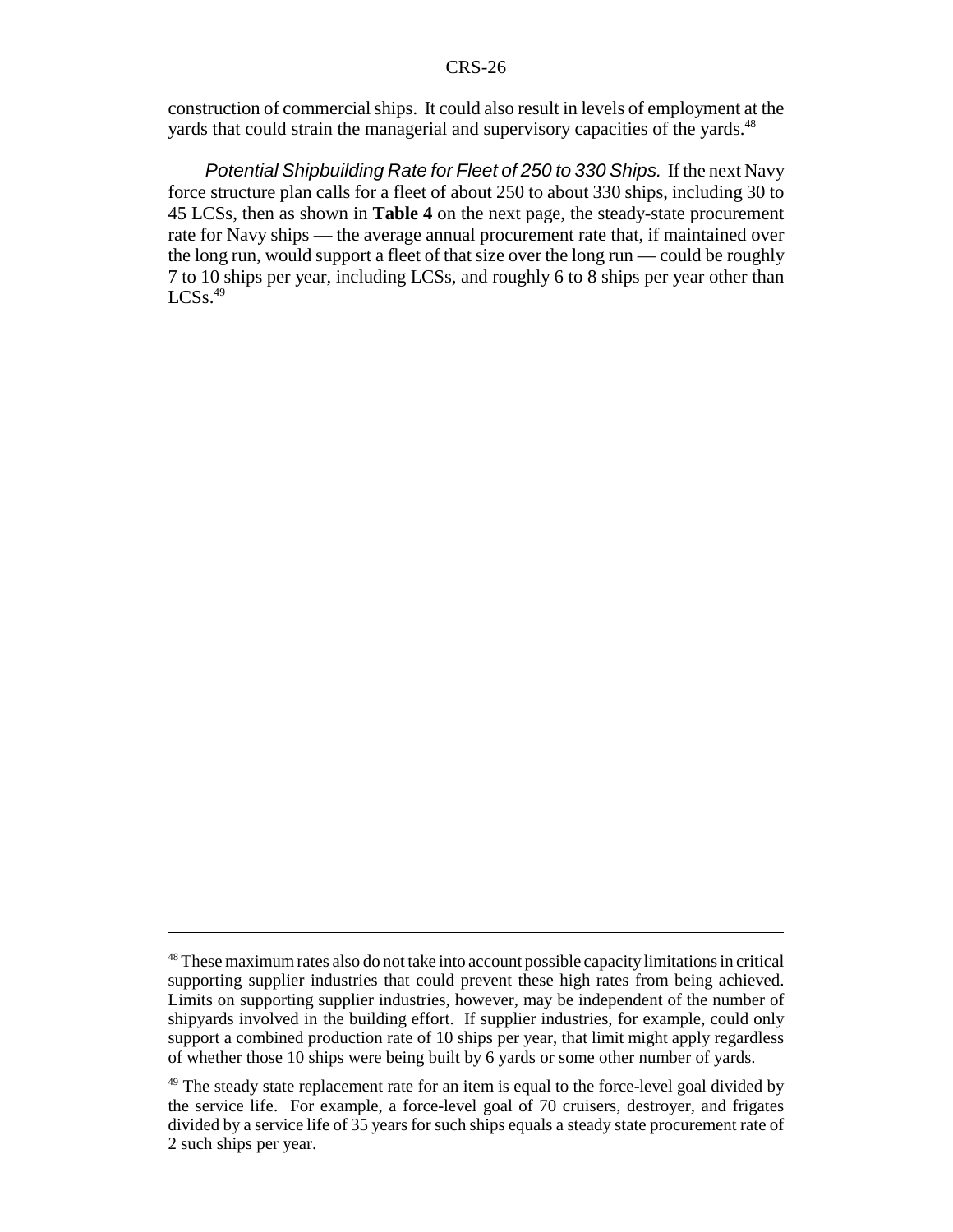construction of commercial ships. It could also result in levels of employment at the yards that could strain the managerial and supervisory capacities of the yards.<sup>48</sup>

*Potential Shipbuilding Rate for Fleet of 250 to 330 Ships.* If the next Navy force structure plan calls for a fleet of about 250 to about 330 ships, including 30 to 45 LCSs, then as shown in **Table 4** on the next page, the steady-state procurement rate for Navy ships — the average annual procurement rate that, if maintained over the long run, would support a fleet of that size over the long run — could be roughly 7 to 10 ships per year, including LCSs, and roughly 6 to 8 ships per year other than  $LCSs.<sup>49</sup>$ 

<sup>48</sup> These maximum rates also do not take into account possible capacity limitations in critical supporting supplier industries that could prevent these high rates from being achieved. Limits on supporting supplier industries, however, may be independent of the number of shipyards involved in the building effort. If supplier industries, for example, could only support a combined production rate of 10 ships per year, that limit might apply regardless of whether those 10 ships were being built by 6 yards or some other number of yards.

<sup>&</sup>lt;sup>49</sup> The steady state replacement rate for an item is equal to the force-level goal divided by the service life. For example, a force-level goal of 70 cruisers, destroyer, and frigates divided by a service life of 35 years for such ships equals a steady state procurement rate of 2 such ships per year.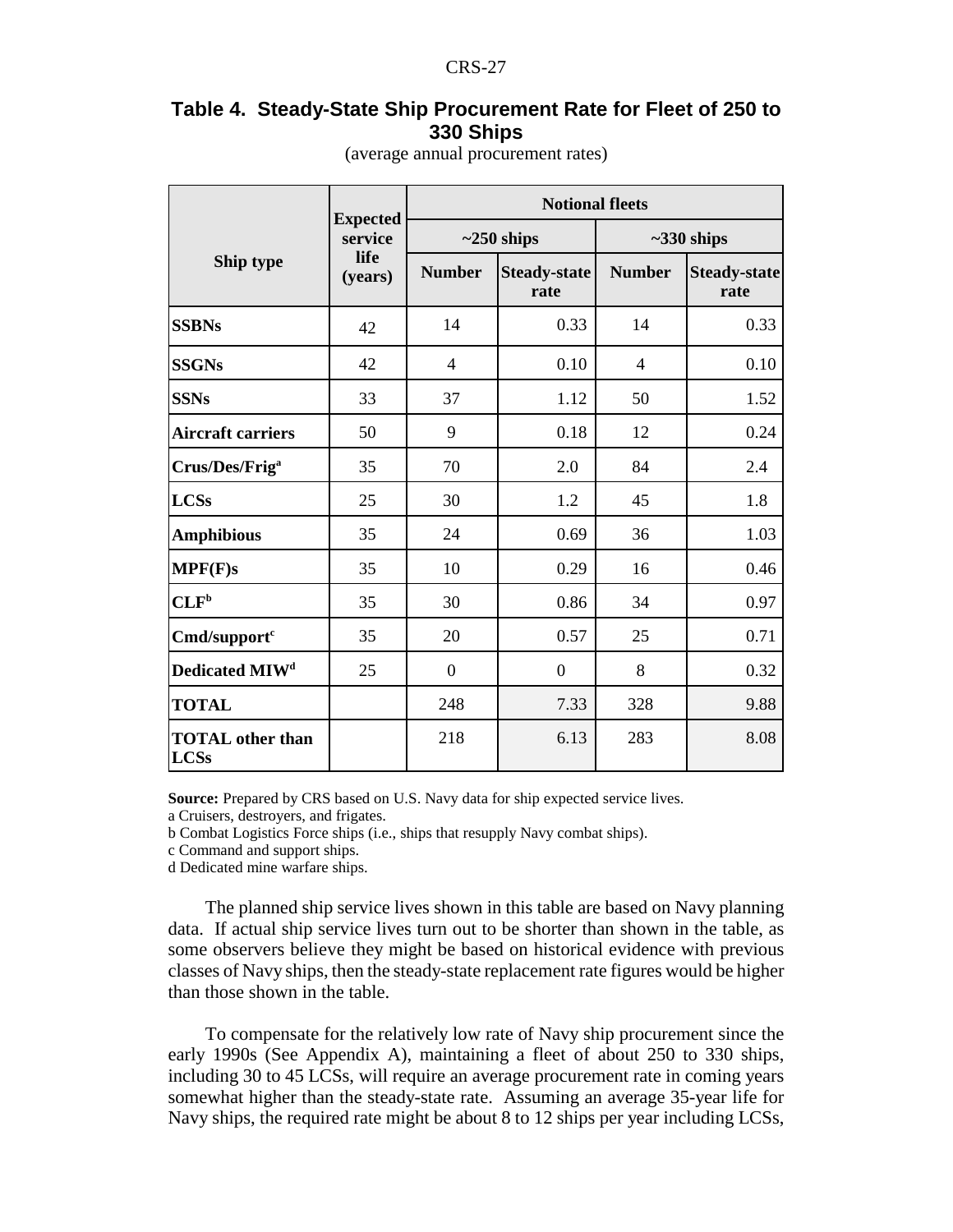## **Table 4. Steady-State Ship Procurement Rate for Fleet of 250 to 330 Ships**

|                                        |                            | <b>Notional fleets</b> |                             |                 |                             |  |  |  |  |
|----------------------------------------|----------------------------|------------------------|-----------------------------|-----------------|-----------------------------|--|--|--|--|
|                                        | <b>Expected</b><br>service |                        | $\sim$ 250 ships            | $~1$ -330 ships |                             |  |  |  |  |
| Ship type                              | life<br>(years)            | <b>Number</b>          | <b>Steady-state</b><br>rate | <b>Number</b>   | <b>Steady-state</b><br>rate |  |  |  |  |
| <b>SSBNs</b>                           | 42                         | 14                     | 0.33                        | 14              | 0.33                        |  |  |  |  |
| <b>SSGNs</b>                           | 42                         | $\overline{4}$         | 0.10                        | $\overline{4}$  | 0.10                        |  |  |  |  |
| <b>SSNs</b>                            | 33                         | 37                     | 1.12                        | 50              | 1.52                        |  |  |  |  |
| <b>Aircraft carriers</b>               | 50                         | 9                      | 0.18                        | 12              | 0.24                        |  |  |  |  |
| Crus/Des/Frig <sup>a</sup>             | 35                         | 70                     | 2.0                         | 84              | 2.4                         |  |  |  |  |
| <b>LCSs</b>                            | 25                         | 30                     | 1.2                         | 45              | 1.8                         |  |  |  |  |
| <b>Amphibious</b>                      | 35                         | 24                     | 0.69                        | 36              | 1.03                        |  |  |  |  |
| MPF(F)s                                | 35                         | 10                     | 0.29                        | 16              | 0.46                        |  |  |  |  |
| CLF <sup>b</sup>                       | 35                         | 30                     | 0.86                        | 34              | 0.97                        |  |  |  |  |
| Cmd/support <sup>c</sup>               | 35                         | 20                     | 0.57                        | 25              | 0.71                        |  |  |  |  |
| Dedicated MIW <sup>d</sup>             | 25                         | $\boldsymbol{0}$       | $\overline{0}$              | 8               | 0.32                        |  |  |  |  |
| <b>TOTAL</b>                           |                            | 248                    | 7.33                        | 328             | 9.88                        |  |  |  |  |
| <b>TOTAL</b> other than<br><b>LCSs</b> |                            | 218                    | 6.13                        | 283             | 8.08                        |  |  |  |  |

(average annual procurement rates)

**Source:** Prepared by CRS based on U.S. Navy data for ship expected service lives.

a Cruisers, destroyers, and frigates.

b Combat Logistics Force ships (i.e., ships that resupply Navy combat ships).

c Command and support ships.

d Dedicated mine warfare ships.

The planned ship service lives shown in this table are based on Navy planning data. If actual ship service lives turn out to be shorter than shown in the table, as some observers believe they might be based on historical evidence with previous classes of Navy ships, then the steady-state replacement rate figures would be higher than those shown in the table.

To compensate for the relatively low rate of Navy ship procurement since the early 1990s (See Appendix A), maintaining a fleet of about 250 to 330 ships, including 30 to 45 LCSs, will require an average procurement rate in coming years somewhat higher than the steady-state rate. Assuming an average 35-year life for Navy ships, the required rate might be about 8 to 12 ships per year including LCSs,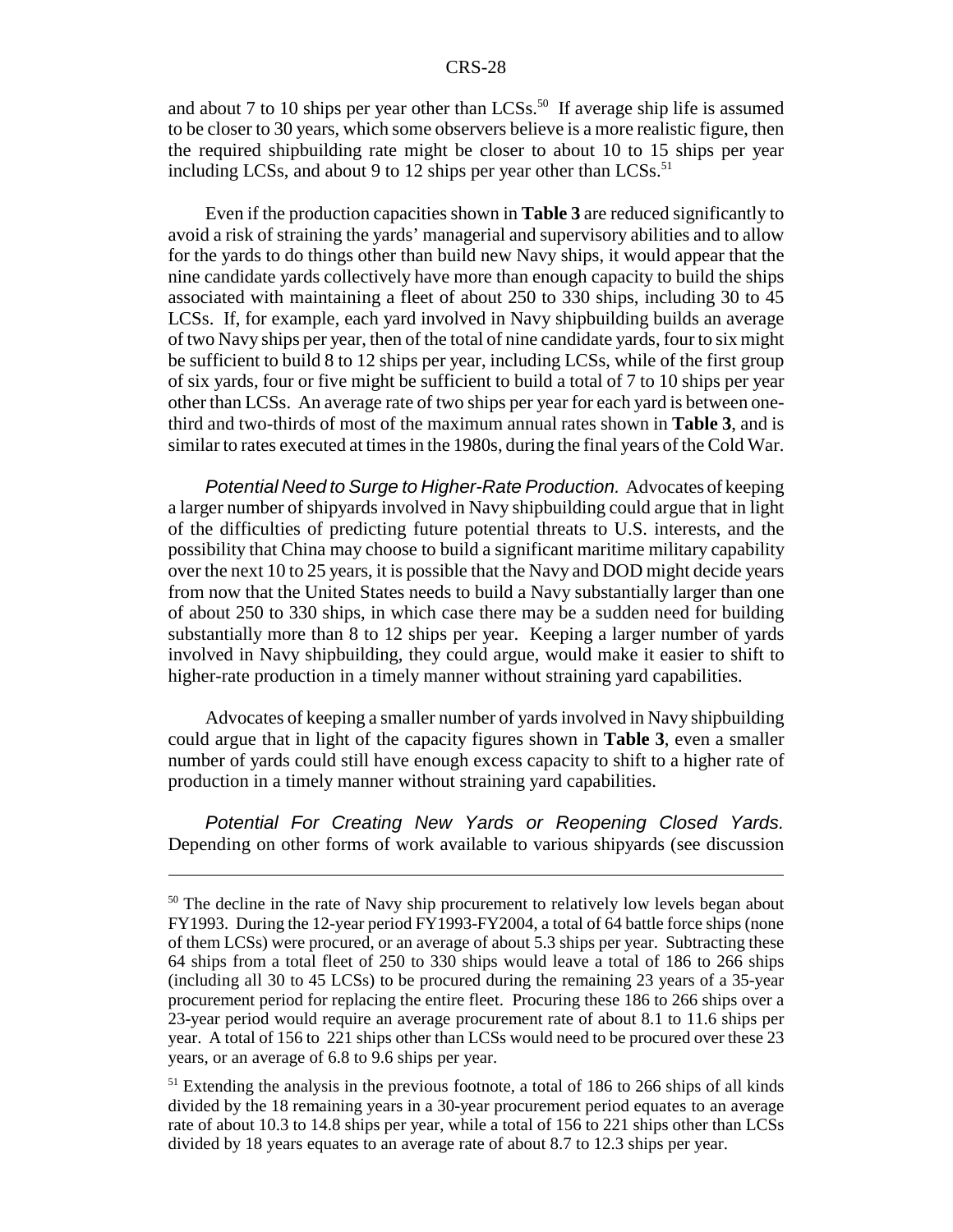and about 7 to 10 ships per year other than  $LCSs$ <sup>50</sup> If average ship life is assumed to be closer to 30 years, which some observers believe is a more realistic figure, then the required shipbuilding rate might be closer to about 10 to 15 ships per year including LCSs, and about 9 to 12 ships per year other than LCSs. $51$ 

Even if the production capacities shown in **Table 3** are reduced significantly to avoid a risk of straining the yards' managerial and supervisory abilities and to allow for the yards to do things other than build new Navy ships, it would appear that the nine candidate yards collectively have more than enough capacity to build the ships associated with maintaining a fleet of about 250 to 330 ships, including 30 to 45 LCSs. If, for example, each yard involved in Navy shipbuilding builds an average of two Navy ships per year, then of the total of nine candidate yards, four to six might be sufficient to build 8 to 12 ships per year, including LCSs, while of the first group of six yards, four or five might be sufficient to build a total of 7 to 10 ships per year other than LCSs. An average rate of two ships per year for each yard is between onethird and two-thirds of most of the maximum annual rates shown in **Table 3**, and is similar to rates executed at times in the 1980s, during the final years of the Cold War.

*Potential Need to Surge to Higher-Rate Production.* Advocates of keeping a larger number of shipyards involved in Navy shipbuilding could argue that in light of the difficulties of predicting future potential threats to U.S. interests, and the possibility that China may choose to build a significant maritime military capability over the next 10 to 25 years, it is possible that the Navy and DOD might decide years from now that the United States needs to build a Navy substantially larger than one of about 250 to 330 ships, in which case there may be a sudden need for building substantially more than 8 to 12 ships per year. Keeping a larger number of yards involved in Navy shipbuilding, they could argue, would make it easier to shift to higher-rate production in a timely manner without straining yard capabilities.

Advocates of keeping a smaller number of yards involved in Navy shipbuilding could argue that in light of the capacity figures shown in **Table 3**, even a smaller number of yards could still have enough excess capacity to shift to a higher rate of production in a timely manner without straining yard capabilities.

*Potential For Creating New Yards or Reopening Closed Yards.* Depending on other forms of work available to various shipyards (see discussion

<sup>&</sup>lt;sup>50</sup> The decline in the rate of Navy ship procurement to relatively low levels began about FY1993. During the 12-year period FY1993-FY2004, a total of 64 battle force ships (none of them LCSs) were procured, or an average of about 5.3 ships per year. Subtracting these 64 ships from a total fleet of 250 to 330 ships would leave a total of 186 to 266 ships (including all 30 to 45 LCSs) to be procured during the remaining 23 years of a 35-year procurement period for replacing the entire fleet. Procuring these 186 to 266 ships over a 23-year period would require an average procurement rate of about 8.1 to 11.6 ships per year. A total of 156 to 221 ships other than LCSs would need to be procured over these 23 years, or an average of 6.8 to 9.6 ships per year.

<sup>&</sup>lt;sup>51</sup> Extending the analysis in the previous footnote, a total of 186 to 266 ships of all kinds divided by the 18 remaining years in a 30-year procurement period equates to an average rate of about 10.3 to 14.8 ships per year, while a total of 156 to 221 ships other than LCSs divided by 18 years equates to an average rate of about 8.7 to 12.3 ships per year.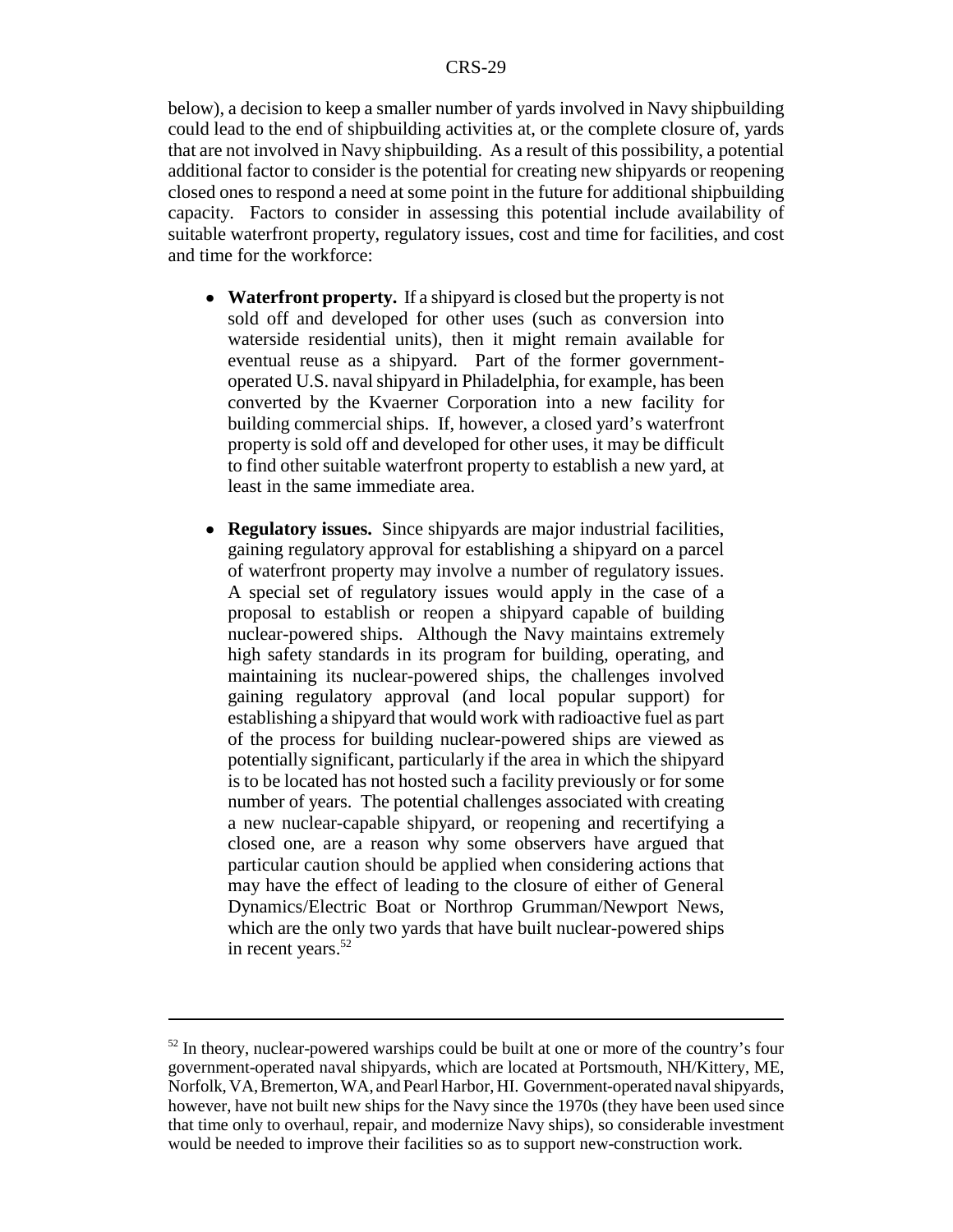below), a decision to keep a smaller number of yards involved in Navy shipbuilding could lead to the end of shipbuilding activities at, or the complete closure of, yards that are not involved in Navy shipbuilding. As a result of this possibility, a potential additional factor to consider is the potential for creating new shipyards or reopening closed ones to respond a need at some point in the future for additional shipbuilding capacity. Factors to consider in assessing this potential include availability of suitable waterfront property, regulatory issues, cost and time for facilities, and cost and time for the workforce:

- ! **Waterfront property.** If a shipyard is closed but the property is not sold off and developed for other uses (such as conversion into waterside residential units), then it might remain available for eventual reuse as a shipyard. Part of the former governmentoperated U.S. naval shipyard in Philadelphia, for example, has been converted by the Kvaerner Corporation into a new facility for building commercial ships. If, however, a closed yard's waterfront property is sold off and developed for other uses, it may be difficult to find other suitable waterfront property to establish a new yard, at least in the same immediate area.
- ! **Regulatory issues.** Since shipyards are major industrial facilities, gaining regulatory approval for establishing a shipyard on a parcel of waterfront property may involve a number of regulatory issues. A special set of regulatory issues would apply in the case of a proposal to establish or reopen a shipyard capable of building nuclear-powered ships. Although the Navy maintains extremely high safety standards in its program for building, operating, and maintaining its nuclear-powered ships, the challenges involved gaining regulatory approval (and local popular support) for establishing a shipyard that would work with radioactive fuel as part of the process for building nuclear-powered ships are viewed as potentially significant, particularly if the area in which the shipyard is to be located has not hosted such a facility previously or for some number of years. The potential challenges associated with creating a new nuclear-capable shipyard, or reopening and recertifying a closed one, are a reason why some observers have argued that particular caution should be applied when considering actions that may have the effect of leading to the closure of either of General Dynamics/Electric Boat or Northrop Grumman/Newport News, which are the only two yards that have built nuclear-powered ships in recent years.<sup>52</sup>

 $52$  In theory, nuclear-powered warships could be built at one or more of the country's four government-operated naval shipyards, which are located at Portsmouth, NH/Kittery, ME, Norfolk, VA, Bremerton, WA, and Pearl Harbor, HI. Government-operated naval shipyards, however, have not built new ships for the Navy since the 1970s (they have been used since that time only to overhaul, repair, and modernize Navy ships), so considerable investment would be needed to improve their facilities so as to support new-construction work.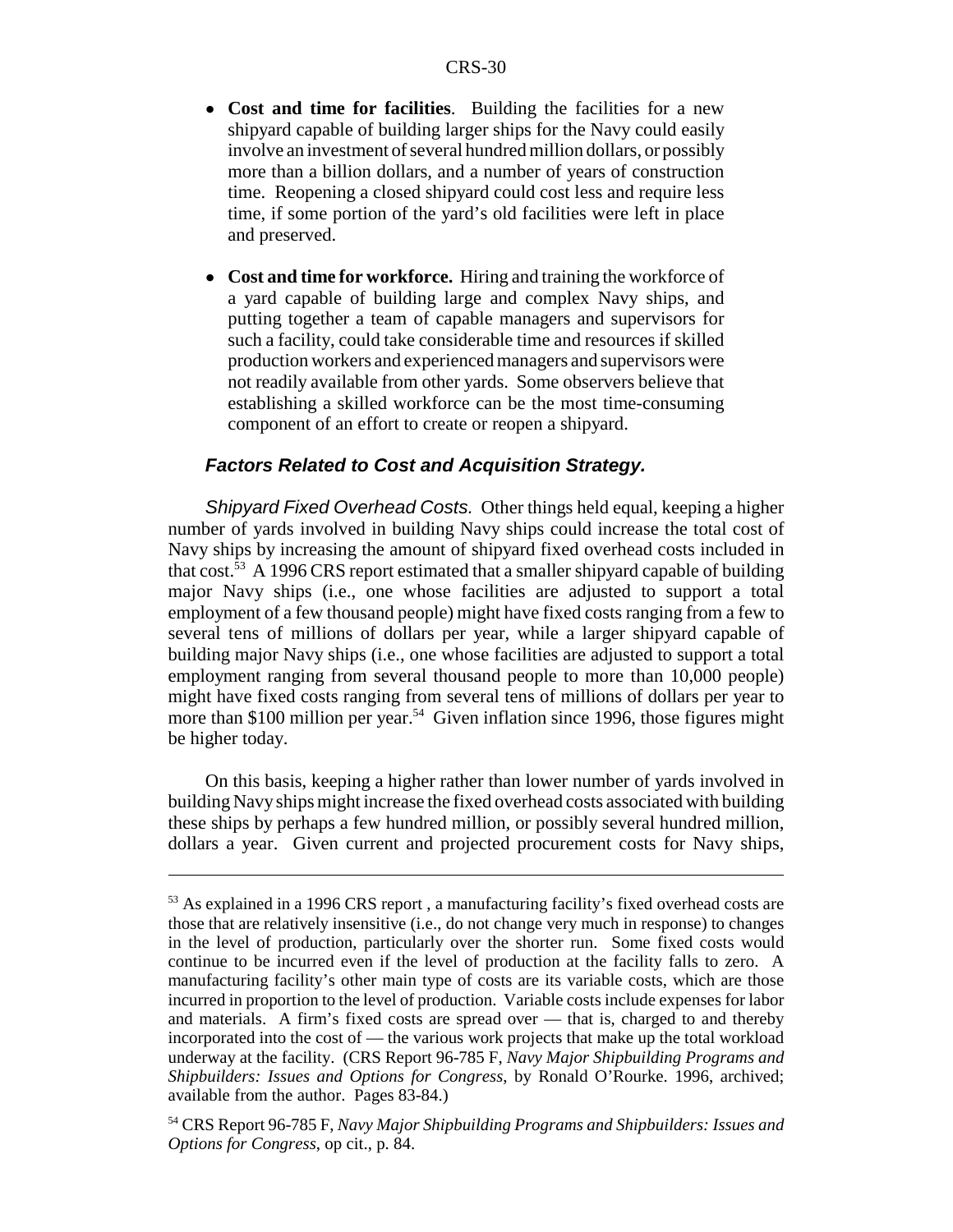- ! **Cost and time for facilities**. Building the facilities for a new shipyard capable of building larger ships for the Navy could easily involve an investment of several hundred million dollars, or possibly more than a billion dollars, and a number of years of construction time. Reopening a closed shipyard could cost less and require less time, if some portion of the yard's old facilities were left in place and preserved.
- Cost and time for workforce. Hiring and training the workforce of a yard capable of building large and complex Navy ships, and putting together a team of capable managers and supervisors for such a facility, could take considerable time and resources if skilled production workers and experienced managers and supervisors were not readily available from other yards. Some observers believe that establishing a skilled workforce can be the most time-consuming component of an effort to create or reopen a shipyard.

## *Factors Related to Cost and Acquisition Strategy.*

*Shipyard Fixed Overhead Costs.* Other things held equal, keeping a higher number of yards involved in building Navy ships could increase the total cost of Navy ships by increasing the amount of shipyard fixed overhead costs included in that cost.53 A 1996 CRS report estimated that a smaller shipyard capable of building major Navy ships (i.e., one whose facilities are adjusted to support a total employment of a few thousand people) might have fixed costs ranging from a few to several tens of millions of dollars per year, while a larger shipyard capable of building major Navy ships (i.e., one whose facilities are adjusted to support a total employment ranging from several thousand people to more than 10,000 people) might have fixed costs ranging from several tens of millions of dollars per year to more than \$100 million per year.<sup>54</sup> Given inflation since 1996, those figures might be higher today.

On this basis, keeping a higher rather than lower number of yards involved in building Navy ships might increase the fixed overhead costs associated with building these ships by perhaps a few hundred million, or possibly several hundred million, dollars a year. Given current and projected procurement costs for Navy ships,

<sup>&</sup>lt;sup>53</sup> As explained in a 1996 CRS report, a manufacturing facility's fixed overhead costs are those that are relatively insensitive (i.e., do not change very much in response) to changes in the level of production, particularly over the shorter run. Some fixed costs would continue to be incurred even if the level of production at the facility falls to zero. A manufacturing facility's other main type of costs are its variable costs, which are those incurred in proportion to the level of production. Variable costs include expenses for labor and materials. A firm's fixed costs are spread over — that is, charged to and thereby incorporated into the cost of — the various work projects that make up the total workload underway at the facility. (CRS Report 96-785 F, *Navy Major Shipbuilding Programs and Shipbuilders: Issues and Options for Congress*, by Ronald O'Rourke. 1996, archived; available from the author. Pages 83-84.)

<sup>54</sup> CRS Report 96-785 F, *Navy Major Shipbuilding Programs and Shipbuilders: Issues and Options for Congress*, op cit., p. 84.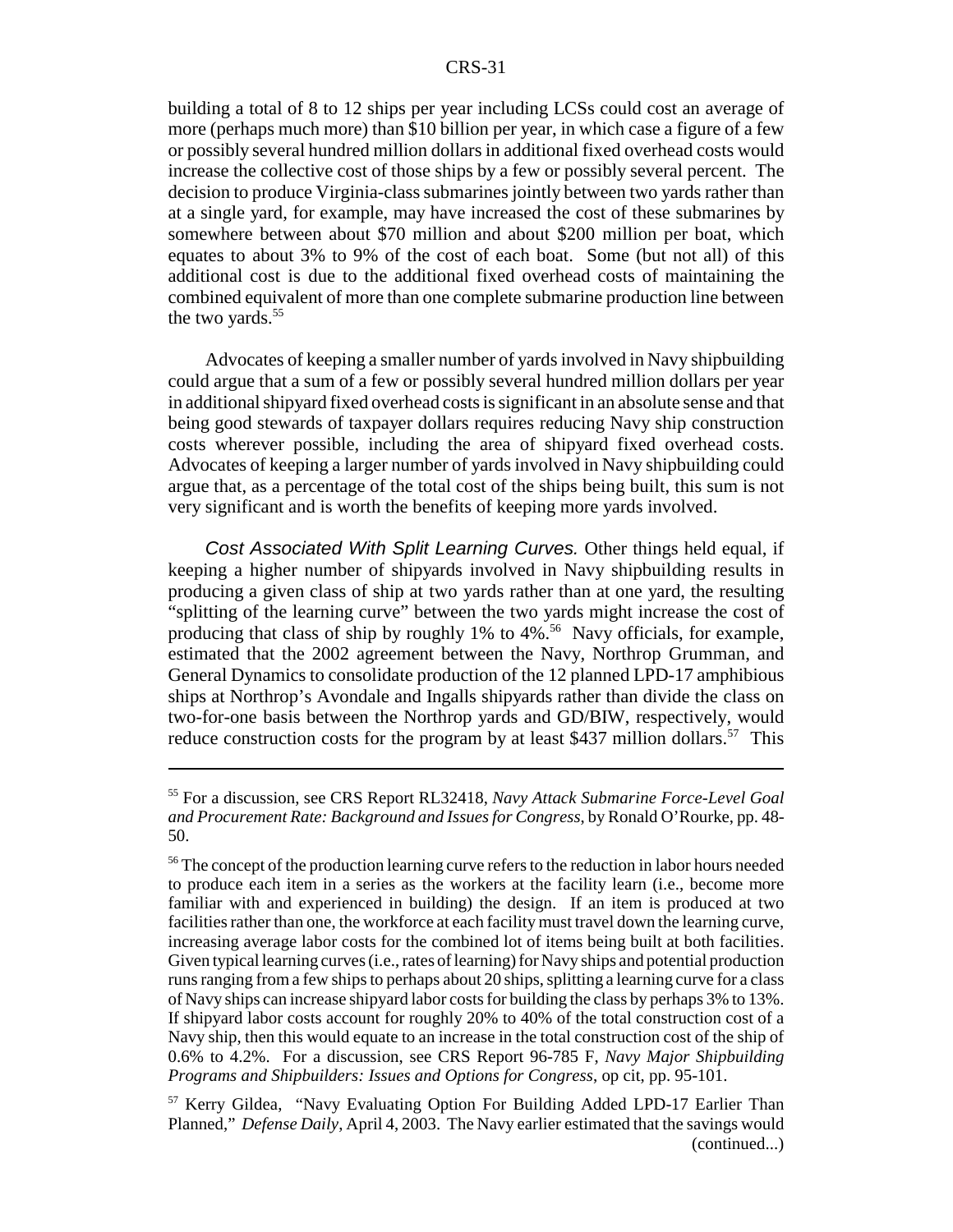building a total of 8 to 12 ships per year including LCSs could cost an average of more (perhaps much more) than \$10 billion per year, in which case a figure of a few or possibly several hundred million dollars in additional fixed overhead costs would increase the collective cost of those ships by a few or possibly several percent. The decision to produce Virginia-class submarines jointly between two yards rather than at a single yard, for example, may have increased the cost of these submarines by somewhere between about \$70 million and about \$200 million per boat, which equates to about 3% to 9% of the cost of each boat. Some (but not all) of this additional cost is due to the additional fixed overhead costs of maintaining the combined equivalent of more than one complete submarine production line between the two vards. $55$ 

Advocates of keeping a smaller number of yards involved in Navy shipbuilding could argue that a sum of a few or possibly several hundred million dollars per year in additional shipyard fixed overhead costs is significant in an absolute sense and that being good stewards of taxpayer dollars requires reducing Navy ship construction costs wherever possible, including the area of shipyard fixed overhead costs. Advocates of keeping a larger number of yards involved in Navy shipbuilding could argue that, as a percentage of the total cost of the ships being built, this sum is not very significant and is worth the benefits of keeping more yards involved.

*Cost Associated With Split Learning Curves.* Other things held equal, if keeping a higher number of shipyards involved in Navy shipbuilding results in producing a given class of ship at two yards rather than at one yard, the resulting "splitting of the learning curve" between the two yards might increase the cost of producing that class of ship by roughly 1% to  $4\frac{\cancel{0.56}}{2}$  Navy officials, for example, estimated that the 2002 agreement between the Navy, Northrop Grumman, and General Dynamics to consolidate production of the 12 planned LPD-17 amphibious ships at Northrop's Avondale and Ingalls shipyards rather than divide the class on two-for-one basis between the Northrop yards and GD/BIW, respectively, would reduce construction costs for the program by at least \$437 million dollars.<sup>57</sup> This

<sup>55</sup> For a discussion, see CRS Report RL32418, *Navy Attack Submarine Force-Level Goal and Procurement Rate: Background and Issues for Congress*, by Ronald O'Rourke, pp. 48- 50.

<sup>&</sup>lt;sup>56</sup> The concept of the production learning curve refers to the reduction in labor hours needed to produce each item in a series as the workers at the facility learn (i.e., become more familiar with and experienced in building) the design. If an item is produced at two facilities rather than one, the workforce at each facility must travel down the learning curve, increasing average labor costs for the combined lot of items being built at both facilities. Given typical learning curves (i.e., rates of learning) for Navy ships and potential production runs ranging from a few ships to perhaps about 20 ships, splitting a learning curve for a class of Navy ships can increase shipyard labor costs for building the class by perhaps 3% to 13%. If shipyard labor costs account for roughly 20% to 40% of the total construction cost of a Navy ship, then this would equate to an increase in the total construction cost of the ship of 0.6% to 4.2%. For a discussion, see CRS Report 96-785 F, *Navy Major Shipbuilding Programs and Shipbuilders: Issues and Options for Congress*, op cit, pp. 95-101.

<sup>57</sup> Kerry Gildea, "Navy Evaluating Option For Building Added LPD-17 Earlier Than Planned," *Defense Daily*, April 4, 2003. The Navy earlier estimated that the savings would (continued...)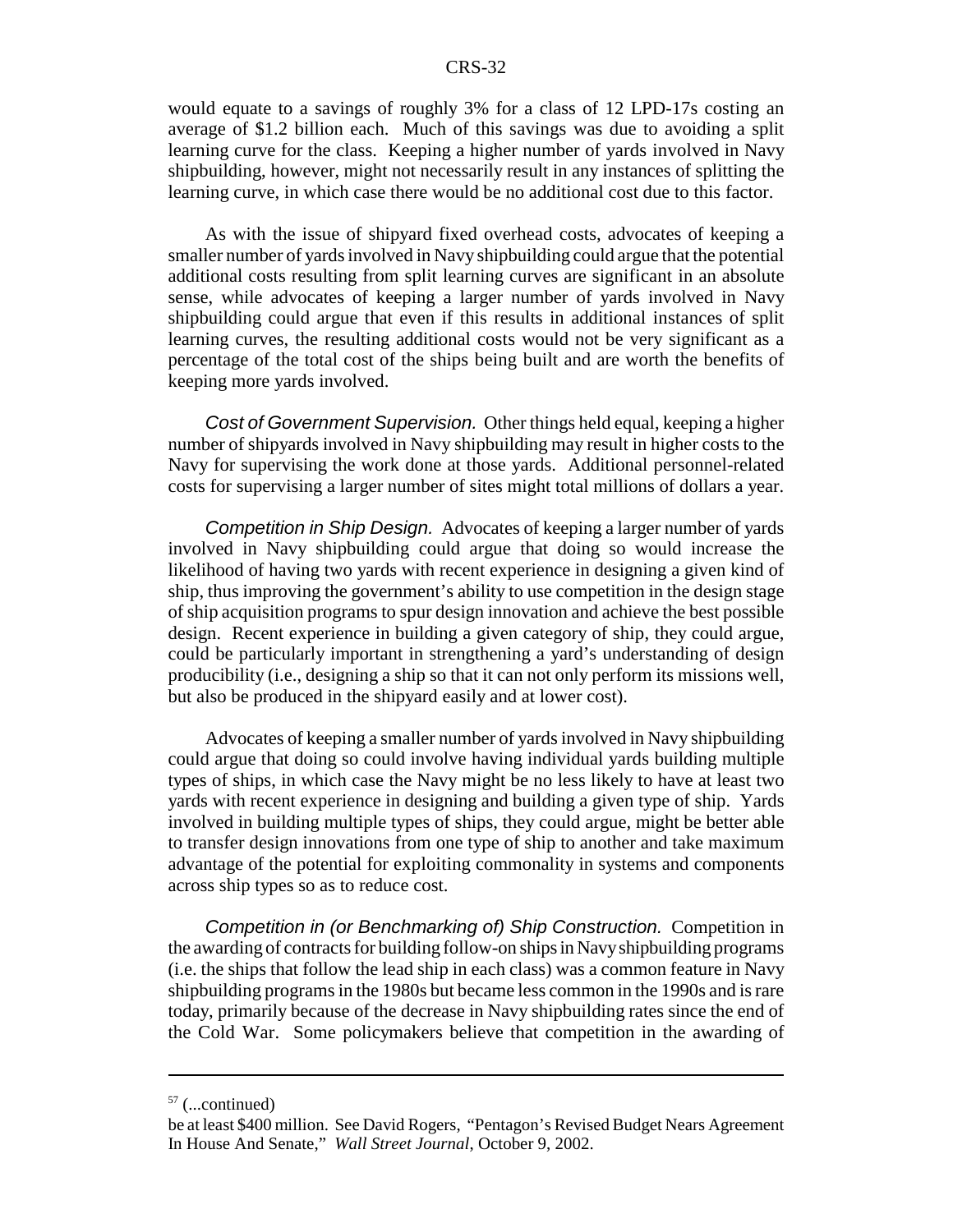would equate to a savings of roughly 3% for a class of 12 LPD-17s costing an average of \$1.2 billion each. Much of this savings was due to avoiding a split learning curve for the class. Keeping a higher number of yards involved in Navy shipbuilding, however, might not necessarily result in any instances of splitting the learning curve, in which case there would be no additional cost due to this factor.

As with the issue of shipyard fixed overhead costs, advocates of keeping a smaller number of yards involved in Navy shipbuilding could argue that the potential additional costs resulting from split learning curves are significant in an absolute sense, while advocates of keeping a larger number of yards involved in Navy shipbuilding could argue that even if this results in additional instances of split learning curves, the resulting additional costs would not be very significant as a percentage of the total cost of the ships being built and are worth the benefits of keeping more yards involved.

*Cost of Government Supervision.* Other things held equal, keeping a higher number of shipyards involved in Navy shipbuilding may result in higher costs to the Navy for supervising the work done at those yards. Additional personnel-related costs for supervising a larger number of sites might total millions of dollars a year.

*Competition in Ship Design.* Advocates of keeping a larger number of yards involved in Navy shipbuilding could argue that doing so would increase the likelihood of having two yards with recent experience in designing a given kind of ship, thus improving the government's ability to use competition in the design stage of ship acquisition programs to spur design innovation and achieve the best possible design. Recent experience in building a given category of ship, they could argue, could be particularly important in strengthening a yard's understanding of design producibility (i.e., designing a ship so that it can not only perform its missions well, but also be produced in the shipyard easily and at lower cost).

Advocates of keeping a smaller number of yards involved in Navy shipbuilding could argue that doing so could involve having individual yards building multiple types of ships, in which case the Navy might be no less likely to have at least two yards with recent experience in designing and building a given type of ship. Yards involved in building multiple types of ships, they could argue, might be better able to transfer design innovations from one type of ship to another and take maximum advantage of the potential for exploiting commonality in systems and components across ship types so as to reduce cost.

*Competition in (or Benchmarking of) Ship Construction.* Competition in the awarding of contracts for building follow-on ships in Navy shipbuilding programs (i.e. the ships that follow the lead ship in each class) was a common feature in Navy shipbuilding programs in the 1980s but became less common in the 1990s and is rare today, primarily because of the decrease in Navy shipbuilding rates since the end of the Cold War. Some policymakers believe that competition in the awarding of

 $57$  (...continued)

be at least \$400 million. See David Rogers, "Pentagon's Revised Budget Nears Agreement In House And Senate," *Wall Street Journal*, October 9, 2002.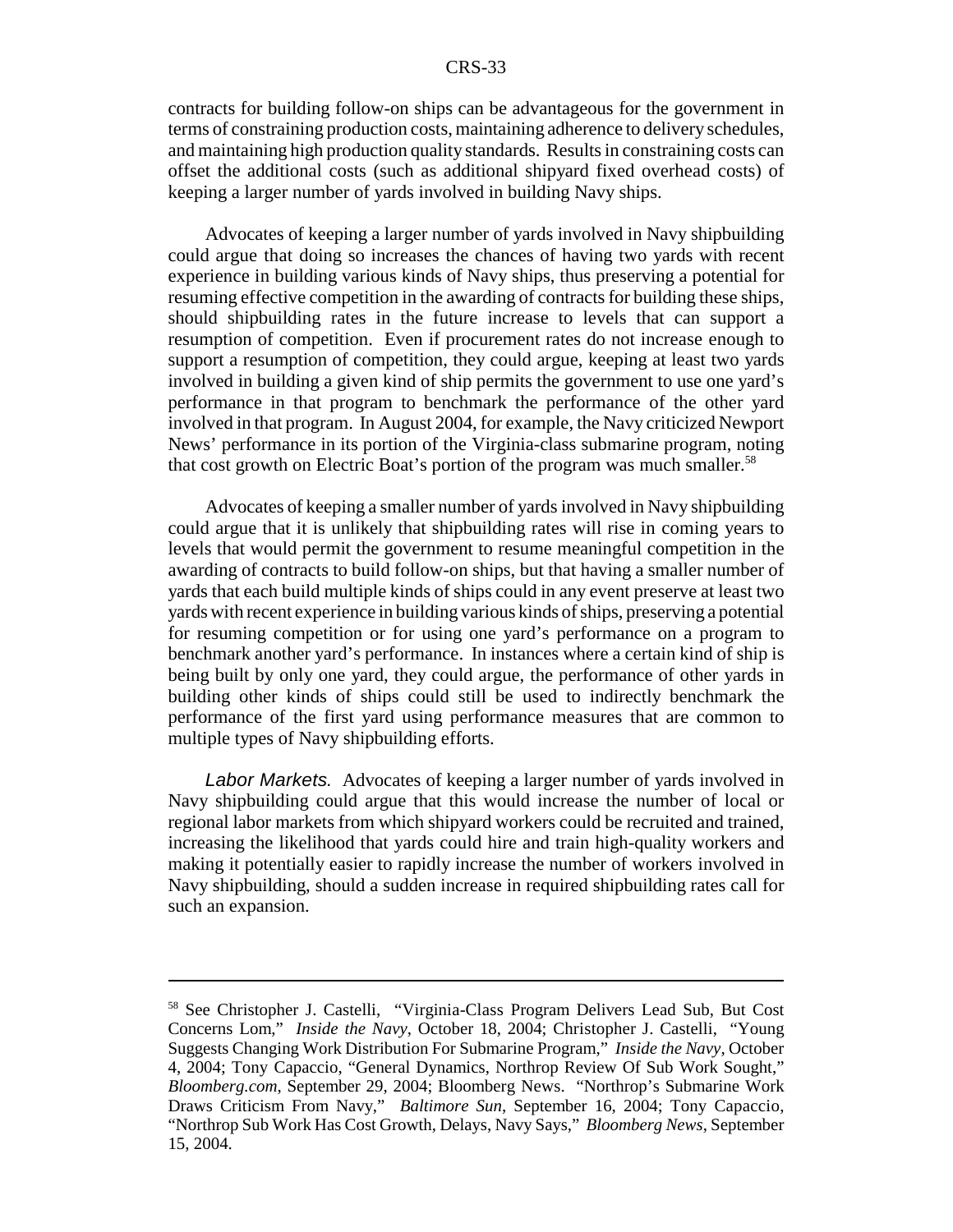contracts for building follow-on ships can be advantageous for the government in terms of constraining production costs, maintaining adherence to delivery schedules, and maintaining high production quality standards. Results in constraining costs can offset the additional costs (such as additional shipyard fixed overhead costs) of keeping a larger number of yards involved in building Navy ships.

Advocates of keeping a larger number of yards involved in Navy shipbuilding could argue that doing so increases the chances of having two yards with recent experience in building various kinds of Navy ships, thus preserving a potential for resuming effective competition in the awarding of contracts for building these ships, should shipbuilding rates in the future increase to levels that can support a resumption of competition. Even if procurement rates do not increase enough to support a resumption of competition, they could argue, keeping at least two yards involved in building a given kind of ship permits the government to use one yard's performance in that program to benchmark the performance of the other yard involved in that program. In August 2004, for example, the Navy criticized Newport News' performance in its portion of the Virginia-class submarine program, noting that cost growth on Electric Boat's portion of the program was much smaller.<sup>58</sup>

Advocates of keeping a smaller number of yards involved in Navy shipbuilding could argue that it is unlikely that shipbuilding rates will rise in coming years to levels that would permit the government to resume meaningful competition in the awarding of contracts to build follow-on ships, but that having a smaller number of yards that each build multiple kinds of ships could in any event preserve at least two yards with recent experience in building various kinds of ships, preserving a potential for resuming competition or for using one yard's performance on a program to benchmark another yard's performance. In instances where a certain kind of ship is being built by only one yard, they could argue, the performance of other yards in building other kinds of ships could still be used to indirectly benchmark the performance of the first yard using performance measures that are common to multiple types of Navy shipbuilding efforts.

*Labor Markets.* Advocates of keeping a larger number of yards involved in Navy shipbuilding could argue that this would increase the number of local or regional labor markets from which shipyard workers could be recruited and trained, increasing the likelihood that yards could hire and train high-quality workers and making it potentially easier to rapidly increase the number of workers involved in Navy shipbuilding, should a sudden increase in required shipbuilding rates call for such an expansion.

<sup>58</sup> See Christopher J. Castelli, "Virginia-Class Program Delivers Lead Sub, But Cost Concerns Lom," *Inside the Navy*, October 18, 2004; Christopher J. Castelli, "Young Suggests Changing Work Distribution For Submarine Program," *Inside the Navy*, October 4, 2004; Tony Capaccio, "General Dynamics, Northrop Review Of Sub Work Sought," *Bloomberg.com*, September 29, 2004; Bloomberg News. "Northrop's Submarine Work Draws Criticism From Navy," *Baltimore Sun*, September 16, 2004; Tony Capaccio, "Northrop Sub Work Has Cost Growth, Delays, Navy Says," *Bloomberg News*, September 15, 2004.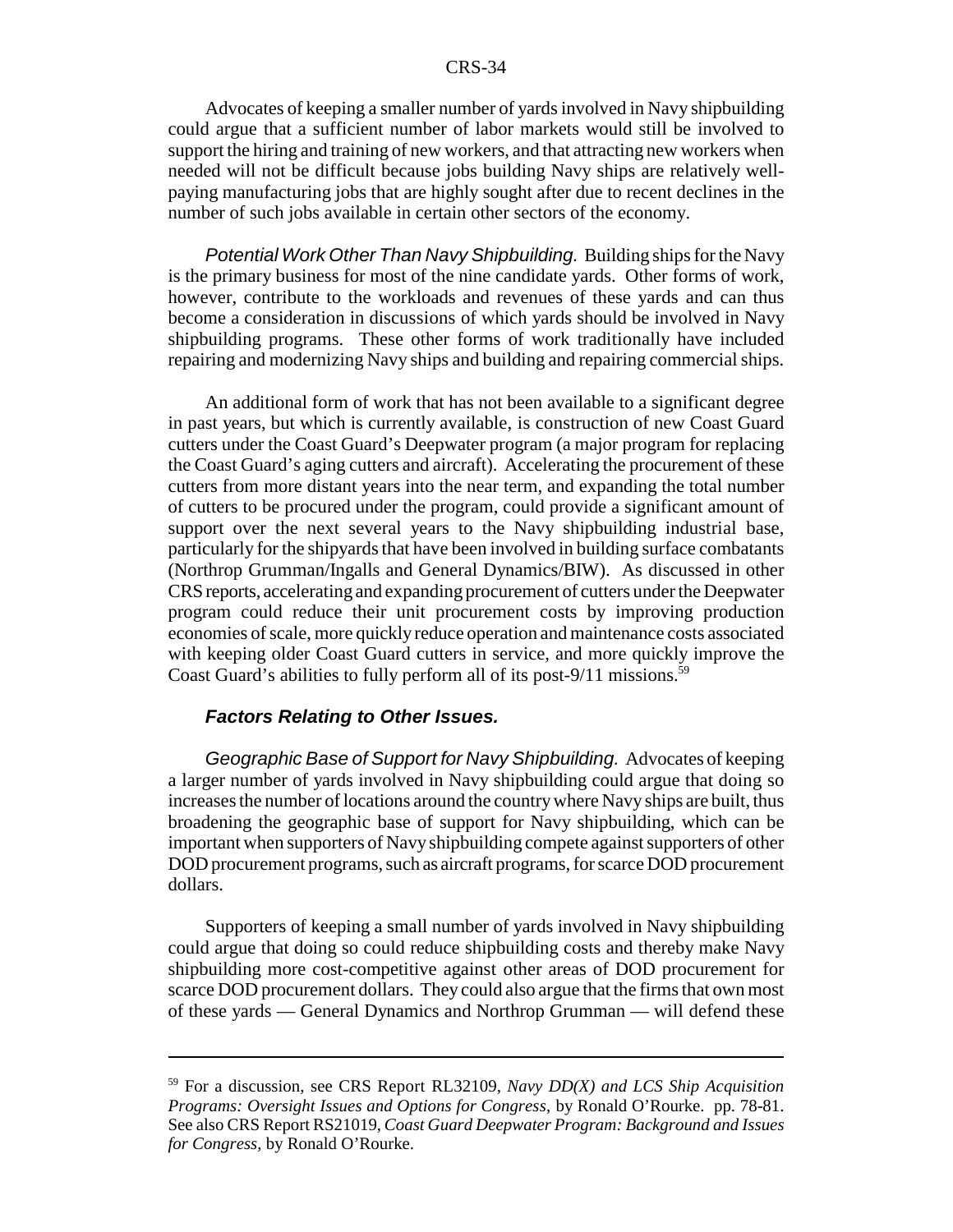Advocates of keeping a smaller number of yards involved in Navy shipbuilding could argue that a sufficient number of labor markets would still be involved to support the hiring and training of new workers, and that attracting new workers when needed will not be difficult because jobs building Navy ships are relatively wellpaying manufacturing jobs that are highly sought after due to recent declines in the number of such jobs available in certain other sectors of the economy.

*Potential Work Other Than Navy Shipbuilding.* Building ships for the Navy is the primary business for most of the nine candidate yards. Other forms of work, however, contribute to the workloads and revenues of these yards and can thus become a consideration in discussions of which yards should be involved in Navy shipbuilding programs. These other forms of work traditionally have included repairing and modernizing Navy ships and building and repairing commercial ships.

An additional form of work that has not been available to a significant degree in past years, but which is currently available, is construction of new Coast Guard cutters under the Coast Guard's Deepwater program (a major program for replacing the Coast Guard's aging cutters and aircraft). Accelerating the procurement of these cutters from more distant years into the near term, and expanding the total number of cutters to be procured under the program, could provide a significant amount of support over the next several years to the Navy shipbuilding industrial base, particularly for the shipyards that have been involved in building surface combatants (Northrop Grumman/Ingalls and General Dynamics/BIW). As discussed in other CRS reports, accelerating and expanding procurement of cutters under the Deepwater program could reduce their unit procurement costs by improving production economies of scale, more quickly reduce operation and maintenance costs associated with keeping older Coast Guard cutters in service, and more quickly improve the Coast Guard's abilities to fully perform all of its post-9/11 missions.<sup>59</sup>

### *Factors Relating to Other Issues.*

*Geographic Base of Support for Navy Shipbuilding.* Advocates of keeping a larger number of yards involved in Navy shipbuilding could argue that doing so increases the number of locations around the country where Navy ships are built, thus broadening the geographic base of support for Navy shipbuilding, which can be important when supporters of Navy shipbuilding compete against supporters of other DOD procurement programs, such as aircraft programs, for scarce DOD procurement dollars.

Supporters of keeping a small number of yards involved in Navy shipbuilding could argue that doing so could reduce shipbuilding costs and thereby make Navy shipbuilding more cost-competitive against other areas of DOD procurement for scarce DOD procurement dollars. They could also argue that the firms that own most of these yards — General Dynamics and Northrop Grumman — will defend these

<sup>59</sup> For a discussion, see CRS Report RL32109, *Navy DD(X) and LCS Ship Acquisition Programs: Oversight Issues and Options for Congress*, by Ronald O'Rourke. pp. 78-81. See also CRS Report RS21019, *Coast Guard Deepwater Program: Background and Issues for Congress*, by Ronald O'Rourke.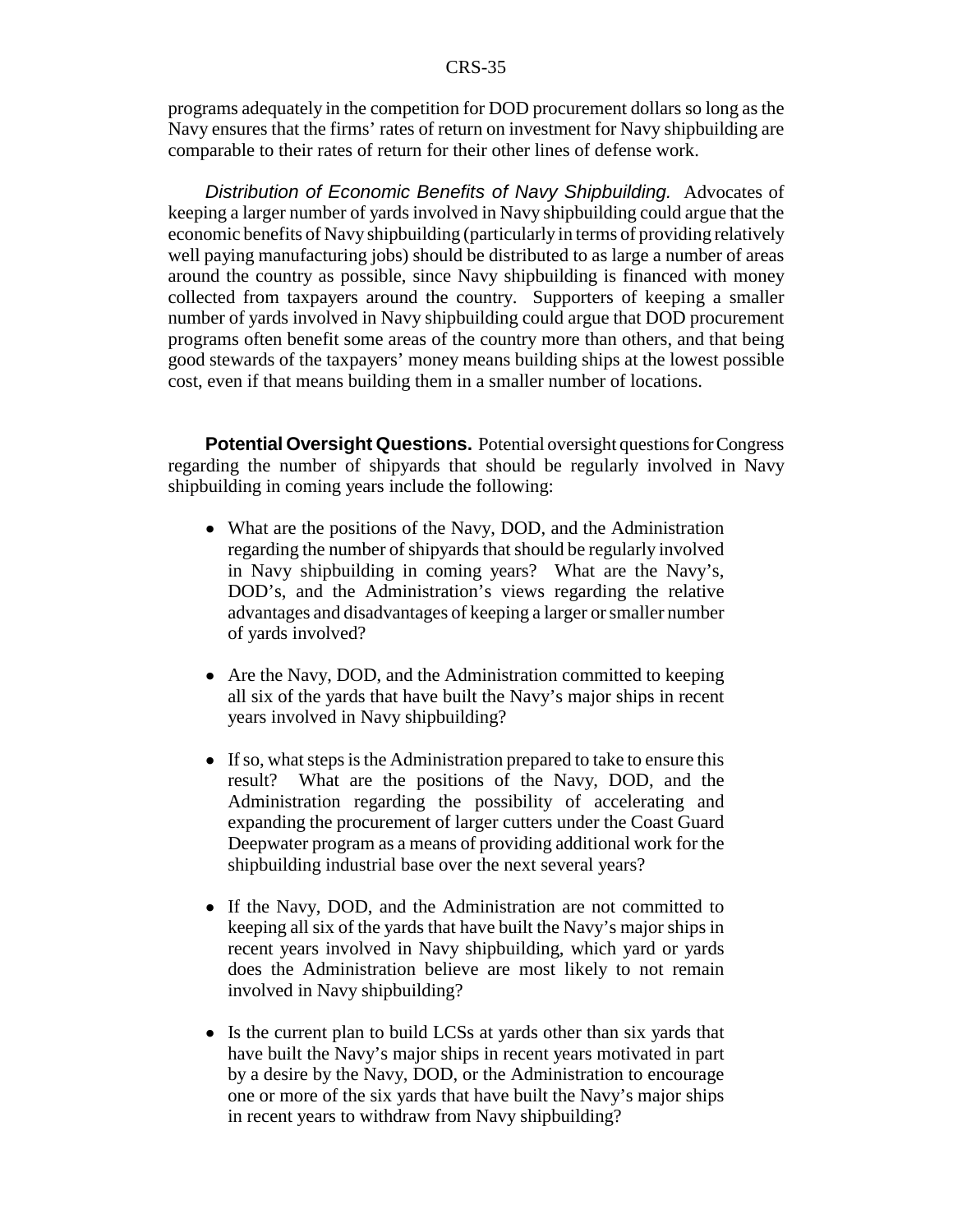programs adequately in the competition for DOD procurement dollars so long as the Navy ensures that the firms' rates of return on investment for Navy shipbuilding are comparable to their rates of return for their other lines of defense work.

*Distribution of Economic Benefits of Navy Shipbuilding.* Advocates of keeping a larger number of yards involved in Navy shipbuilding could argue that the economic benefits of Navy shipbuilding (particularly in terms of providing relatively well paying manufacturing jobs) should be distributed to as large a number of areas around the country as possible, since Navy shipbuilding is financed with money collected from taxpayers around the country. Supporters of keeping a smaller number of yards involved in Navy shipbuilding could argue that DOD procurement programs often benefit some areas of the country more than others, and that being good stewards of the taxpayers' money means building ships at the lowest possible cost, even if that means building them in a smaller number of locations.

**Potential Oversight Questions.** Potential oversight questions for Congress regarding the number of shipyards that should be regularly involved in Navy shipbuilding in coming years include the following:

- What are the positions of the Navy, DOD, and the Administration regarding the number of shipyards that should be regularly involved in Navy shipbuilding in coming years? What are the Navy's, DOD's, and the Administration's views regarding the relative advantages and disadvantages of keeping a larger or smaller number of yards involved?
- Are the Navy, DOD, and the Administration committed to keeping all six of the yards that have built the Navy's major ships in recent years involved in Navy shipbuilding?
- If so, what steps is the Administration prepared to take to ensure this result? What are the positions of the Navy, DOD, and the Administration regarding the possibility of accelerating and expanding the procurement of larger cutters under the Coast Guard Deepwater program as a means of providing additional work for the shipbuilding industrial base over the next several years?
- ! If the Navy, DOD, and the Administration are not committed to keeping all six of the yards that have built the Navy's major ships in recent years involved in Navy shipbuilding, which yard or yards does the Administration believe are most likely to not remain involved in Navy shipbuilding?
- Is the current plan to build LCSs at yards other than six yards that have built the Navy's major ships in recent years motivated in part by a desire by the Navy, DOD, or the Administration to encourage one or more of the six yards that have built the Navy's major ships in recent years to withdraw from Navy shipbuilding?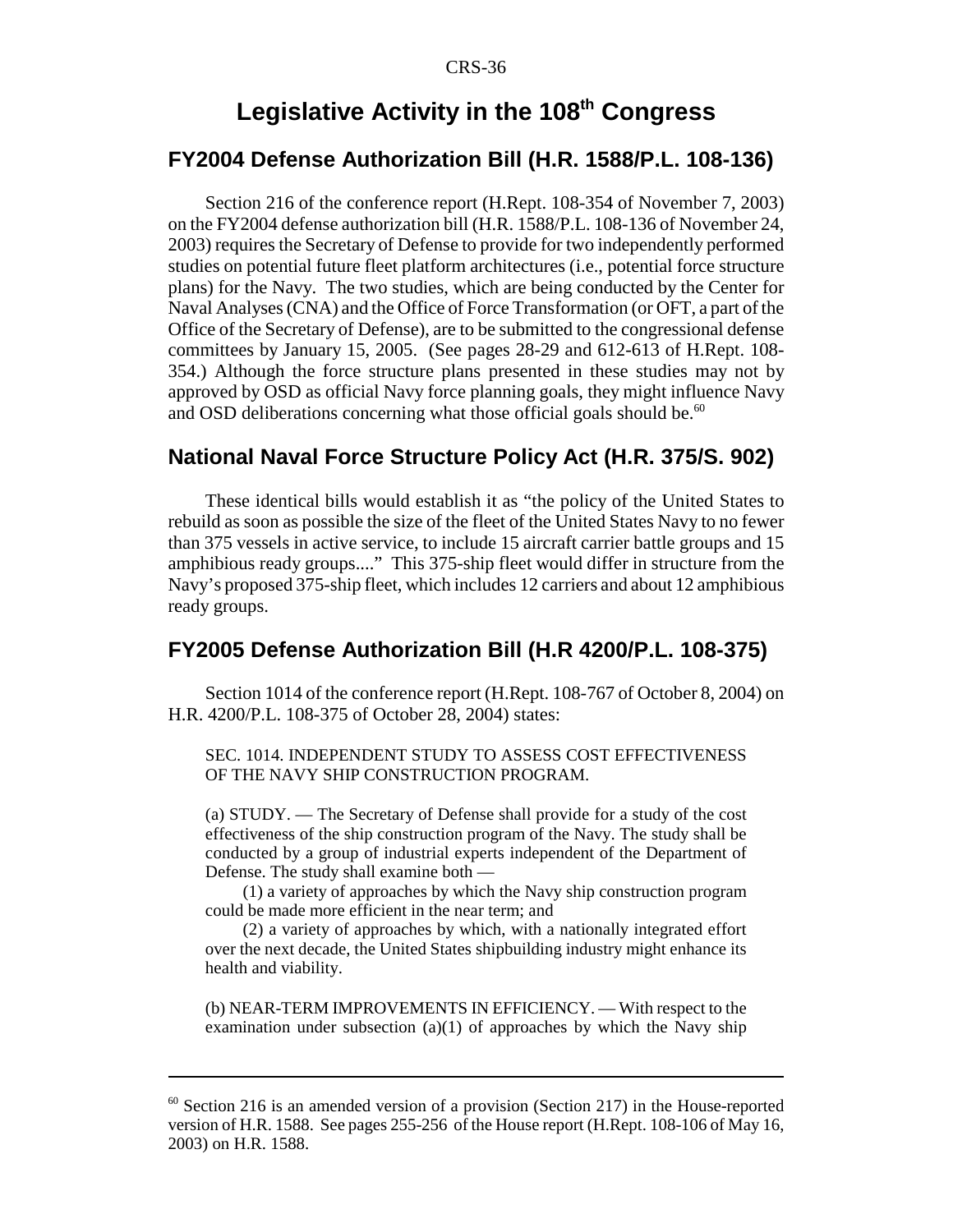## **Legislative Activity in the 108th Congress**

## **FY2004 Defense Authorization Bill (H.R. 1588/P.L. 108-136)**

Section 216 of the conference report (H.Rept. 108-354 of November 7, 2003) on the FY2004 defense authorization bill (H.R. 1588/P.L. 108-136 of November 24, 2003) requires the Secretary of Defense to provide for two independently performed studies on potential future fleet platform architectures (i.e., potential force structure plans) for the Navy. The two studies, which are being conducted by the Center for Naval Analyses (CNA) and the Office of Force Transformation (or OFT, a part of the Office of the Secretary of Defense), are to be submitted to the congressional defense committees by January 15, 2005. (See pages 28-29 and 612-613 of H.Rept. 108- 354.) Although the force structure plans presented in these studies may not by approved by OSD as official Navy force planning goals, they might influence Navy and OSD deliberations concerning what those official goals should be. $60$ 

## **National Naval Force Structure Policy Act (H.R. 375/S. 902)**

These identical bills would establish it as "the policy of the United States to rebuild as soon as possible the size of the fleet of the United States Navy to no fewer than 375 vessels in active service, to include 15 aircraft carrier battle groups and 15 amphibious ready groups...." This 375-ship fleet would differ in structure from the Navy's proposed 375-ship fleet, which includes 12 carriers and about 12 amphibious ready groups.

## **FY2005 Defense Authorization Bill (H.R 4200/P.L. 108-375)**

Section 1014 of the conference report (H.Rept. 108-767 of October 8, 2004) on H.R. 4200/P.L. 108-375 of October 28, 2004) states:

#### SEC. 1014. INDEPENDENT STUDY TO ASSESS COST EFFECTIVENESS OF THE NAVY SHIP CONSTRUCTION PROGRAM.

(a) STUDY. — The Secretary of Defense shall provide for a study of the cost effectiveness of the ship construction program of the Navy. The study shall be conducted by a group of industrial experts independent of the Department of Defense. The study shall examine both —

(1) a variety of approaches by which the Navy ship construction program could be made more efficient in the near term; and

(2) a variety of approaches by which, with a nationally integrated effort over the next decade, the United States shipbuilding industry might enhance its health and viability.

(b) NEAR-TERM IMPROVEMENTS IN EFFICIENCY. — With respect to the examination under subsection  $(a)(1)$  of approaches by which the Navy ship

 $60$  Section 216 is an amended version of a provision (Section 217) in the House-reported version of H.R. 1588. See pages 255-256 of the House report (H.Rept. 108-106 of May 16, 2003) on H.R. 1588.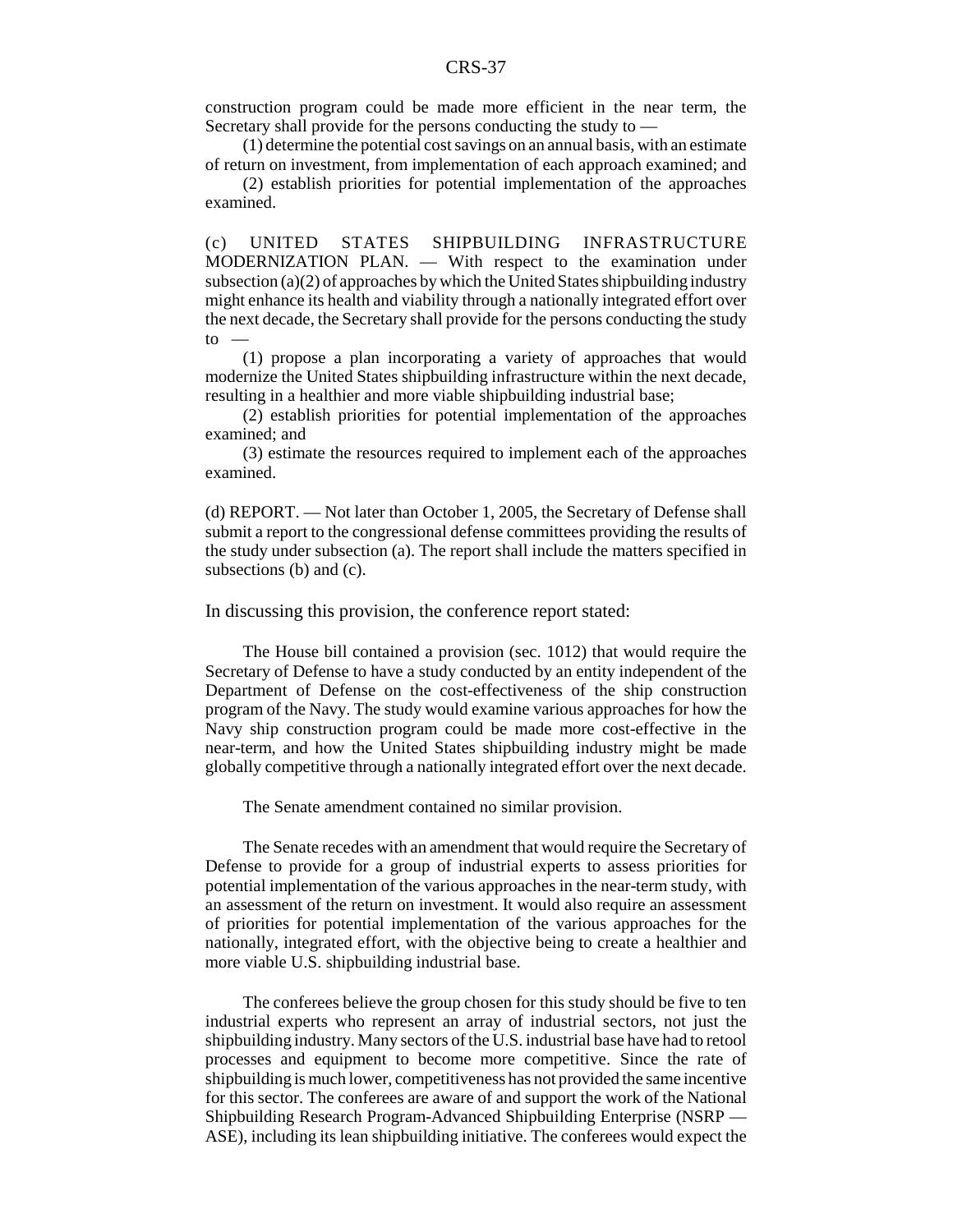construction program could be made more efficient in the near term, the Secretary shall provide for the persons conducting the study to —

(1) determine the potential cost savings on an annual basis, with an estimate of return on investment, from implementation of each approach examined; and

(2) establish priorities for potential implementation of the approaches examined.

(c) UNITED STATES SHIPBUILDING INFRASTRUCTURE MODERNIZATION PLAN. — With respect to the examination under subsection (a)(2) of approaches by which the United States shipbuilding industry might enhance its health and viability through a nationally integrated effort over the next decade, the Secretary shall provide for the persons conducting the study  $\mathsf{to}$  —

(1) propose a plan incorporating a variety of approaches that would modernize the United States shipbuilding infrastructure within the next decade, resulting in a healthier and more viable shipbuilding industrial base;

(2) establish priorities for potential implementation of the approaches examined; and

(3) estimate the resources required to implement each of the approaches examined.

(d) REPORT. — Not later than October 1, 2005, the Secretary of Defense shall submit a report to the congressional defense committees providing the results of the study under subsection (a). The report shall include the matters specified in subsections (b) and (c).

In discussing this provision, the conference report stated:

The House bill contained a provision (sec. 1012) that would require the Secretary of Defense to have a study conducted by an entity independent of the Department of Defense on the cost-effectiveness of the ship construction program of the Navy. The study would examine various approaches for how the Navy ship construction program could be made more cost-effective in the near-term, and how the United States shipbuilding industry might be made globally competitive through a nationally integrated effort over the next decade.

The Senate amendment contained no similar provision.

The Senate recedes with an amendment that would require the Secretary of Defense to provide for a group of industrial experts to assess priorities for potential implementation of the various approaches in the near-term study, with an assessment of the return on investment. It would also require an assessment of priorities for potential implementation of the various approaches for the nationally, integrated effort, with the objective being to create a healthier and more viable U.S. shipbuilding industrial base.

The conferees believe the group chosen for this study should be five to ten industrial experts who represent an array of industrial sectors, not just the shipbuilding industry. Many sectors of the U.S. industrial base have had to retool processes and equipment to become more competitive. Since the rate of shipbuilding is much lower, competitiveness has not provided the same incentive for this sector. The conferees are aware of and support the work of the National Shipbuilding Research Program-Advanced Shipbuilding Enterprise (NSRP — ASE), including its lean shipbuilding initiative. The conferees would expect the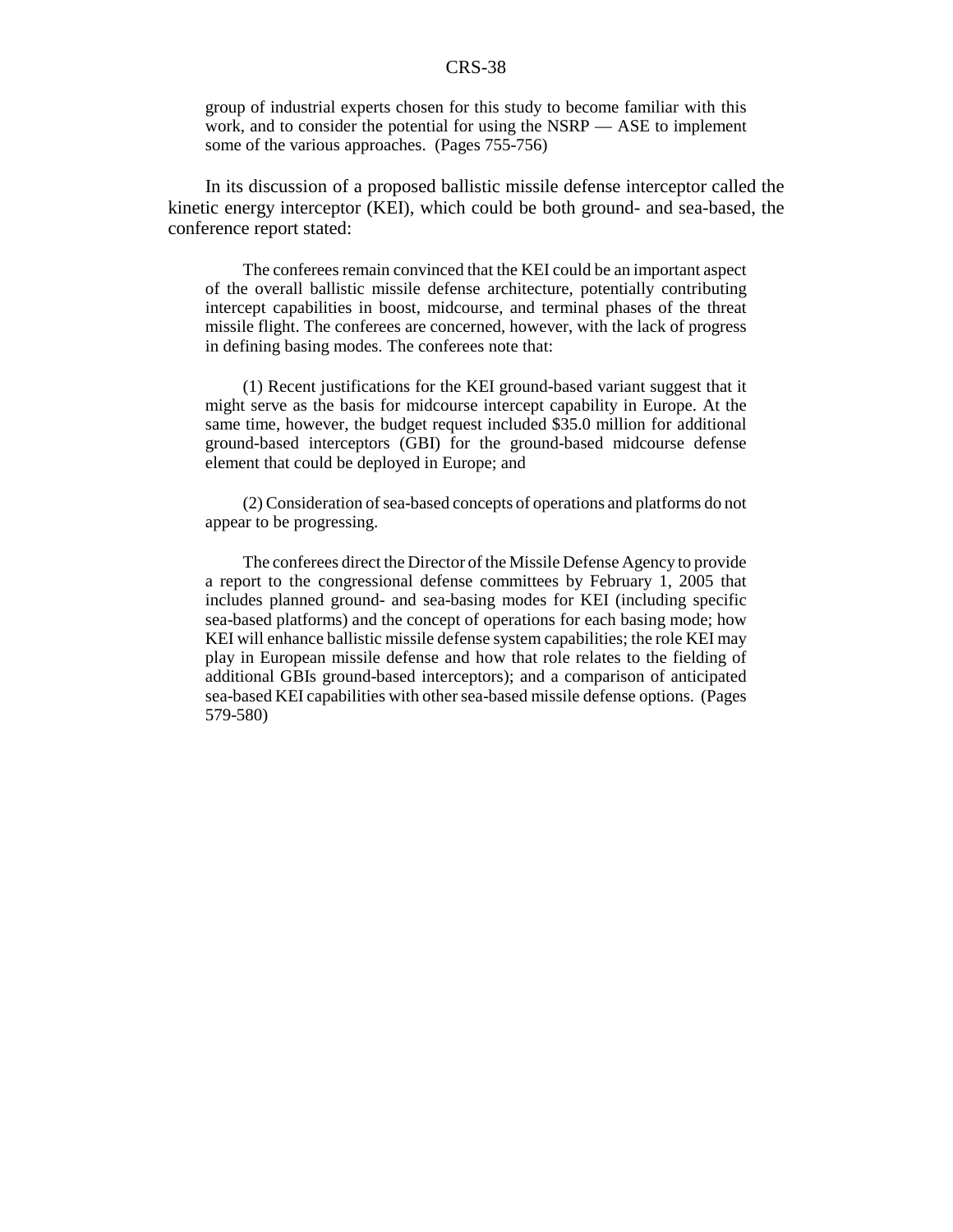group of industrial experts chosen for this study to become familiar with this work, and to consider the potential for using the NSRP — ASE to implement some of the various approaches. (Pages 755-756)

In its discussion of a proposed ballistic missile defense interceptor called the kinetic energy interceptor (KEI), which could be both ground- and sea-based, the conference report stated:

The conferees remain convinced that the KEI could be an important aspect of the overall ballistic missile defense architecture, potentially contributing intercept capabilities in boost, midcourse, and terminal phases of the threat missile flight. The conferees are concerned, however, with the lack of progress in defining basing modes. The conferees note that:

(1) Recent justifications for the KEI ground-based variant suggest that it might serve as the basis for midcourse intercept capability in Europe. At the same time, however, the budget request included \$35.0 million for additional ground-based interceptors (GBI) for the ground-based midcourse defense element that could be deployed in Europe; and

(2) Consideration of sea-based concepts of operations and platforms do not appear to be progressing.

The conferees direct the Director of the Missile Defense Agency to provide a report to the congressional defense committees by February 1, 2005 that includes planned ground- and sea-basing modes for KEI (including specific sea-based platforms) and the concept of operations for each basing mode; how KEI will enhance ballistic missile defense system capabilities; the role KEI may play in European missile defense and how that role relates to the fielding of additional GBIs ground-based interceptors); and a comparison of anticipated sea-based KEI capabilities with other sea-based missile defense options. (Pages 579-580)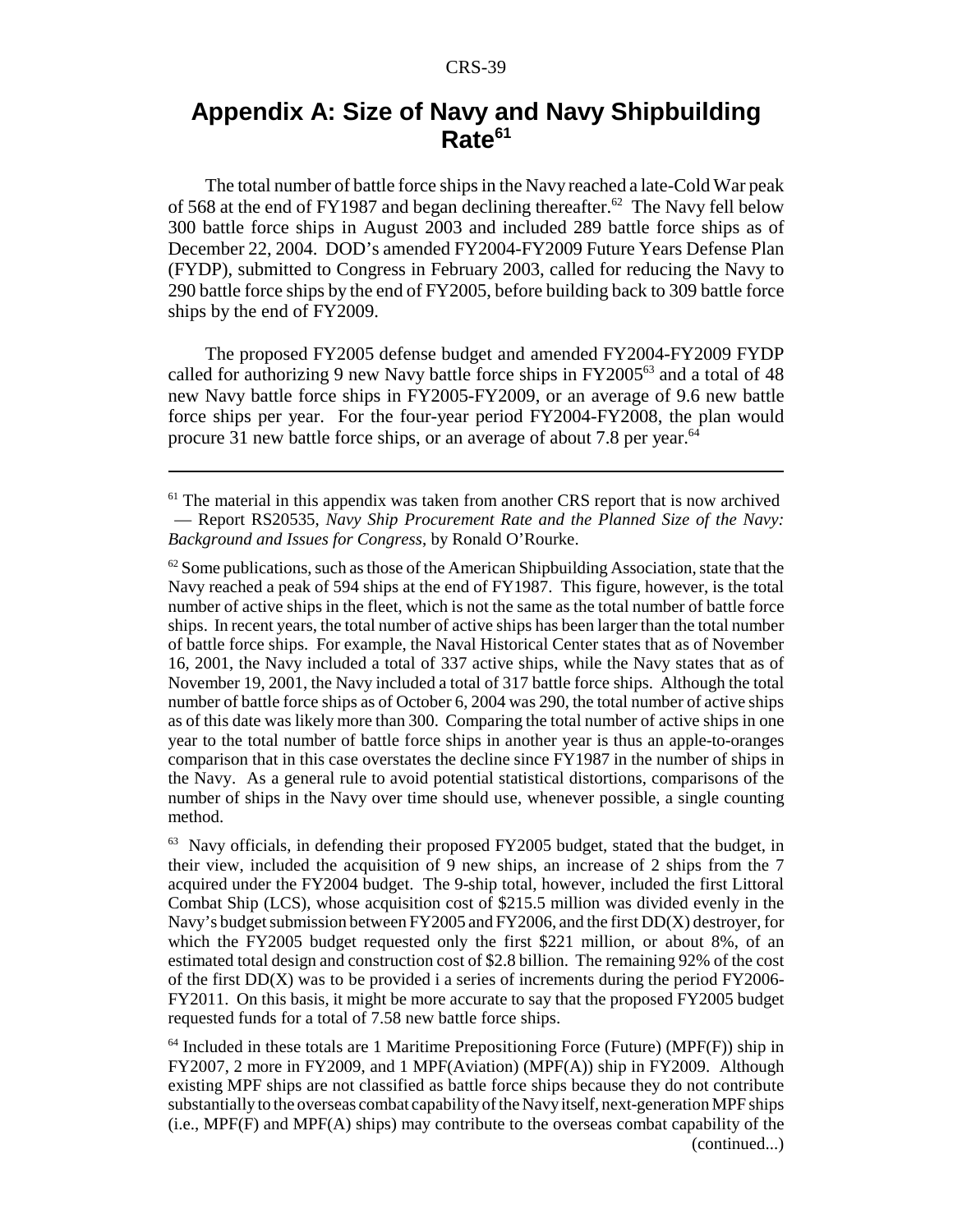## **Appendix A: Size of Navy and Navy Shipbuilding Rate<sup>61</sup>**

The total number of battle force ships in the Navy reached a late-Cold War peak of 568 at the end of FY1987 and began declining thereafter.<sup>62</sup> The Navy fell below 300 battle force ships in August 2003 and included 289 battle force ships as of December 22, 2004. DOD's amended FY2004-FY2009 Future Years Defense Plan (FYDP), submitted to Congress in February 2003, called for reducing the Navy to 290 battle force ships by the end of FY2005, before building back to 309 battle force ships by the end of FY2009.

The proposed FY2005 defense budget and amended FY2004-FY2009 FYDP called for authorizing 9 new Navy battle force ships in  $FY2005^{63}$  and a total of 48 new Navy battle force ships in FY2005-FY2009, or an average of 9.6 new battle force ships per year. For the four-year period FY2004-FY2008, the plan would procure 31 new battle force ships, or an average of about 7.8 per year.<sup>64</sup>

 $62$  Some publications, such as those of the American Shipbuilding Association, state that the Navy reached a peak of 594 ships at the end of FY1987. This figure, however, is the total number of active ships in the fleet, which is not the same as the total number of battle force ships. In recent years, the total number of active ships has been larger than the total number of battle force ships. For example, the Naval Historical Center states that as of November 16, 2001, the Navy included a total of 337 active ships, while the Navy states that as of November 19, 2001, the Navy included a total of 317 battle force ships. Although the total number of battle force ships as of October 6, 2004 was 290, the total number of active ships as of this date was likely more than 300. Comparing the total number of active ships in one year to the total number of battle force ships in another year is thus an apple-to-oranges comparison that in this case overstates the decline since FY1987 in the number of ships in the Navy. As a general rule to avoid potential statistical distortions, comparisons of the number of ships in the Navy over time should use, whenever possible, a single counting method.

 $63$  Navy officials, in defending their proposed FY2005 budget, stated that the budget, in their view, included the acquisition of 9 new ships, an increase of 2 ships from the 7 acquired under the FY2004 budget. The 9-ship total, however, included the first Littoral Combat Ship (LCS), whose acquisition cost of \$215.5 million was divided evenly in the Navy's budget submission between FY2005 and FY2006, and the first DD(X) destroyer, for which the FY2005 budget requested only the first \$221 million, or about 8%, of an estimated total design and construction cost of \$2.8 billion. The remaining 92% of the cost of the first  $DD(X)$  was to be provided i a series of increments during the period  $FY2006-$ FY2011. On this basis, it might be more accurate to say that the proposed FY2005 budget requested funds for a total of 7.58 new battle force ships.

 $64$  Included in these totals are 1 Maritime Prepositioning Force (Future) (MPF(F)) ship in FY2007, 2 more in FY2009, and 1 MPF(Aviation) (MPF(A)) ship in FY2009. Although existing MPF ships are not classified as battle force ships because they do not contribute substantially to the overseas combat capability of the Navy itself, next-generation MPF ships (i.e., MPF(F) and MPF(A) ships) may contribute to the overseas combat capability of the (continued...)

 $<sup>61</sup>$  The material in this appendix was taken from another CRS report that is now archived</sup> — Report RS20535, *Navy Ship Procurement Rate and the Planned Size of the Navy: Background and Issues for Congress*, by Ronald O'Rourke.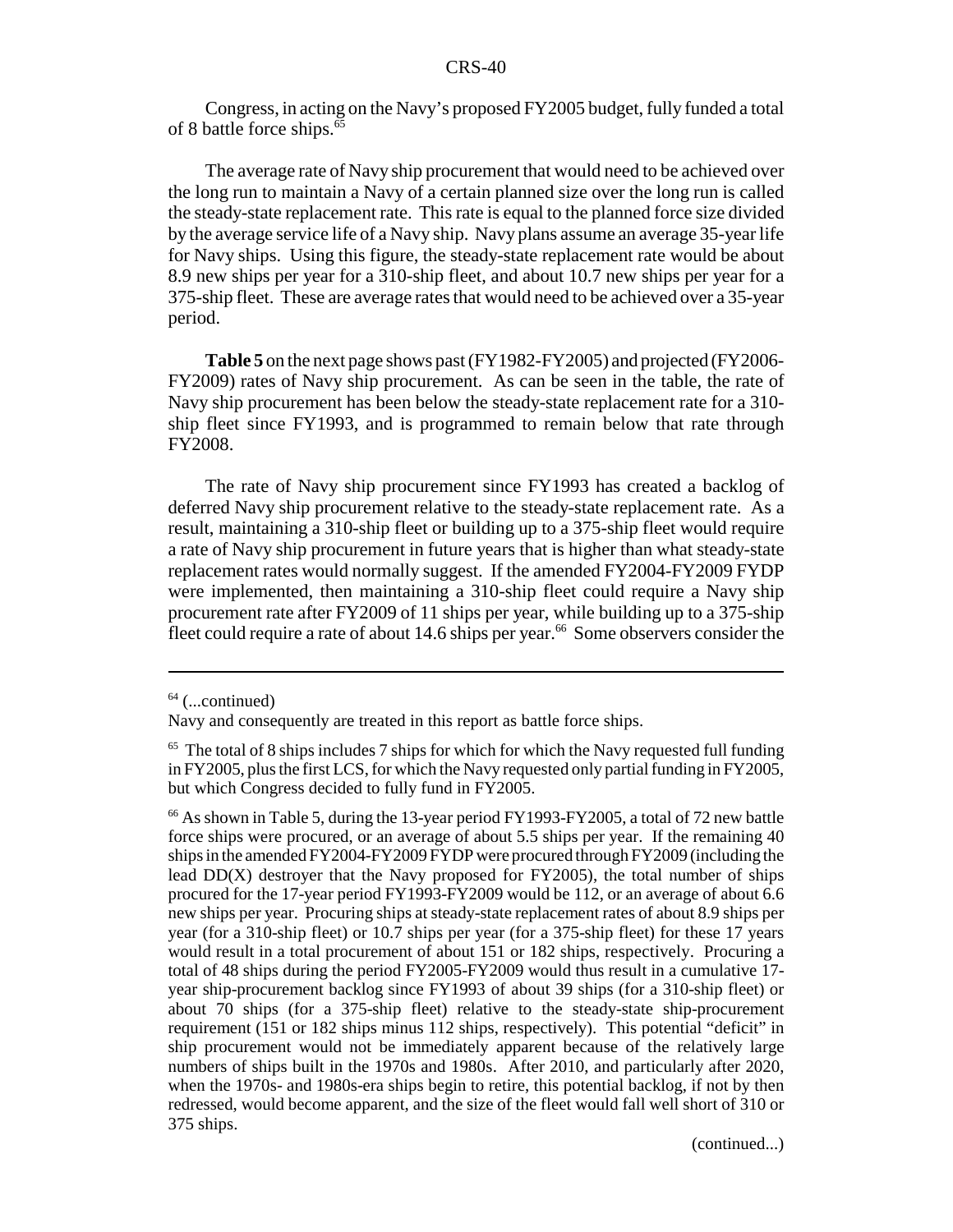Congress, in acting on the Navy's proposed FY2005 budget, fully funded a total of 8 battle force ships.<sup>65</sup>

The average rate of Navy ship procurement that would need to be achieved over the long run to maintain a Navy of a certain planned size over the long run is called the steady-state replacement rate. This rate is equal to the planned force size divided by the average service life of a Navy ship. Navy plans assume an average 35-year life for Navy ships. Using this figure, the steady-state replacement rate would be about 8.9 new ships per year for a 310-ship fleet, and about 10.7 new ships per year for a 375-ship fleet. These are average rates that would need to be achieved over a 35-year period.

**Table 5** on the next page shows past (FY1982-FY2005) and projected (FY2006- FY2009) rates of Navy ship procurement. As can be seen in the table, the rate of Navy ship procurement has been below the steady-state replacement rate for a 310 ship fleet since FY1993, and is programmed to remain below that rate through FY2008.

The rate of Navy ship procurement since FY1993 has created a backlog of deferred Navy ship procurement relative to the steady-state replacement rate. As a result, maintaining a 310-ship fleet or building up to a 375-ship fleet would require a rate of Navy ship procurement in future years that is higher than what steady-state replacement rates would normally suggest. If the amended FY2004-FY2009 FYDP were implemented, then maintaining a 310-ship fleet could require a Navy ship procurement rate after FY2009 of 11 ships per year, while building up to a 375-ship  $\frac{1}{2}$  fleet could require a rate of about 14.6 ships per year.<sup>66</sup> Some observers consider the

 $64$  (...continued)

Navy and consequently are treated in this report as battle force ships.

 $65$  The total of 8 ships includes 7 ships for which for which the Navy requested full funding in FY2005, plus the first LCS, for which the Navy requested only partial funding in FY2005, but which Congress decided to fully fund in FY2005.

<sup>&</sup>lt;sup>66</sup> As shown in Table 5, during the 13-year period FY1993-FY2005, a total of 72 new battle force ships were procured, or an average of about 5.5 ships per year. If the remaining 40 ships in the amended FY2004-FY2009 FYDP were procured through FY2009 (including the lead  $DD(X)$  destroyer that the Navy proposed for FY2005), the total number of ships procured for the 17-year period FY1993-FY2009 would be 112, or an average of about 6.6 new ships per year. Procuring ships at steady-state replacement rates of about 8.9 ships per year (for a 310-ship fleet) or 10.7 ships per year (for a 375-ship fleet) for these 17 years would result in a total procurement of about 151 or 182 ships, respectively. Procuring a total of 48 ships during the period FY2005-FY2009 would thus result in a cumulative 17 year ship-procurement backlog since FY1993 of about 39 ships (for a 310-ship fleet) or about 70 ships (for a 375-ship fleet) relative to the steady-state ship-procurement requirement (151 or 182 ships minus 112 ships, respectively). This potential "deficit" in ship procurement would not be immediately apparent because of the relatively large numbers of ships built in the 1970s and 1980s. After 2010, and particularly after 2020, when the 1970s- and 1980s-era ships begin to retire, this potential backlog, if not by then redressed, would become apparent, and the size of the fleet would fall well short of 310 or 375 ships.